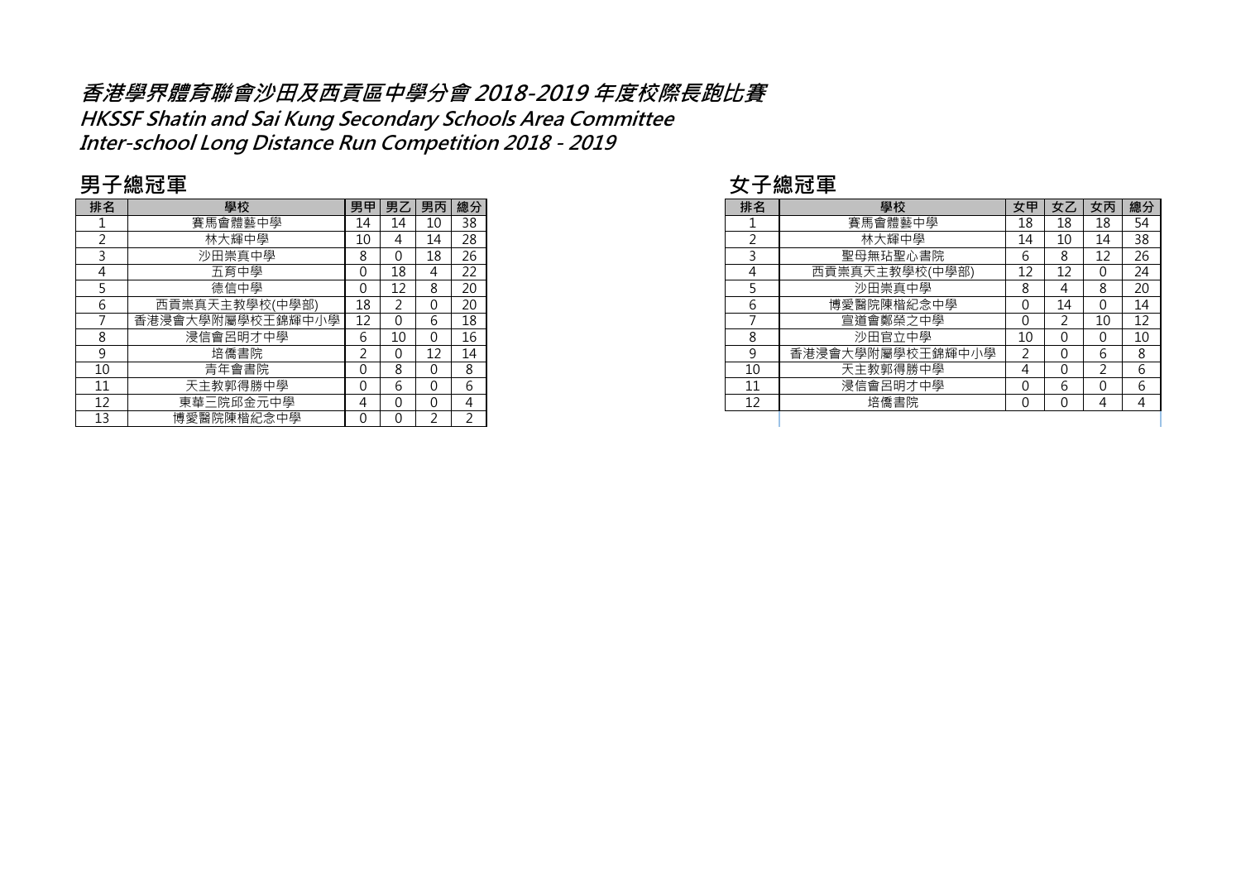#### 男子總冠軍

|    | 男子總冠軍            |    |    |    |    |
|----|------------------|----|----|----|----|
| 排名 | 學校               | 男甲 | 男乙 | 男丙 | 總分 |
|    | 賽馬會體藝中學          | 14 | 14 | 10 | 38 |
|    | 林大輝中學            | 10 | 4  | 14 | 28 |
|    | 沙田崇真中學           | 8  |    | 18 | 26 |
| 4  | 五育中學             | 0  | 18 | 4  | 22 |
|    | 德信中學             | 0  | 12 | 8  | 20 |
| 6  | 西貢崇真天主教學校(中學部)   | 18 |    | 0  | 20 |
|    | 香港浸會大學附屬學校王錦輝中小學 | 12 |    | 6  | 18 |
| 8  | 浸信會呂明才中學         | 6  | 10 | 0  | 16 |
| 9  | 培僑書院             |    |    | 12 | 14 |
| 10 | 青年會書院            | 0  | 8  | 0  | 8  |
| 11 | 天主教郭得勝中學         | 0  | h  | 0  | 6  |
| 12 | 東華三院邱金元中學        | 4  |    |    | 4  |
| 13 | 博愛醫院陳楷紀念中學       |    |    |    | ำ  |

| 學校                    | 男甲                       |    | 男乙 男丙 總分     |    |
|-----------------------|--------------------------|----|--------------|----|
| 賽馬會體藝中學               | 14                       | 14 | 10           | 38 |
| 林大輝中學                 | 10                       |    | 14           | 28 |
| 沙田崇真中學                | 8                        |    | 18           | 26 |
| 五育中學                  | 0                        | 18 | 4            | 22 |
| 德信中學                  | 0                        |    | 8            | 20 |
| 西貢崇真天主教學校(中學部)        | 18                       |    | U            | 20 |
| ∖壆<br>香港浸會大學附屬學校王錦輝中小 | 12                       |    | <sub>b</sub> | 18 |
| 浸信會呂明才中學              | <sub>b</sub>             |    |              | 16 |
| 培僑書院                  | $\overline{\phantom{0}}$ |    | 12           | 14 |
| 青年會書院                 | $\Omega$                 |    |              |    |
| 天主教郭得勝中學              | $\Omega$                 |    | 0            | h. |
| 東華三院邱金元中學             | 4                        |    |              | 4  |
| 博愛醫院陳楷紀念中學            |                          |    |              |    |
|                       |                          |    |              |    |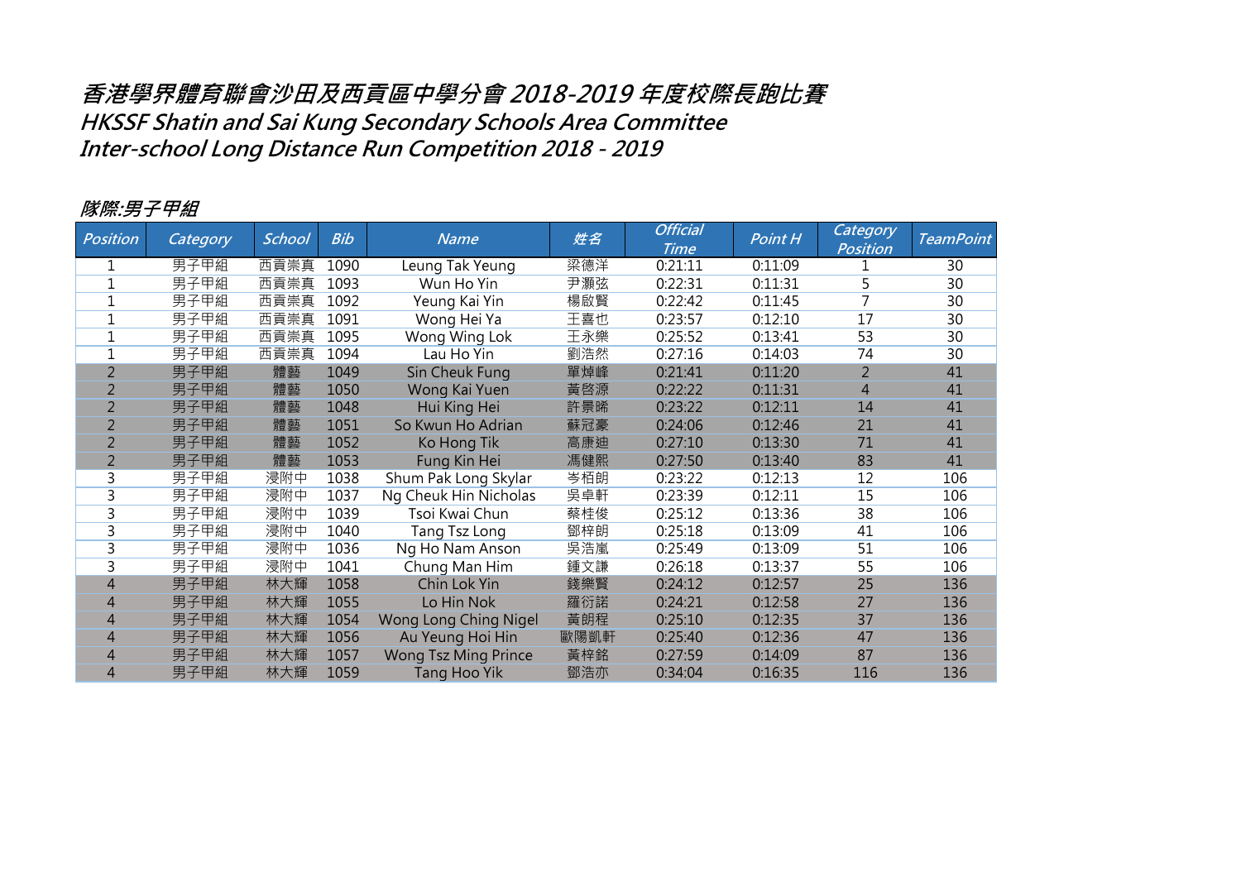| Position       | Category | School | <b>Bib</b> | <b>Name</b>           | 姓名   | <b>Official</b><br><b>Time</b> | Point H | Category<br>Position | <b>TeamPoint</b> |
|----------------|----------|--------|------------|-----------------------|------|--------------------------------|---------|----------------------|------------------|
|                | 男子甲組     | 西貢崇真   | 1090       | Leung Tak Yeung       | 梁德洋  | 0:21:11                        | 0:11:09 |                      | 30               |
| 1              | 男子甲組     | 西貢崇真   | 1093       | Wun Ho Yin            | 尹灝弦  | 0:22:31                        | 0:11:31 | 5                    | 30               |
| $\mathbf{1}$   | 男子甲組     | 西貢崇真   | 1092       | Yeung Kai Yin         | 楊啟賢  | 0:22:42                        | 0:11:45 | $\overline{7}$       | 30               |
| 1              | 男子甲組     | 西貢崇真   | 1091       | Wong Hei Ya           | 王喜也  | 0:23:57                        | 0:12:10 | 17                   | 30               |
| 1              | 男子甲組     | 西貢崇真   | 1095       | Wong Wing Lok         | 王永樂  | 0:25:52                        | 0:13:41 | 53                   | 30               |
|                | 男子甲組     | 西貢崇真   | 1094       | Lau Ho Yin            | 劉浩然  | 0:27:16                        | 0:14:03 | 74                   | 30               |
| $\overline{2}$ | 男子甲組     | 體藝     | 1049       | Sin Cheuk Fung        | 單焯峰  | 0:21:41                        | 0:11:20 | $\overline{2}$       | 41               |
| $\overline{2}$ | 男子甲組     | 體藝     | 1050       | Wong Kai Yuen         | 黃啓源  | 0:22:22                        | 0:11:31 | $\overline{4}$       | 41               |
| 2              | 男子甲組     | 體藝     | 1048       | Hui King Hei          | 許景晞  | 0:23:22                        | 0:12:11 | 14                   | 41               |
| 2              | 男子甲組     | 體藝     | 1051       | So Kwun Ho Adrian     | 蘇冠豪  | 0:24:06                        | 0:12:46 | 21                   | 41               |
| $\overline{2}$ | 男子甲組     | 體藝     | 1052       | Ko Hong Tik           | 高康迪  | 0:27:10                        | 0:13:30 | 71                   | 41               |
| $\overline{2}$ | 男子甲組     | 體藝     | 1053       | Fung Kin Hei          | 馮健熙  | 0:27:50                        | 0:13:40 | 83                   | 41               |
| 3              | 男子甲組     | 浸附中    | 1038       | Shum Pak Long Skylar  | 岑栢朗  | 0:23:22                        | 0:12:13 | 12                   | 106              |
| 3              | 男子甲組     | 浸附中    | 1037       | Ng Cheuk Hin Nicholas | 吳卓軒  | 0:23:39                        | 0:12:11 | 15                   | 106              |
| 3              | 男子甲組     | 浸附中    | 1039       | Tsoi Kwai Chun        | 蔡桂俊  | 0:25:12                        | 0:13:36 | 38                   | 106              |
| 3              | 男子甲組     | 浸附中    | 1040       | Tang Tsz Long         | 鄧梓朗  | 0:25:18                        | 0:13:09 | 41                   | 106              |
| 3              | 男子甲組     | 浸附中    | 1036       | Ng Ho Nam Anson       | 吳浩嵐  | 0:25:49                        | 0:13:09 | 51                   | 106              |
| 3              | 男子甲組     | 浸附中    | 1041       | Chung Man Him         | 鍾文謙  | 0:26:18                        | 0:13:37 | 55                   | 106              |
| $\overline{4}$ | 男子甲組     | 林大輝    | 1058       | Chin Lok Yin          | 錢樂賢  | 0:24:12                        | 0:12:57 | 25                   | 136              |
| $\overline{4}$ | 男子甲組     | 林大輝    | 1055       | Lo Hin Nok            | 羅衍諾  | 0:24:21                        | 0:12:58 | 27                   | 136              |
| 4              | 男子甲組     | 林大輝    | 1054       | Wong Long Ching Nigel | 黃朗程  | 0:25:10                        | 0:12:35 | 37                   | 136              |
| $\overline{4}$ | 男子甲組     | 林大輝    | 1056       | Au Yeung Hoi Hin      | 歐陽凱軒 | 0:25:40                        | 0:12:36 | 47                   | 136              |
| 4              | 男子甲組     | 林大輝    | 1057       | Wong Tsz Ming Prince  | 黃梓銘  | 0:27:59                        | 0:14:09 | 87                   | 136              |
| $\overline{4}$ | 男子甲組     | 林大輝    | 1059       | Tang Hoo Yik          | 鄧浩亦  | 0:34:04                        | 0:16:35 | 116                  | 136              |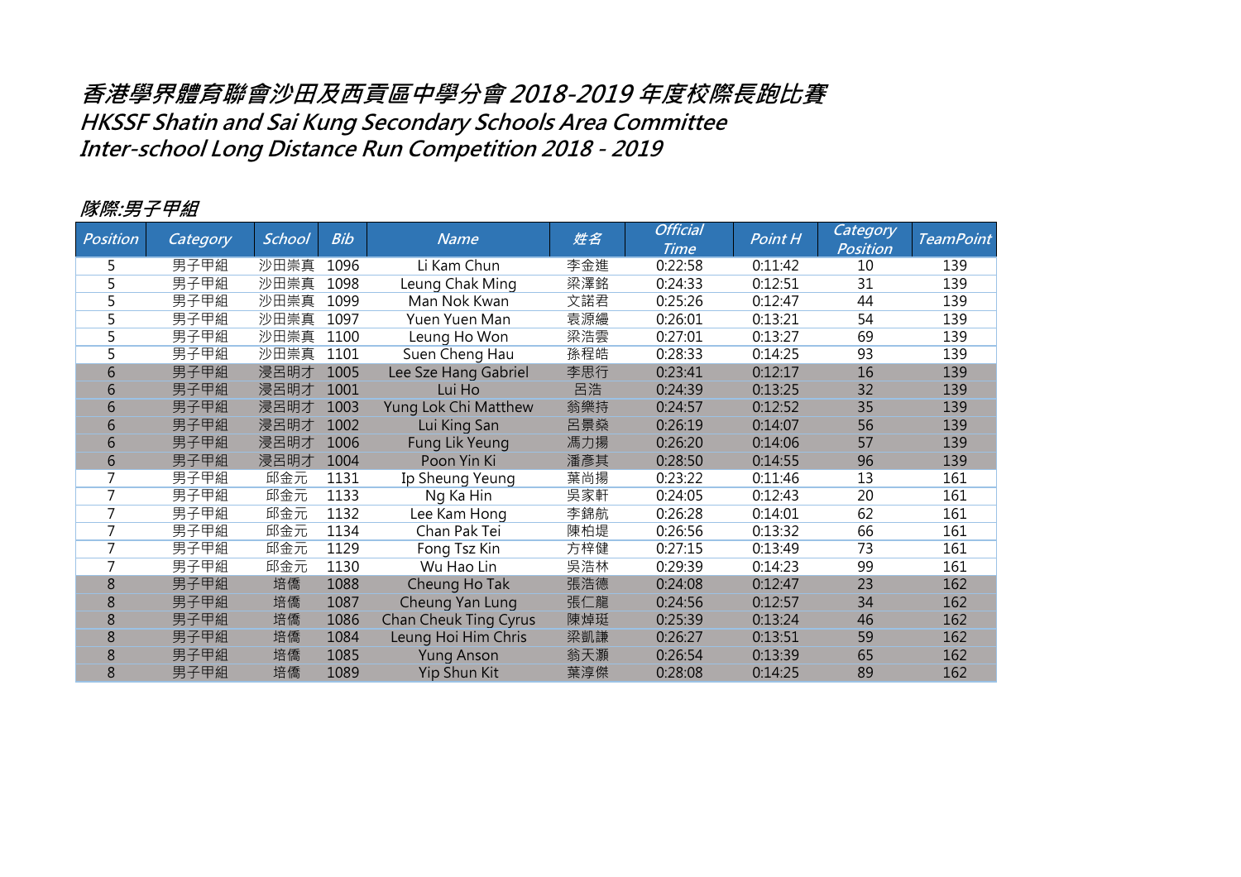| <b>Position</b> | Category | School | <b>Bib</b> | <b>Name</b>           | 姓名  | <b>Official</b><br><b>Time</b> | Point H | Category<br><b>Position</b> | <b>TeamPoint</b> |
|-----------------|----------|--------|------------|-----------------------|-----|--------------------------------|---------|-----------------------------|------------------|
| 5.              | 男子甲組     | 沙田崇真   | 1096       | Li Kam Chun           | 李金進 | 0:22:58                        | 0:11:42 | 10                          | 139              |
| 5               | 男子甲組     | 沙田崇真   | 1098       | Leung Chak Ming       | 梁澤銘 | 0:24:33                        | 0:12:51 | 31                          | 139              |
| $\overline{5}$  | 男子甲組     | 沙田崇真   | 1099       | Man Nok Kwan          | 文諾君 | 0:25:26                        | 0:12:47 | 44                          | 139              |
| 5               | 男子甲組     | 沙田崇真   | 1097       | Yuen Yuen Man         | 袁源縵 | 0:26:01                        | 0:13:21 | 54                          | 139              |
| 5               | 男子甲組     | 沙田崇真   | 1100       | Leung Ho Won          | 梁浩雲 | 0:27:01                        | 0:13:27 | 69                          | 139              |
| 5               | 男子甲組     | 沙田崇真   | 1101       | Suen Cheng Hau        | 孫程皓 | 0:28:33                        | 0:14:25 | 93                          | 139              |
| 6               | 男子甲組     | 浸呂明才   | 1005       | Lee Sze Hang Gabriel  | 李思行 | 0:23:41                        | 0:12:17 | 16                          | 139              |
| 6               | 男子甲組     | 浸呂明才   | 1001       | Lui Ho                | 呂浩  | 0:24:39                        | 0:13:25 | 32                          | 139              |
| 6               | 男子甲組     | 浸呂明才   | 1003       | Yung Lok Chi Matthew  | 翁樂持 | 0:24:57                        | 0:12:52 | 35                          | 139              |
| 6               | 男子甲組     | 浸呂明才   | 1002       | Lui King San          | 呂景燊 | 0:26:19                        | 0:14:07 | 56                          | 139              |
| 6               | 男子甲組     | 浸呂明才   | 1006       | Fung Lik Yeung        | 馮力揚 | 0:26:20                        | 0:14:06 | 57                          | 139              |
| 6               | 男子甲組     | 浸呂明才   | 1004       | Poon Yin Ki           | 潘彥其 | 0:28:50                        | 0:14:55 | 96                          | 139              |
| 7               | 男子甲組     | 邱金元    | 1131       | Ip Sheung Yeung       | 葉尚揚 | 0:23:22                        | 0:11:46 | 13                          | 161              |
| 7               | 男子甲組     | 邱金元    | 1133       | Ng Ka Hin             | 吳家軒 | 0:24:05                        | 0:12:43 | 20                          | 161              |
| 7               | 男子甲組     | 邱金元    | 1132       | Lee Kam Hong          | 李錦航 | 0:26:28                        | 0:14:01 | 62                          | 161              |
|                 | 男子甲組     | 邱金元    | 1134       | Chan Pak Tei          | 陳柏堤 | 0:26:56                        | 0:13:32 | 66                          | 161              |
| $\overline{7}$  | 男子甲組     | 邱金元    | 1129       | Fong Tsz Kin          | 方梓健 | 0:27:15                        | 0:13:49 | 73                          | 161              |
| $\overline{7}$  | 男子甲組     | 邱金元    | 1130       | Wu Hao Lin            | 吳浩林 | 0:29:39                        | 0:14:23 | 99                          | 161              |
| 8               | 男子甲組     | 培僑     | 1088       | Cheung Ho Tak         | 張浩德 | 0:24:08                        | 0:12:47 | 23                          | 162              |
| 8               | 男子甲組     | 培僑     | 1087       | Cheung Yan Lung       | 張仁龍 | 0:24:56                        | 0:12:57 | 34                          | 162              |
| 8               | 男子甲組     | 培僑     | 1086       | Chan Cheuk Ting Cyrus | 陳焯珽 | 0:25:39                        | 0:13:24 | 46                          | 162              |
| 8               | 男子甲組     | 培僑     | 1084       | Leung Hoi Him Chris   | 梁凱謙 | 0:26:27                        | 0:13:51 | 59                          | 162              |
| 8               | 男子甲組     | 培僑     | 1085       | <b>Yung Anson</b>     | 翁天灝 | 0:26:54                        | 0:13:39 | 65                          | 162              |
| 8               | 男子甲組     | 培僑     | 1089       | Yip Shun Kit          | 葉淳傑 | 0:28:08                        | 0:14:25 | 89                          | 162              |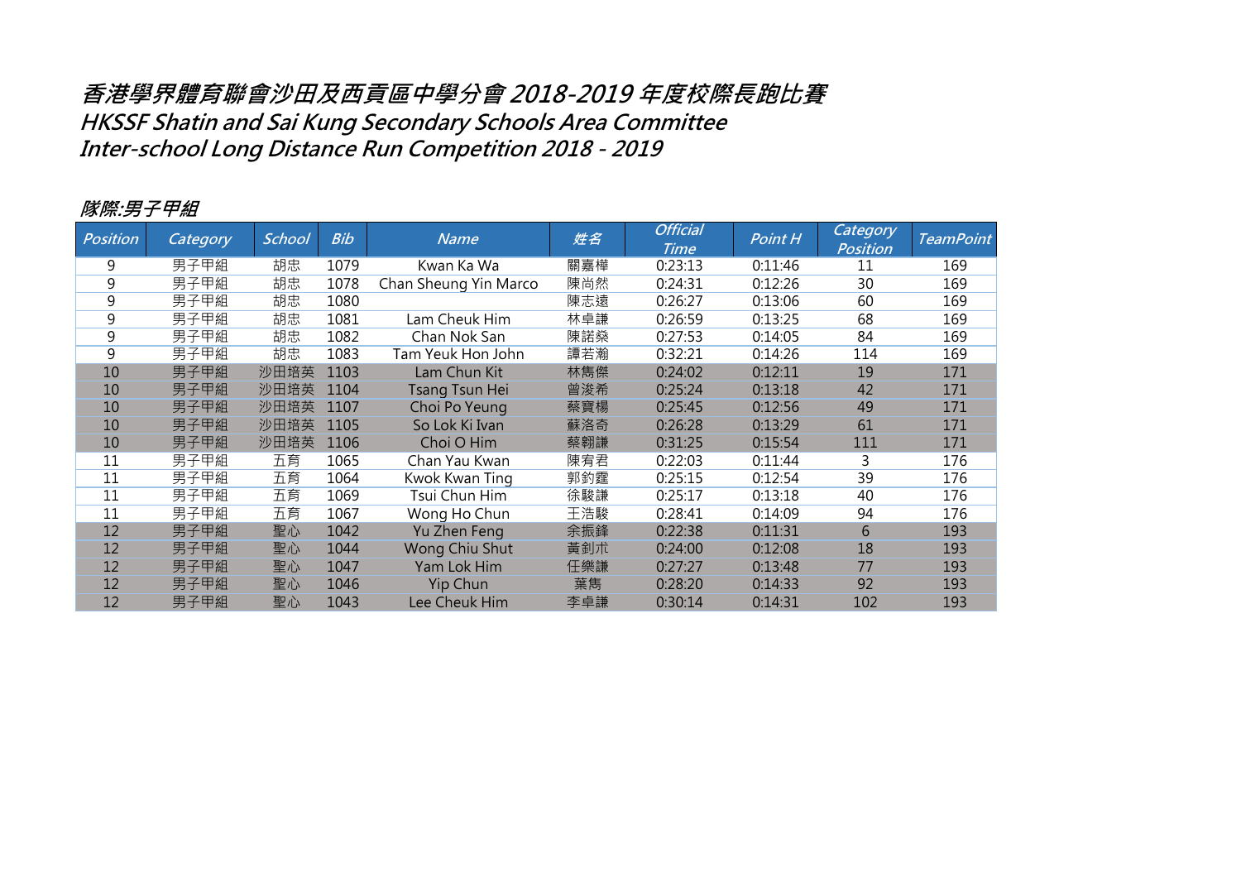| <b>Position</b> |          | School | <b>Bib</b> | <b>Name</b>           | 姓名  | <b>Official</b> | Point H | Category | <b>TeamPoint</b> |
|-----------------|----------|--------|------------|-----------------------|-----|-----------------|---------|----------|------------------|
|                 | Category |        |            |                       |     | <b>Time</b>     |         | Position |                  |
| 9               | 男子甲組     | 胡忠     | 1079       | Kwan Ka Wa            | 關嘉樺 | 0:23:13         | 0:11:46 | 11       | 169              |
| 9               | 男子甲組     | 胡忠     | 1078       | Chan Sheung Yin Marco | 陳尚然 | 0:24:31         | 0:12:26 | 30       | 169              |
| 9               | 男子甲組     | 胡忠     | 1080       |                       | 陳志遠 | 0:26:27         | 0:13:06 | 60       | 169              |
| 9               | 男子甲組     | 胡忠     | 1081       | Lam Cheuk Him         | 林卓謙 | 0:26:59         | 0:13:25 | 68       | 169              |
| 9               | 男子甲組     | 胡忠     | 1082       | Chan Nok San          | 陳諾燊 | 0:27:53         | 0:14:05 | 84       | 169              |
| 9               | 男子甲組     | 胡忠     | 1083       | Tam Yeuk Hon John     | 譚若瀚 | 0:32:21         | 0:14:26 | 114      | 169              |
| 10              | 男子甲組     | 沙田培英   | 1103       | Lam Chun Kit          | 林雋傑 | 0:24:02         | 0:12:11 | 19       | 171              |
| 10              | 男子甲組     | 沙田培英   | 1104       | <b>Tsang Tsun Hei</b> | 曾浚希 | 0:25:24         | 0:13:18 | 42       | 171              |
| 10              | 男子甲組     | 沙田培英   | 1107       | Choi Po Yeung         | 蔡寶楊 | 0:25:45         | 0:12:56 | 49       | 171              |
| 10              | 男子甲組     | 沙田培英   | 1105       | So Lok Ki Ivan        | 蘇洛奇 | 0:26:28         | 0:13:29 | 61       | 171              |
| 10              | 男子甲組     | 沙田培英   | 1106       | Choi O Him            | 蔡翱謙 | 0:31:25         | 0:15:54 | 111      | 171              |
| 11              | 男子甲組     | 五育     | 1065       | Chan Yau Kwan         | 陳宥君 | 0:22:03         | 0:11:44 | 3        | 176              |
| 11              | 男子甲組     | 五育     | 1064       | Kwok Kwan Ting        | 郭釣霆 | 0:25:15         | 0:12:54 | 39       | 176              |
| 11              | 男子甲組     | 五育     | 1069       | Tsui Chun Him         | 徐駿謙 | 0:25:17         | 0:13:18 | 40       | 176              |
| 11              | 男子甲組     | 五育     | 1067       | Wong Ho Chun          | 王浩駿 | 0:28:41         | 0:14:09 | 94       | 176              |
| 12              | 男子甲組     | 聖心     | 1042       | Yu Zhen Feng          | 余振鋒 | 0:22:38         | 0:11:31 | 6        | 193              |
| 12              | 男子甲組     | 聖心     | 1044       | Wong Chiu Shut        | 黃釗朮 | 0:24:00         | 0:12:08 | 18       | 193              |
| 12              | 男子甲組     | 聖心     | 1047       | Yam Lok Him           | 任樂謙 | 0:27:27         | 0:13:48 | 77       | 193              |
| 12              | 男子甲組     | 聖心     | 1046       | Yip Chun              | 葉雋  | 0:28:20         | 0:14:33 | 92       | 193              |
| 12              | 男子甲組     | 聖心     | 1043       | Lee Cheuk Him         | 李卓謙 | 0:30:14         | 0:14:31 | 102      | 193              |
|                 |          |        |            |                       |     |                 |         |          |                  |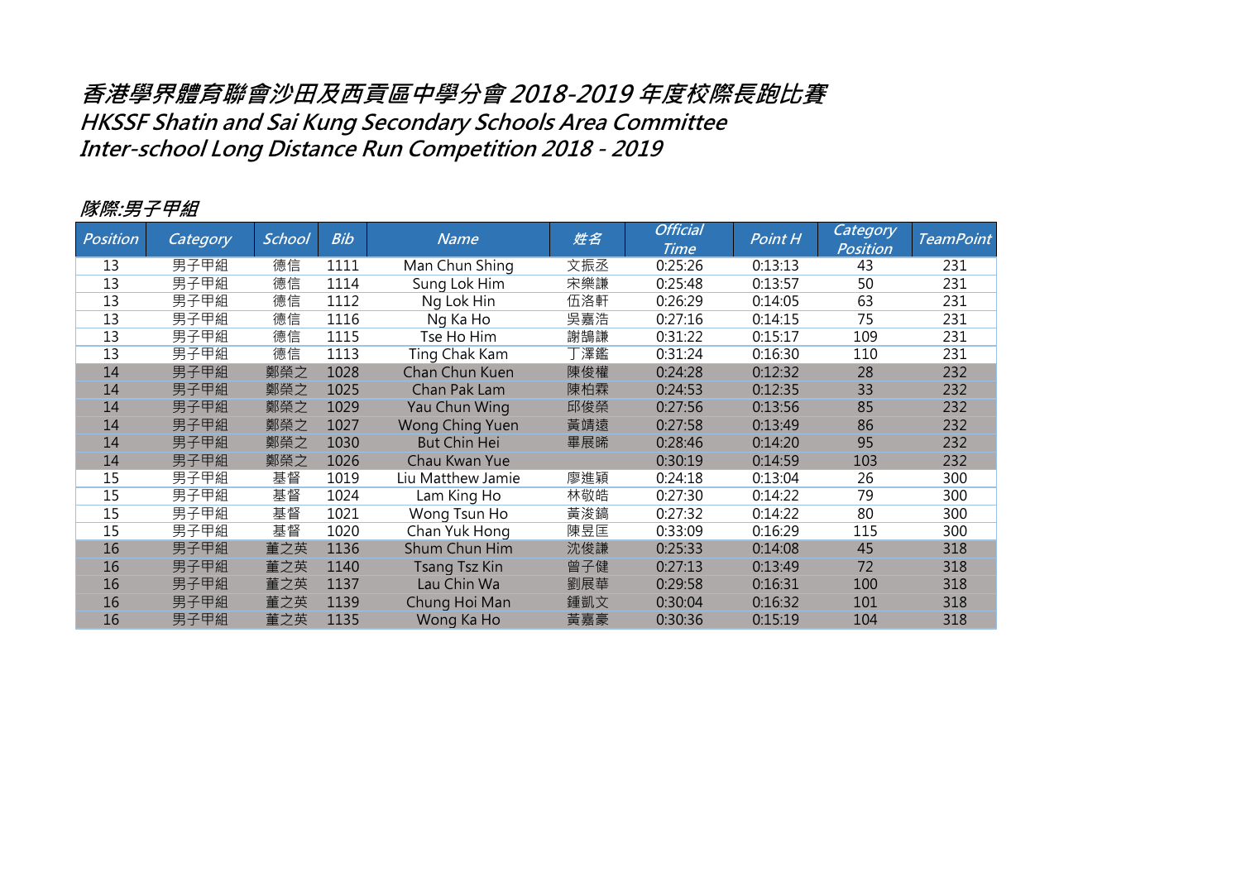| <b>Position</b> |          | School | <b>Bib</b> | <b>Name</b>          | 姓名  | <b>Official</b> | Point H | Category        | <b>TeamPoint</b> |
|-----------------|----------|--------|------------|----------------------|-----|-----------------|---------|-----------------|------------------|
|                 | Category |        |            |                      |     | <b>Time</b>     |         | <b>Position</b> |                  |
| 13              | 男子甲組     | 德信     | 1111       | Man Chun Shing       | 文振丞 | 0:25:26         | 0:13:13 | 43              | 231              |
| 13              | 男子甲組     | 德信     | 1114       | Sung Lok Him         | 宋樂謙 | 0:25:48         | 0:13:57 | 50              | 231              |
| 13              | 男子甲組     | 德信     | 1112       | Ng Lok Hin           | 伍洛軒 | 0:26:29         | 0:14:05 | 63              | 231              |
| 13              | 男子甲組     | 德信     | 1116       | Ng Ka Ho             | 吳嘉浩 | 0:27:16         | 0:14:15 | 75              | 231              |
| 13              | 男子甲組     | 德信     | 1115       | Tse Ho Him           | 謝鵠謙 | 0:31:22         | 0:15:17 | 109             | 231              |
| 13              | 男子甲組     | 德信     | 1113       | Ting Chak Kam        | 丁澤鑑 | 0:31:24         | 0:16:30 | 110             | 231              |
| 14              | 男子甲組     | 鄭榮之    | 1028       | Chan Chun Kuen       | 陳俊權 | 0:24:28         | 0:12:32 | 28              | 232              |
| 14              | 男子甲組     | 鄭榮之    | 1025       | Chan Pak Lam         | 陳柏霖 | 0:24:53         | 0:12:35 | 33              | 232              |
| 14              | 男子甲組     | 鄭榮之    | 1029       | Yau Chun Wing        | 邱俊榮 | 0:27:56         | 0:13:56 | 85              | 232              |
| 14              | 男子甲組     | 鄭榮之    | 1027       | Wong Ching Yuen      | 黃靖遠 | 0:27:58         | 0:13:49 | 86              | 232              |
| 14              | 男子甲組     | 鄭榮之    | 1030       | <b>But Chin Hei</b>  | 畢展晞 | 0:28:46         | 0:14:20 | 95              | 232              |
| 14              | 男子甲組     | 鄭榮之    | 1026       | Chau Kwan Yue        |     | 0:30:19         | 0:14:59 | 103             | 232              |
| 15              | 男子甲組     | 基督     | 1019       | Liu Matthew Jamie    | 廖進穎 | 0:24:18         | 0:13:04 | 26              | 300              |
| 15              | 男子甲組     | 基督     | 1024       | Lam King Ho          | 林敬皓 | 0:27:30         | 0:14:22 | 79              | 300              |
| 15              | 男子甲組     | 基督     | 1021       | Wong Tsun Ho         | 黃浚鎬 | 0:27:32         | 0:14:22 | 80              | 300              |
| 15              | 男子甲組     | 基督     | 1020       | Chan Yuk Hong        | 陳昱匡 | 0:33:09         | 0:16:29 | 115             | 300              |
| 16              | 男子甲組     | 董之英    | 1136       | Shum Chun Him        | 沈俊謙 | 0:25:33         | 0:14:08 | 45              | 318              |
| 16              | 男子甲組     | 董之英    | 1140       | <b>Tsang Tsz Kin</b> | 曾子健 | 0:27:13         | 0:13:49 | 72              | 318              |
| 16              | 男子甲組     | 董之英    | 1137       | Lau Chin Wa          | 劉展華 | 0:29:58         | 0:16:31 | 100             | 318              |
| 16              | 男子甲組     | 董之英    | 1139       | Chung Hoi Man        | 鍾凱文 | 0:30:04         | 0:16:32 | 101             | 318              |
| 16              | 男子甲組     | 董之英    | 1135       | Wong Ka Ho           | 黃嘉豪 | 0:30:36         | 0:15:19 | 104             | 318              |
|                 |          |        |            |                      |     |                 |         |                 |                  |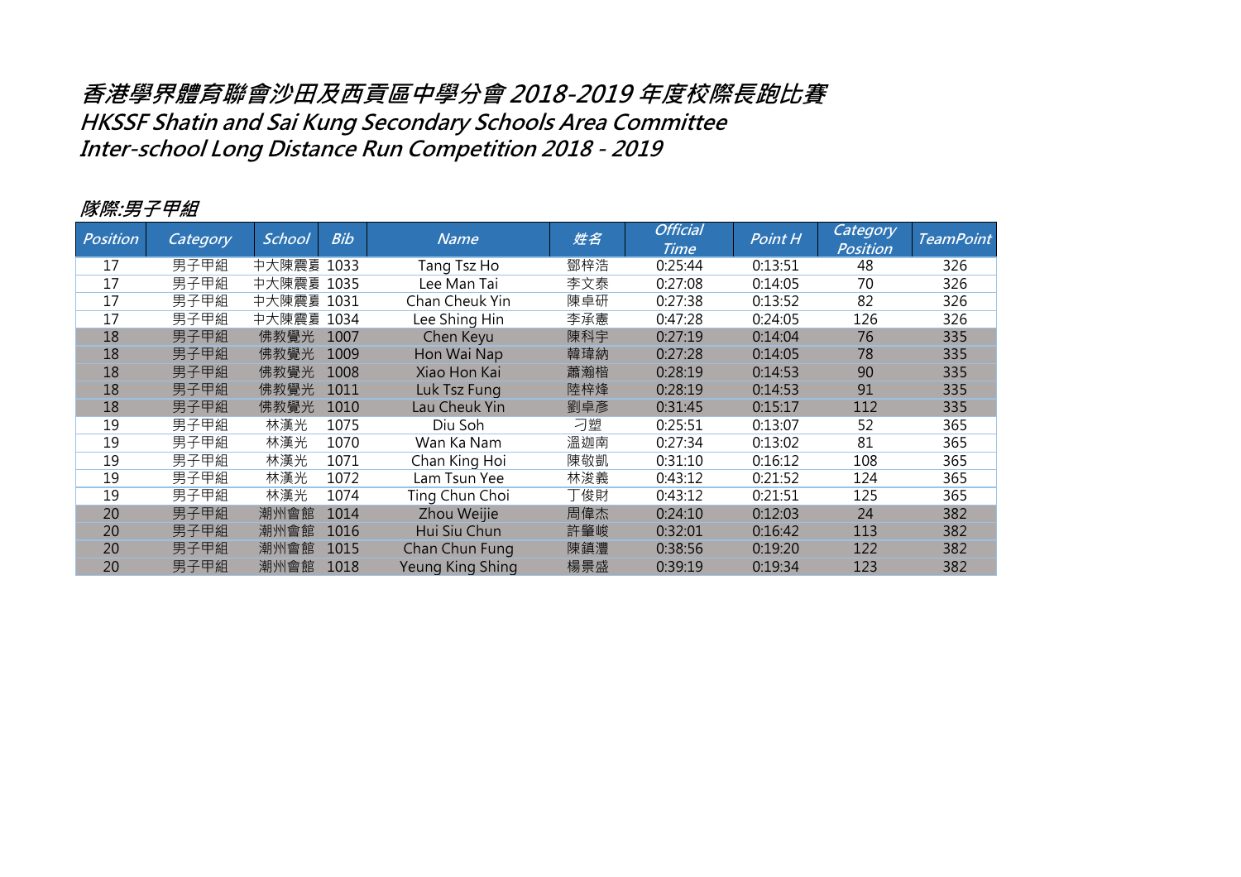| <b>Position</b> | Category | School | <b>Bib</b> | <b>Name</b>      | 姓名  | <b>Official</b><br><b>Time</b> | Point H | Category<br>Position | <b>TeamPoint</b> |
|-----------------|----------|--------|------------|------------------|-----|--------------------------------|---------|----------------------|------------------|
| 17              | 男子甲組     | 中大陳震夏  | 1033       | Tang Tsz Ho      | 鄧梓浩 | 0:25:44                        | 0:13:51 | 48                   | 326              |
| 17              | 男子甲組     | 中大陳震夏  | 1035       | Lee Man Tai      | 李文泰 | 0:27:08                        | 0:14:05 | 70                   | 326              |
| 17              | 男子甲組     | 中大陳震夏  | 1031       | Chan Cheuk Yin   | 陳卓研 | 0:27:38                        | 0:13:52 | 82                   | 326              |
| 17              | 男子甲組     | 中大陳震夏  | 1034       | Lee Shing Hin    | 李承憲 | 0:47:28                        | 0:24:05 | 126                  | 326              |
| 18              | 男子甲組     | 佛教覺光   | 1007       | Chen Keyu        | 陳科宇 | 0:27:19                        | 0:14:04 | 76                   | 335              |
| 18              | 男子甲組     | 佛教覺光   | 1009       | Hon Wai Nap      | 韓瑋納 | 0:27:28                        | 0:14:05 | 78                   | 335              |
| 18              | 男子甲組     | 佛教覺光   | 1008       | Xiao Hon Kai     | 蕭瀚楷 | 0:28:19                        | 0:14:53 | 90                   | 335              |
| 18              | 男子甲組     | 佛教覺光   | 1011       | Luk Tsz Fung     | 陸梓烽 | 0:28:19                        | 0:14:53 | 91                   | 335              |
| 18              | 男子甲組     | 佛教覺光   | 1010       | Lau Cheuk Yin    | 劉卓彥 | 0:31:45                        | 0:15:17 | 112                  | 335              |
| 19              | 男子甲組     | 林漢光    | 1075       | Diu Soh          | 刁塑  | 0:25:51                        | 0:13:07 | 52                   | 365              |
| 19              | 男子甲組     | 林漢光    | 1070       | Wan Ka Nam       | 溫迦南 | 0:27:34                        | 0:13:02 | 81                   | 365              |
| 19              | 男子甲組     | 林漢光    | 1071       | Chan King Hoi    | 陳敬凱 | 0:31:10                        | 0:16:12 | 108                  | 365              |
| 19              | 男子甲組     | 林漢光    | 1072       | Lam Tsun Yee     | 林浚義 | 0:43:12                        | 0:21:52 | 124                  | 365              |
| 19              | 男子甲組     | 林漢光    | 1074       | Ting Chun Choi   | 丁俊財 | 0:43:12                        | 0:21:51 | 125                  | 365              |
| 20              | 男子甲組     | 潮州會館   | 1014       | Zhou Weijie      | 周偉杰 | 0:24:10                        | 0:12:03 | 24                   | 382              |
| 20              | 男子甲組     | 潮州會館   | 1016       | Hui Siu Chun     | 許肇峻 | 0:32:01                        | 0:16:42 | 113                  | 382              |
| 20              | 男子甲組     | 潮州會館   | 1015       | Chan Chun Fung   | 陳鎮灃 | 0:38:56                        | 0:19:20 | 122                  | 382              |
| 20              | 男子甲組     | 潮州會館   | 1018       | Yeung King Shing | 楊景盛 | 0:39:19                        | 0:19:34 | 123                  | 382              |
|                 |          |        |            |                  |     |                                |         |                      |                  |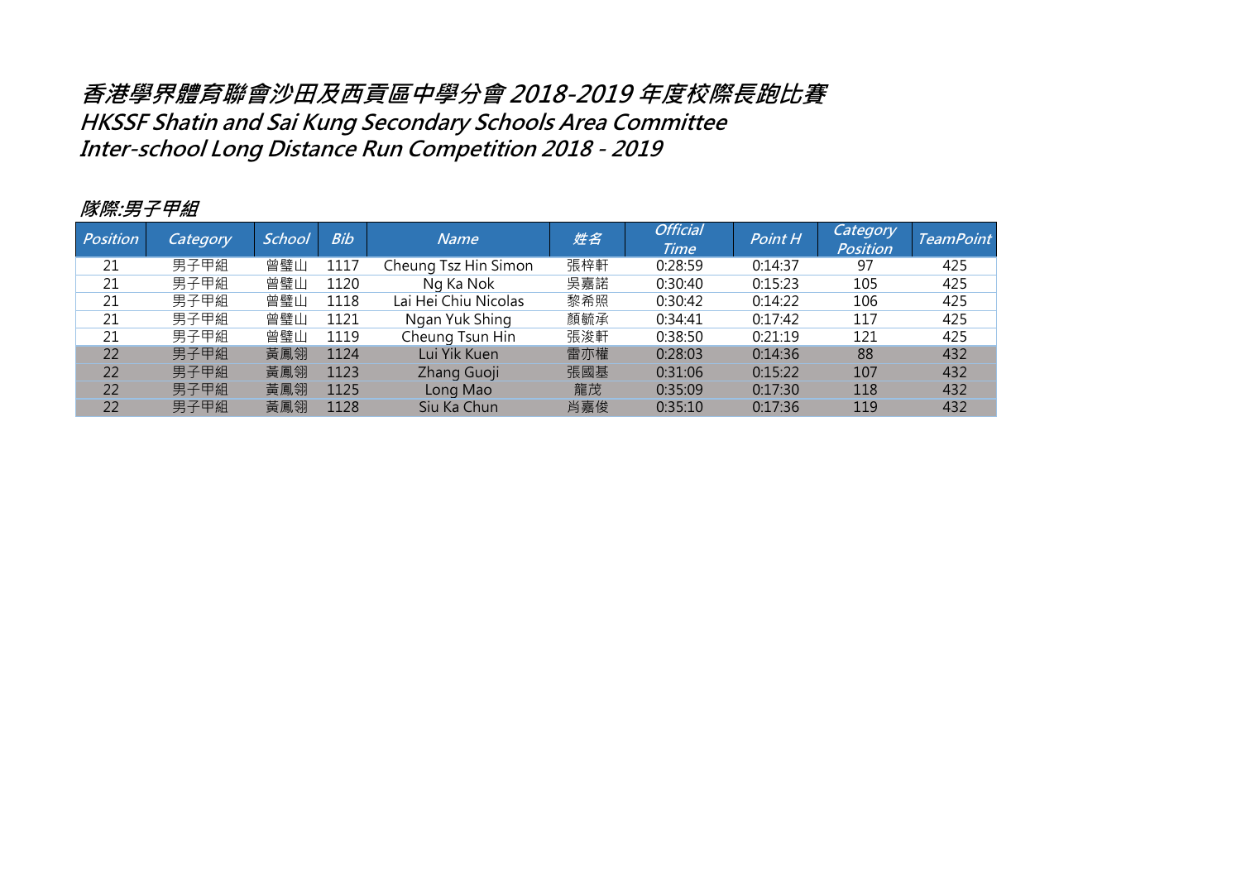| Position | Category | School | <b>Bib</b> | <b>Name</b>          | 姓名  | <b>Official</b><br><b>Time</b> | <b>Point H</b> | <b>Category</b><br><b>Position</b> | TeamPoint |
|----------|----------|--------|------------|----------------------|-----|--------------------------------|----------------|------------------------------------|-----------|
| 21       | 男子甲組     | 曾璧山    | 1117       | Cheung Tsz Hin Simon | 張梓軒 | 0:28:59                        | 0:14:37        | 97                                 | 425       |
| 21       | 男子甲組     | 曾璧山    | 1120       | Ng Ka Nok            | 吳嘉諾 | 0:30:40                        | 0:15:23        | 105                                | 425       |
| 21       | 男子甲組     | 曾璧山    | 1118       | Lai Hei Chiu Nicolas | 黎希照 | 0:30:42                        | 0:14:22        | 106                                | 425       |
| 21       | 男子甲組     | 曾璧山    | 1121       | Ngan Yuk Shing       | 顏毓承 | 0:34:41                        | 0:17:42        | 117                                | 425       |
| 21       | 男子甲組     | 曾璧山    | 1119       | Cheung Tsun Hin      | 張浚軒 | 0:38:50                        | 0:21:19        | 121                                | 425       |
| 22       | 男子甲組     | 黃鳳翎    | 1124       | Lui Yik Kuen         | 雷亦權 | 0:28:03                        | 0:14:36        | 88                                 | 432       |
| 22       | 男子甲組     | 黃鳳翎    | 1123       | Zhang Guoji          | 張國基 | 0:31:06                        | 0:15:22        | 107                                | 432       |
| 22       | 男子甲組     | 黃鳳翎    | 1125       | Long Mao             | 龍茂  | 0:35:09                        | 0:17:30        | 118                                | 432       |
| 22       | 男子甲組     | 黃鳳翎    | 1128       | Siu Ka Chun          | 肖嘉俊 | 0:35:10                        | 0:17:36        | 119                                | 432       |
|          |          |        |            |                      |     |                                |                |                                    |           |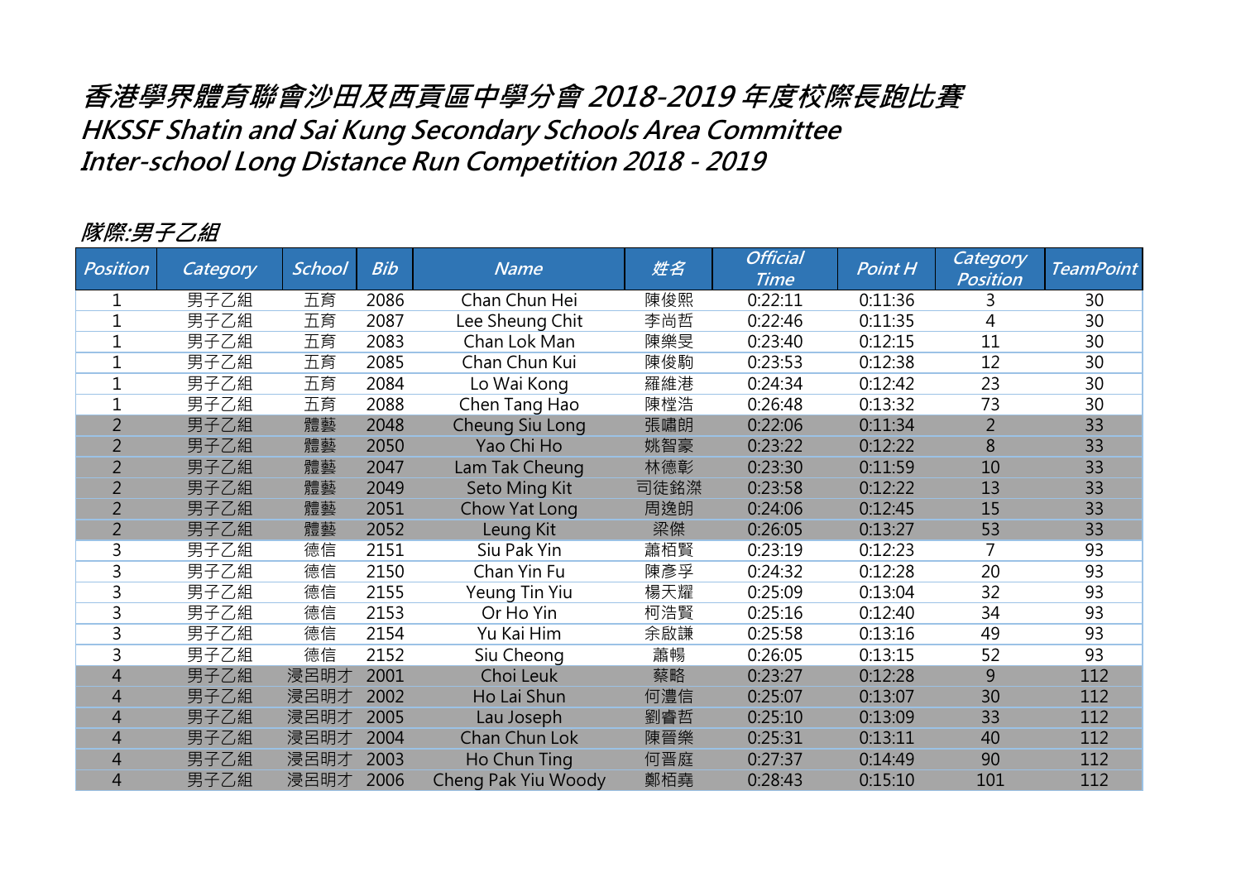| Position       | Category | School | <b>Bib</b> | <b>Name</b>         | 姓名   | <b>Official</b><br><b>Time</b> | Point H | Category<br>Position | <b>TeamPoint</b> |
|----------------|----------|--------|------------|---------------------|------|--------------------------------|---------|----------------------|------------------|
| 1              | 男子乙組     | 五育     | 2086       | Chan Chun Hei       | 陳俊熙  | 0:22:11                        | 0:11:36 | 3.                   | 30               |
| 1              | 男子乙組     | 五育     | 2087       | Lee Sheung Chit     | 李尚哲  | 0:22:46                        | 0:11:35 | 4                    | 30               |
|                | 男子乙組     | 五育     | 2083       | Chan Lok Man        | 陳樂旻  | 0:23:40                        | 0:12:15 | 11                   | 30               |
| 1              | 男子乙組     | 五育     | 2085       | Chan Chun Kui       | 陳俊駒  | 0:23:53                        | 0:12:38 | 12                   | 30               |
|                | 男子乙組     | 五育     | 2084       | Lo Wai Kong         | 羅維港  | 0:24:34                        | 0:12:42 | 23                   | 30               |
|                | 男子乙組     | 五育     | 2088       | Chen Tang Hao       | 陳樘浩  | 0:26:48                        | 0:13:32 | 73                   | 30               |
| $\overline{2}$ | 男子乙組     | 體藝     | 2048       | Cheung Siu Long     | 張嘯朗  | 0:22:06                        | 0:11:34 | $\overline{2}$       | 33               |
| $\overline{2}$ | 男子乙組     | 體藝     | 2050       | Yao Chi Ho          | 姚智豪  | 0:23:22                        | 0:12:22 | 8                    | 33               |
| $\overline{2}$ | 男子乙組     | 體藝     | 2047       | Lam Tak Cheung      | 林德彰  | 0:23:30                        | 0:11:59 | 10                   | 33               |
| $\overline{2}$ | 男子乙組     | 體藝     | 2049       | Seto Ming Kit       | 司徒銘滐 | 0:23:58                        | 0:12:22 | 13                   | 33               |
| $\overline{2}$ | 男子乙組     | 體藝     | 2051       | Chow Yat Long       | 周逸朗  | 0:24:06                        | 0:12:45 | 15                   | 33               |
| $\overline{2}$ | 男子乙組     | 體藝     | 2052       | Leung Kit           | 梁傑   | 0:26:05                        | 0:13:27 | 53                   | 33               |
| 3              | 男子乙組     | 德信     | 2151       | Siu Pak Yin         | 蕭栢賢  | 0:23:19                        | 0:12:23 | $\overline{7}$       | 93               |
| 3              | 男子乙組     | 德信     | 2150       | Chan Yin Fu         | 陳彥孚  | 0:24:32                        | 0:12:28 | 20                   | 93               |
| 3              | 男子乙組     | 德信     | 2155       | Yeung Tin Yiu       | 楊天耀  | 0:25:09                        | 0:13:04 | 32                   | 93               |
| 3              | 男子乙組     | 德信     | 2153       | Or Ho Yin           | 柯浩賢  | 0:25:16                        | 0:12:40 | 34                   | 93               |
| 3              | 男子乙組     | 德信     | 2154       | Yu Kai Him          | 余啟謙  | 0:25:58                        | 0:13:16 | 49                   | 93               |
| 3              | 男子乙組     | 德信     | 2152       | Siu Cheong          | 蕭暢   | 0:26:05                        | 0:13:15 | $\overline{52}$      | 93               |
| $\overline{4}$ | 男子乙組     | 浸呂明才   | 2001       | Choi Leuk           | 蔡略   | 0:23:27                        | 0:12:28 | 9                    | 112              |
| 4              | 男子乙組     | 浸呂明才   | 2002       | Ho Lai Shun         | 何澧信  | 0:25:07                        | 0:13:07 | 30                   | 112              |
| 4              | 男子乙組     | 浸呂明才   | 2005       | Lau Joseph          | 劉睿哲  | 0:25:10                        | 0:13:09 | 33                   | 112              |
| 4              | 男子乙組     | 浸呂明才   | 2004       | Chan Chun Lok       | 陳晉樂  | 0:25:31                        | 0:13:11 | 40                   | 112              |
| 4              | 男子乙組     | 浸呂明才   | 2003       | Ho Chun Ting        | 何晋庭  | 0:27:37                        | 0:14:49 | 90                   | 112              |
| $\overline{4}$ | 男子乙組     | 浸呂明才   | 2006       | Cheng Pak Yiu Woody | 鄭栢堯  | 0:28:43                        | 0:15:10 | 101                  | 112              |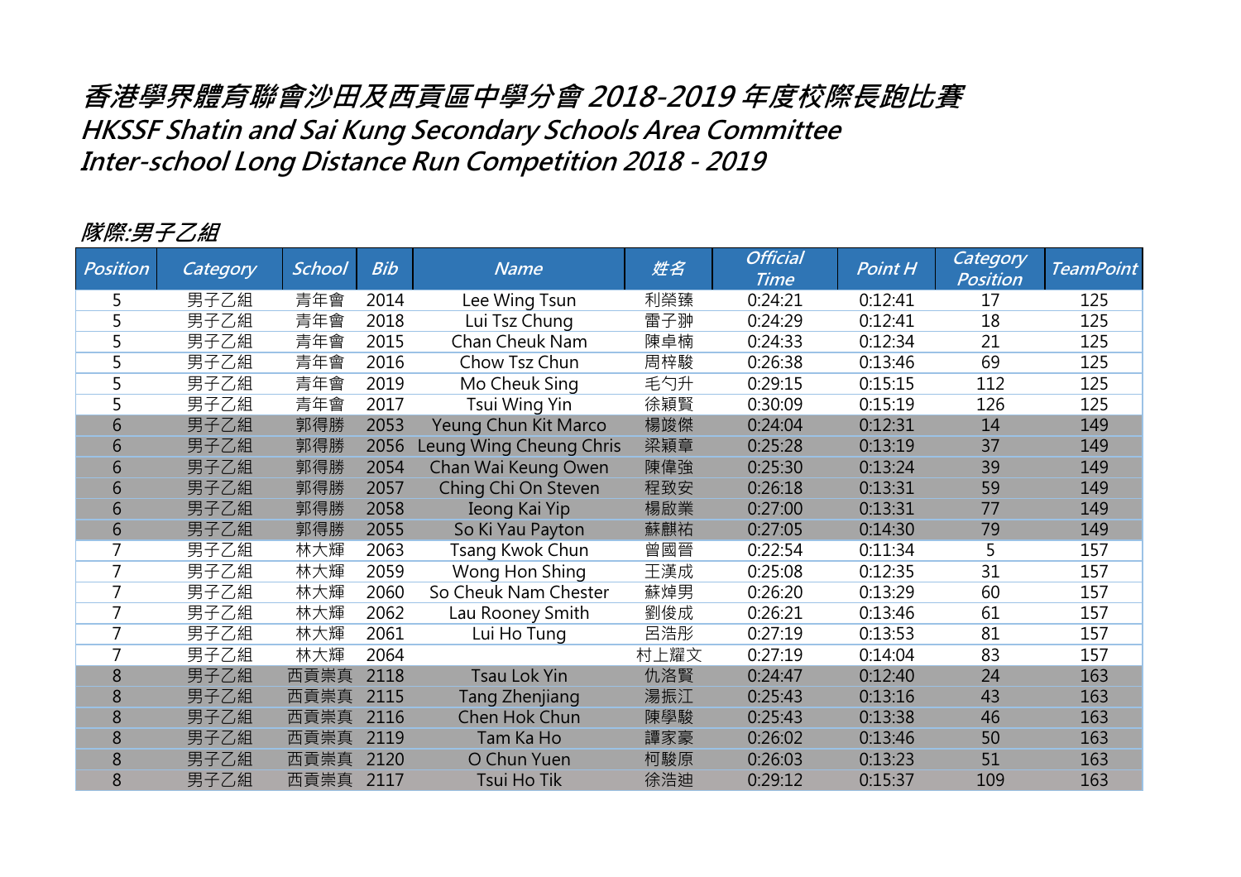| <b>Position</b> | Category | School | <b>Bib</b> | <b>Name</b>             | 姓名   | <b>Official</b><br><b>Time</b> | Point H | Category<br><b>Position</b> | <b>TeamPoint</b> |
|-----------------|----------|--------|------------|-------------------------|------|--------------------------------|---------|-----------------------------|------------------|
| 5               | 男子乙組     | 青年會    | 2014       | Lee Wing Tsun           | 利榮臻  | 0:24:21                        | 0:12:41 | 17                          | 125              |
| 5               | 男子乙組     | 青年會    | 2018       | Lui Tsz Chung           | 雷子翀  | 0:24:29                        | 0:12:41 | 18                          | 125              |
| 5               | 男子乙組     | 青年會    | 2015       | Chan Cheuk Nam          | 陳卓楠  | 0:24:33                        | 0:12:34 | 21                          | 125              |
| 5               | 男子乙組     | 青年會    | 2016       | Chow Tsz Chun           | 周梓駿  | 0:26:38                        | 0:13:46 | 69                          | 125              |
| 5               | 男子乙組     | 青年會    | 2019       | Mo Cheuk Sing           | 毛勺升  | 0:29:15                        | 0:15:15 | 112                         | 125              |
| 5               | 男子乙組     | 青年會    | 2017       | Tsui Wing Yin           | 徐穎賢  | 0:30:09                        | 0:15:19 | 126                         | 125              |
| 6               | 男子乙組     | 郭得勝    | 2053       | Yeung Chun Kit Marco    | 楊竣傑  | 0:24:04                        | 0:12:31 | 14                          | 149              |
| 6               | 男子乙組     | 郭得勝    | 2056       | Leung Wing Cheung Chris | 梁穎章  | 0:25:28                        | 0:13:19 | 37                          | 149              |
| 6               | 男子乙組     | 郭得勝    | 2054       | Chan Wai Keung Owen     | 陳偉強  | 0:25:30                        | 0:13:24 | 39                          | 149              |
| 6               | 男子乙組     | 郭得勝    | 2057       | Ching Chi On Steven     | 程致安  | 0:26:18                        | 0:13:31 | 59                          | 149              |
| 6               | 男子乙組     | 郭得勝    | 2058       | Ieong Kai Yip           | 楊啟業  | 0:27:00                        | 0:13:31 | 77                          | 149              |
| 6               | 男子乙組     | 郭得勝    | 2055       | So Ki Yau Payton        | 蘇麒祐  | 0:27:05                        | 0:14:30 | 79                          | 149              |
| 7               | 男子乙組     | 林大輝    | 2063       | Tsang Kwok Chun         | 曾國晉  | 0:22:54                        | 0:11:34 | 5                           | 157              |
| $\overline{7}$  | 男子乙組     | 林大輝    | 2059       | Wong Hon Shing          | 王漢成  | 0:25:08                        | 0:12:35 | 31                          | 157              |
| 7               | 男子乙組     | 林大輝    | 2060       | So Cheuk Nam Chester    | 蘇焯男  | 0:26:20                        | 0:13:29 | 60                          | 157              |
| 7               | 男子乙組     | 林大輝    | 2062       | Lau Rooney Smith        | 劉俊成  | 0:26:21                        | 0:13:46 | 61                          | 157              |
| 7               | 男子乙組     | 林大輝    | 2061       | Lui Ho Tung             | 呂浩彤  | 0:27:19                        | 0:13:53 | 81                          | 157              |
| $\overline{7}$  | 男子乙組     | 林大輝    | 2064       |                         | 村上耀文 | 0:27:19                        | 0:14:04 | 83                          | 157              |
| 8               | 男子乙組     | 西貢崇真   | 2118       | <b>Tsau Lok Yin</b>     | 仇洛賢  | 0:24:47                        | 0:12:40 | 24                          | 163              |
| 8               | 男子乙組     | 西貢崇真   | 2115       | <b>Tang Zhenjiang</b>   | 湯振江  | 0:25:43                        | 0:13:16 | 43                          | 163              |
| 8               | 男子乙組     | 西貢崇真   | 2116       | Chen Hok Chun           | 陳學駿  | 0:25:43                        | 0:13:38 | 46                          | 163              |
| 8               | 男子乙組     | 西貢崇真   | 2119       | Tam Ka Ho               | 譚家豪  | 0:26:02                        | 0:13:46 | 50                          | 163              |
| 8               | 男子乙組     | 西貢崇真   | 2120       | O Chun Yuen             | 柯駿原  | 0:26:03                        | 0:13:23 | 51                          | 163              |
| 8               | 男子乙組     | 西貢崇真   | 2117       | Tsui Ho Tik             | 徐浩迪  | 0:29:12                        | 0:15:37 | 109                         | 163              |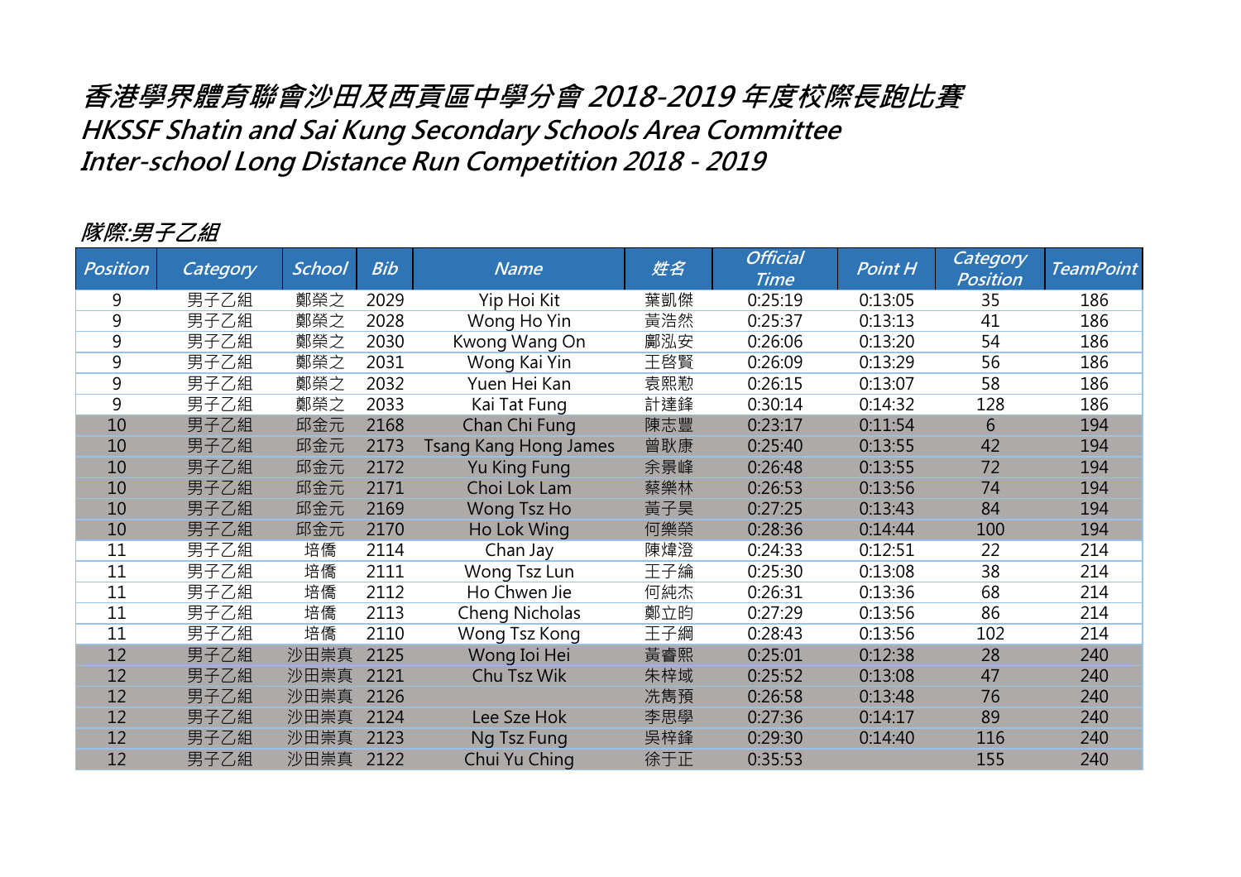| Position | Category | School | <b>Bib</b> | <b>Name</b>                  | 姓名  | <b>Official</b> | Point H | Category        | <b>TeamPoint</b> |
|----------|----------|--------|------------|------------------------------|-----|-----------------|---------|-----------------|------------------|
|          |          |        |            |                              |     | <b>Time</b>     |         | <b>Position</b> |                  |
| 9        | 男子乙組     | 鄭榮之    | 2029       | Yip Hoi Kit                  | 葉凱傑 | 0:25:19         | 0:13:05 | 35              | 186              |
| 9        | 男子乙組     | 鄭榮之    | 2028       | Wong Ho Yin                  | 黃浩然 | 0:25:37         | 0:13:13 | 41              | 186              |
| 9        | 男子乙組     | 鄭榮之    | 2030       | Kwong Wang On                | 鄺泓安 | 0:26:06         | 0:13:20 | 54              | 186              |
| 9        | 男子乙組     | 鄭榮之    | 2031       | Wong Kai Yin                 | 王啓賢 | 0:26:09         | 0:13:29 | 56              | 186              |
| 9        | 男子乙組     | 鄭榮之    | 2032       | Yuen Hei Kan                 | 袁熙懃 | 0:26:15         | 0:13:07 | 58              | 186              |
| 9        | 男子乙組     | 鄭榮之    | 2033       | Kai Tat Fung                 | 計達鋒 | 0:30:14         | 0:14:32 | 128             | 186              |
| 10       | 男子乙組     | 邱金元    | 2168       | Chan Chi Fung                | 陳志豐 | 0:23:17         | 0:11:54 | 6               | 194              |
| 10       | 男子乙組     | 邱金元    | 2173       | <b>Tsang Kang Hong James</b> | 曾耿康 | 0:25:40         | 0:13:55 | 42              | 194              |
| 10       | 男子乙組     | 邱金元    | 2172       | Yu King Fung                 | 余景峰 | 0:26:48         | 0:13:55 | 72              | 194              |
| 10       | 男子乙組     | 邱金元    | 2171       | Choi Lok Lam                 | 蔡樂林 | 0:26:53         | 0:13:56 | 74              | 194              |
| 10       | 男子乙組     | 邱金元    | 2169       | Wong Tsz Ho                  | 黃子昊 | 0:27:25         | 0:13:43 | 84              | 194              |
| 10       | 男子乙組     | 邱金元    | 2170       | Ho Lok Wing                  | 何樂榮 | 0:28:36         | 0:14:44 | 100             | 194              |
| 11       | 男子乙組     | 培僑     | 2114       | Chan Jay                     | 陳煒澄 | 0:24:33         | 0:12:51 | 22              | 214              |
| 11       | 男子乙組     | 培僑     | 2111       | Wong Tsz Lun                 | 王子綸 | 0:25:30         | 0:13:08 | 38              | 214              |
| 11       | 男子乙組     | 培僑     | 2112       | Ho Chwen Jie                 | 何純杰 | 0:26:31         | 0:13:36 | 68              | 214              |
| 11       | 男子乙組     | 培僑     | 2113       | Cheng Nicholas               | 鄭立昀 | 0:27:29         | 0:13:56 | 86              | 214              |
| 11       | 男子乙組     | 培僑     | 2110       | Wong Tsz Kong                | 王子綱 | 0:28:43         | 0:13:56 | 102             | 214              |
| 12       | 男子乙組     | 沙田崇真   | 2125       | Wong Ioi Hei                 | 黃睿熙 | 0:25:01         | 0:12:38 | 28              | 240              |
| 12       | 男子乙組     | 沙田崇真   | 2121       | Chu Tsz Wik                  | 朱梓域 | 0:25:52         | 0:13:08 | 47              | 240              |
| 12       | 男子乙組     | 沙田崇真   | 2126       |                              | 洗雋預 | 0:26:58         | 0:13:48 | 76              | 240              |
| 12       | 男子乙組     | 沙田崇真   | 2124       | Lee Sze Hok                  | 李思學 | 0:27:36         | 0:14:17 | 89              | 240              |
| 12       | 男子乙組     | 沙田崇真   | 2123       | Ng Tsz Fung                  | 吳梓鋒 | 0:29:30         | 0:14:40 | 116             | 240              |
| 12       | 男子乙組     | 沙田崇真   | 2122       | Chui Yu Ching                | 徐于正 | 0:35:53         |         | 155             | 240              |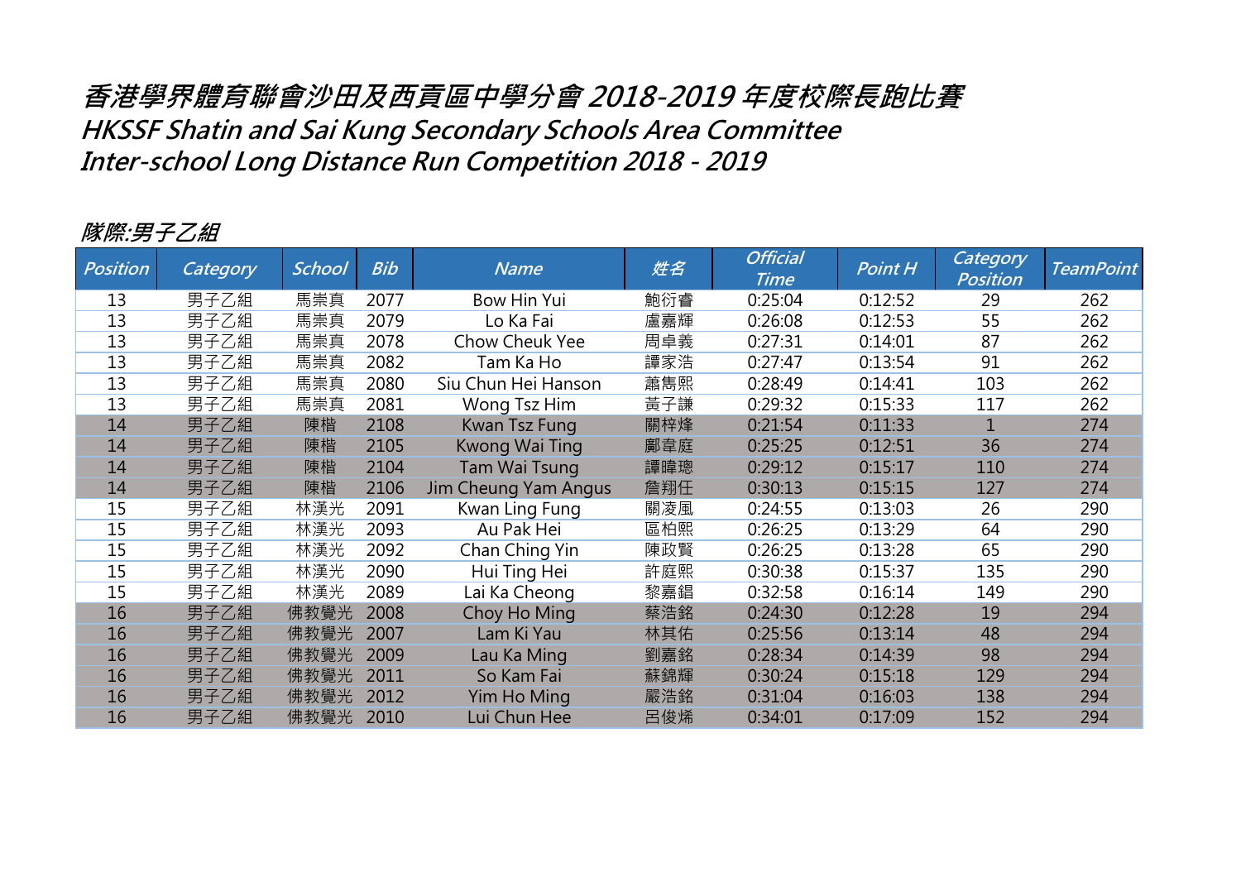| Position | Category | School | <b>Bib</b> | <b>Name</b>          | 姓名  | <b>Official</b> | Point H | Category        | <b>TeamPoint</b> |
|----------|----------|--------|------------|----------------------|-----|-----------------|---------|-----------------|------------------|
|          |          |        |            |                      |     | <b>Time</b>     |         | <b>Position</b> |                  |
| 13       | 男子乙組     | 馬崇真    | 2077       | <b>Bow Hin Yui</b>   | 鮑衍睿 | 0:25:04         | 0:12:52 | 29              | 262              |
| 13       | 男子乙組     | 馬崇真    | 2079       | Lo Ka Fai            | 盧嘉輝 | 0:26:08         | 0:12:53 | 55              | 262              |
| 13       | 男子乙組     | 馬崇真    | 2078       | Chow Cheuk Yee       | 周卓義 | 0:27:31         | 0:14:01 | 87              | 262              |
| 13       | 男子乙組     | 馬崇真    | 2082       | Tam Ka Ho            | 譚家浩 | 0:27:47         | 0:13:54 | 91              | 262              |
| 13       | 男子乙組     | 馬崇真    | 2080       | Siu Chun Hei Hanson  | 蕭雋熙 | 0:28:49         | 0:14:41 | 103             | 262              |
| 13       | 男子乙組     | 馬崇真    | 2081       | Wong Tsz Him         | 黃子謙 | 0:29:32         | 0:15:33 | 117             | 262              |
| 14       | 男子乙組     | 陳楷     | 2108       | Kwan Tsz Fung        | 關梓烽 | 0:21:54         | 0:11:33 |                 | 274              |
| 14       | 男子乙組     | 陳楷     | 2105       | Kwong Wai Ting       | 鄺韋庭 | 0:25:25         | 0:12:51 | 36              | 274              |
| 14       | 男子乙組     | 陳楷     | 2104       | Tam Wai Tsung        | 譚暐璁 | 0:29:12         | 0:15:17 | 110             | 274              |
| 14       | 男子乙組     | 陳楷     | 2106       | Jim Cheung Yam Angus | 詹翔任 | 0:30:13         | 0:15:15 | 127             | 274              |
| 15       | 男子乙組     | 林漢光    | 2091       | Kwan Ling Fung       | 關凌風 | 0:24:55         | 0:13:03 | 26              | 290              |
| 15       | 男子乙組     | 林漢光    | 2093       | Au Pak Hei           | 區柏熙 | 0:26:25         | 0:13:29 | 64              | 290              |
| 15       | 男子乙組     | 林漢光    | 2092       | Chan Ching Yin       | 陳政賢 | 0:26:25         | 0:13:28 | 65              | 290              |
| 15       | 男子乙組     | 林漢光    | 2090       | Hui Ting Hei         | 許庭熙 | 0:30:38         | 0:15:37 | 135             | 290              |
| 15       | 男子乙組     | 林漢光    | 2089       | Lai Ka Cheong        | 黎嘉錩 | 0:32:58         | 0:16:14 | 149             | 290              |
| 16       | 男子乙組     | 佛教覺光   | 2008       | Choy Ho Ming         | 蔡浩銘 | 0:24:30         | 0:12:28 | 19              | 294              |
| 16       | 男子乙組     | 佛教覺光   | 2007       | Lam Ki Yau           | 林其佑 | 0:25:56         | 0:13:14 | 48              | 294              |
| 16       | 男子乙組     | 佛教覺光   | 2009       | Lau Ka Ming          | 劉嘉銘 | 0:28:34         | 0:14:39 | 98              | 294              |
| 16       | 男子乙組     | 佛教覺光   | 2011       | So Kam Fai           | 蘇錦輝 | 0:30:24         | 0:15:18 | 129             | 294              |
| 16       | 男子乙組     | 佛教覺光   | 2012       | Yim Ho Ming          | 嚴浩銘 | 0:31:04         | 0:16:03 | 138             | 294              |
| 16       | 男子乙組     | 佛教覺光   | 2010       | Lui Chun Hee         | 呂俊烯 | 0:34:01         | 0:17:09 | 152             | 294              |
|          |          |        |            |                      |     |                 |         |                 |                  |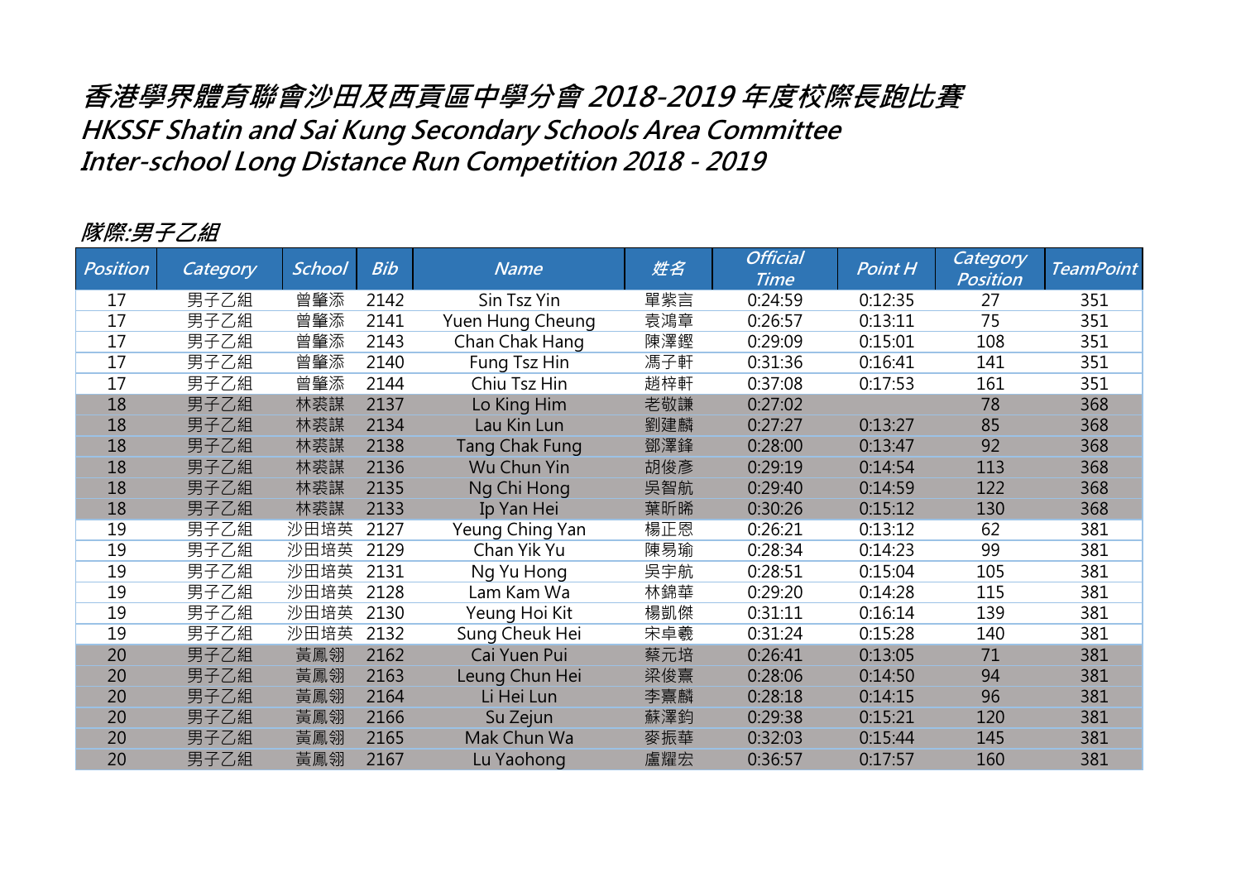| Position | Category | School | <b>Bib</b> | <b>Name</b>           | 姓名  | <b>Official</b>        | Point H | Category              | <b>TeamPoint</b> |
|----------|----------|--------|------------|-----------------------|-----|------------------------|---------|-----------------------|------------------|
| 17       | 男子乙組     | 曾肇添    | 2142       | Sin Tsz Yin           | 單紫言 | <b>Time</b><br>0:24:59 | 0:12:35 | <b>Position</b><br>27 | 351              |
| 17       | 男子乙組     | 曾肇添    | 2141       | Yuen Hung Cheung      | 袁鴻章 | 0:26:57                | 0:13:11 | 75                    | 351              |
| 17       | 男子乙組     | 曾肇添    | 2143       | Chan Chak Hang        | 陳澤鏗 | 0:29:09                | 0:15:01 | 108                   | 351              |
| 17       | 男子乙組     | 曾肇添    | 2140       | Fung Tsz Hin          | 馮子軒 | 0:31:36                | 0:16:41 | 141                   | 351              |
| 17       | 男子乙組     | 曾肇添    | 2144       | Chiu Tsz Hin          | 趙梓軒 | 0:37:08                | 0:17:53 | 161                   | 351              |
| 18       | 男子乙組     | 林裘謀    | 2137       | Lo King Him           | 老敬謙 | 0:27:02                |         | 78                    | 368              |
| 18       | 男子乙組     | 林裘謀    | 2134       | Lau Kin Lun           | 劉建麟 | 0:27:27                | 0:13:27 | 85                    | 368              |
| 18       | 男子乙組     | 林裘謀    | 2138       | <b>Tang Chak Fung</b> | 鄧澤鋒 | 0:28:00                | 0:13:47 | 92                    | 368              |
| 18       | 男子乙組     | 林裘謀    | 2136       | Wu Chun Yin           | 胡俊彥 | 0:29:19                | 0:14:54 | 113                   | 368              |
| 18       | 男子乙組     | 林裘謀    | 2135       | Ng Chi Hong           | 吳智航 | 0:29:40                | 0:14:59 | 122                   | 368              |
| 18       | 男子乙組     | 林裘謀    | 2133       | Ip Yan Hei            | 葉昕晞 | 0:30:26                | 0:15:12 | 130                   | 368              |
| 19       | 男子乙組     | 沙田培英   | 2127       | Yeung Ching Yan       | 楊正恩 | 0:26:21                | 0:13:12 | 62                    | 381              |
| 19       | 男子乙組     | 沙田培英   | 2129       | Chan Yik Yu           | 陳易瑜 | 0:28:34                | 0:14:23 | 99                    | 381              |
| 19       | 男子乙組     | 沙田培英   | 2131       | Ng Yu Hong            | 吳宇航 | 0:28:51                | 0:15:04 | 105                   | 381              |
| 19       | 男子乙組     | 沙田培英   | 2128       | Lam Kam Wa            | 林錦華 | 0:29:20                | 0:14:28 | 115                   | 381              |
| 19       | 男子乙組     | 沙田培英   | 2130       | Yeung Hoi Kit         | 楊凱傑 | 0:31:11                | 0:16:14 | 139                   | 381              |
| 19       | 男子乙組     | 沙田培英   | 2132       | Sung Cheuk Hei        | 宋卓羲 | 0:31:24                | 0:15:28 | 140                   | 381              |
| 20       | 男子乙組     | 黃鳳翎    | 2162       | Cai Yuen Pui          | 蔡元培 | 0:26:41                | 0:13:05 | 71                    | 381              |
| 20       | 男子乙組     | 黃鳳翎    | 2163       | Leung Chun Hei        | 梁俊熹 | 0:28:06                | 0:14:50 | 94                    | 381              |
| 20       | 男子乙組     | 黃鳳翎    | 2164       | Li Hei Lun            | 李熹麟 | 0:28:18                | 0:14:15 | 96                    | 381              |
| 20       | 男子乙組     | 黃鳳翎    | 2166       | Su Zejun              | 蘇澤鈞 | 0:29:38                | 0:15:21 | 120                   | 381              |
| 20       | 男子乙組     | 黃鳳翎    | 2165       | Mak Chun Wa           | 麥振華 | 0:32:03                | 0:15:44 | 145                   | 381              |
| 20       | 男子乙組     | 黃鳳翎    | 2167       | Lu Yaohong            | 盧耀宏 | 0:36:57                | 0:17:57 | 160                   | 381              |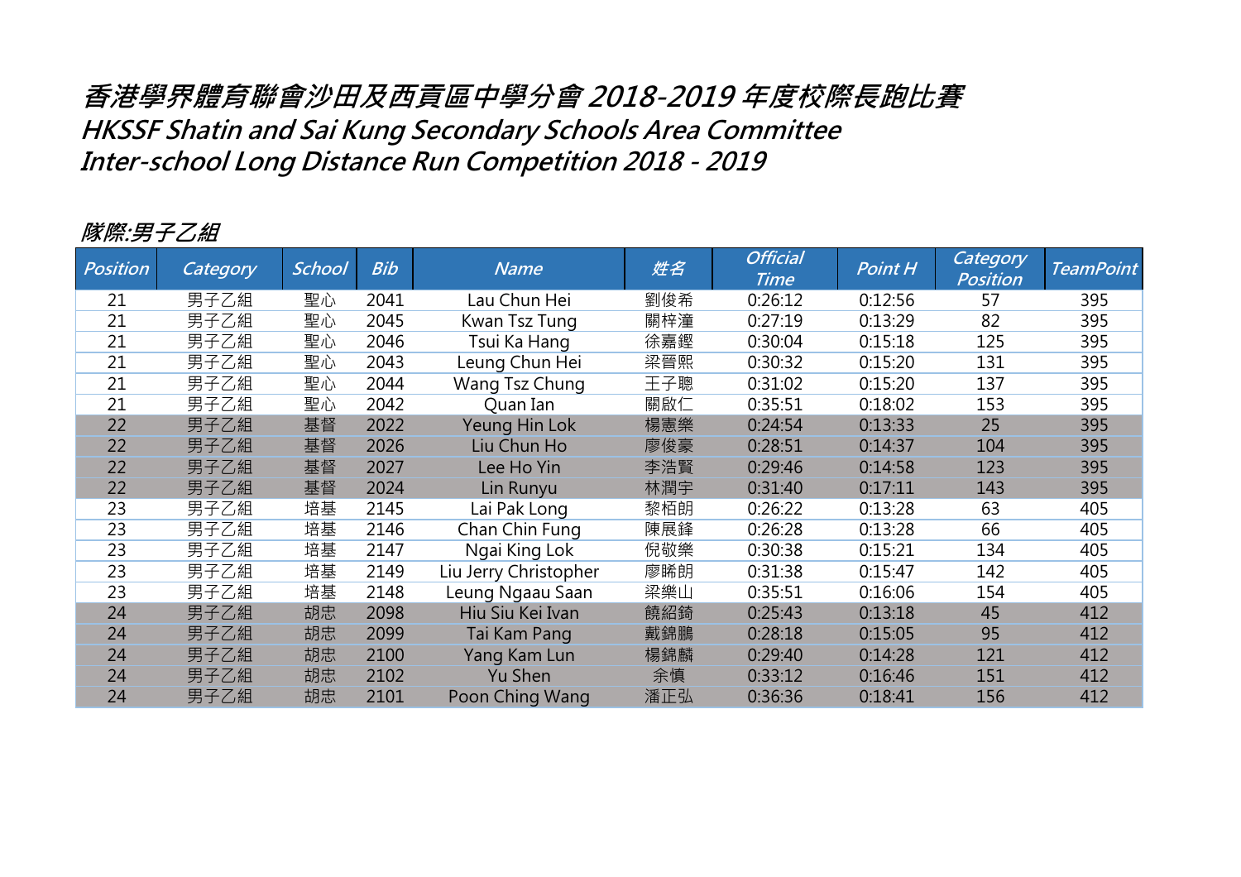| Position | Category | School | <b>Bib</b> | <b>Name</b>           | 姓名  | <b>Official</b><br><b>Time</b> | Point H | Category<br>Position | <b>TeamPoint</b> |
|----------|----------|--------|------------|-----------------------|-----|--------------------------------|---------|----------------------|------------------|
| 21       | 男子乙組     | 聖心     | 2041       | Lau Chun Hei          | 劉俊希 | 0:26:12                        | 0:12:56 | 57                   | 395              |
| 21       | 男子乙組     | 聖心     | 2045       | Kwan Tsz Tung         | 關梓潼 | 0:27:19                        | 0:13:29 | 82                   | 395              |
| 21       | 男子乙組     | 聖心     | 2046       | Tsui Ka Hang          | 徐嘉鏗 | 0:30:04                        | 0:15:18 | 125                  | 395              |
| 21       | 男子乙組     | 聖心     | 2043       | Leung Chun Hei        | 梁晉熙 | 0:30:32                        | 0:15:20 | 131                  | 395              |
| 21       | 男子乙組     | 聖心     | 2044       | Wang Tsz Chung        | 王子聰 | 0:31:02                        | 0:15:20 | 137                  | 395              |
| 21       | 男子乙組     | 聖心     | 2042       | Quan Ian              | 關啟仁 | 0:35:51                        | 0:18:02 | 153                  | 395              |
| 22       | 男子乙組     | 基督     | 2022       | Yeung Hin Lok         | 楊憲樂 | 0:24:54                        | 0:13:33 | 25                   | 395              |
| 22       | 男子乙組     | 基督     | 2026       | Liu Chun Ho           | 廖俊豪 | 0:28:51                        | 0:14:37 | 104                  | 395              |
| 22       | 男子乙組     | 基督     | 2027       | Lee Ho Yin            | 李浩賢 | 0:29:46                        | 0:14:58 | 123                  | 395              |
| 22       | 男子乙組     | 基督     | 2024       | Lin Runyu             | 林潤宇 | 0:31:40                        | 0:17:11 | 143                  | 395              |
| 23       | 男子乙組     | 培基     | 2145       | Lai Pak Long          | 黎栢朗 | 0:26:22                        | 0:13:28 | 63                   | 405              |
| 23       | 男子乙組     | 培基     | 2146       | Chan Chin Fung        | 陳展鋒 | 0:26:28                        | 0:13:28 | 66                   | 405              |
| 23       | 男子乙組     | 培基     | 2147       | Ngai King Lok         | 倪敬樂 | 0:30:38                        | 0:15:21 | 134                  | 405              |
| 23       | 男子乙組     | 培基     | 2149       | Liu Jerry Christopher | 廖睎朗 | 0:31:38                        | 0:15:47 | 142                  | 405              |
| 23       | 男子乙組     | 培基     | 2148       | Leung Ngaau Saan      | 梁樂山 | 0:35:51                        | 0:16:06 | 154                  | 405              |
| 24       | 男子乙組     | 胡忠     | 2098       | Hiu Siu Kei Ivan      | 饒紹錡 | 0:25:43                        | 0:13:18 | 45                   | 412              |
| 24       | 男子乙組     | 胡忠     | 2099       | Tai Kam Pang          | 戴錦鵬 | 0:28:18                        | 0:15:05 | 95                   | 412              |
| 24       | 男子乙組     | 胡忠     | 2100       | Yang Kam Lun          | 楊錦麟 | 0:29:40                        | 0:14:28 | 121                  | 412              |
| 24       | 男子乙組     | 胡忠     | 2102       | Yu Shen               | 余慎  | 0:33:12                        | 0:16:46 | 151                  | 412              |
| 24       | 男子乙組     | 胡忠     | 2101       | Poon Ching Wang       | 潘正弘 | 0:36:36                        | 0:18:41 | 156                  | 412              |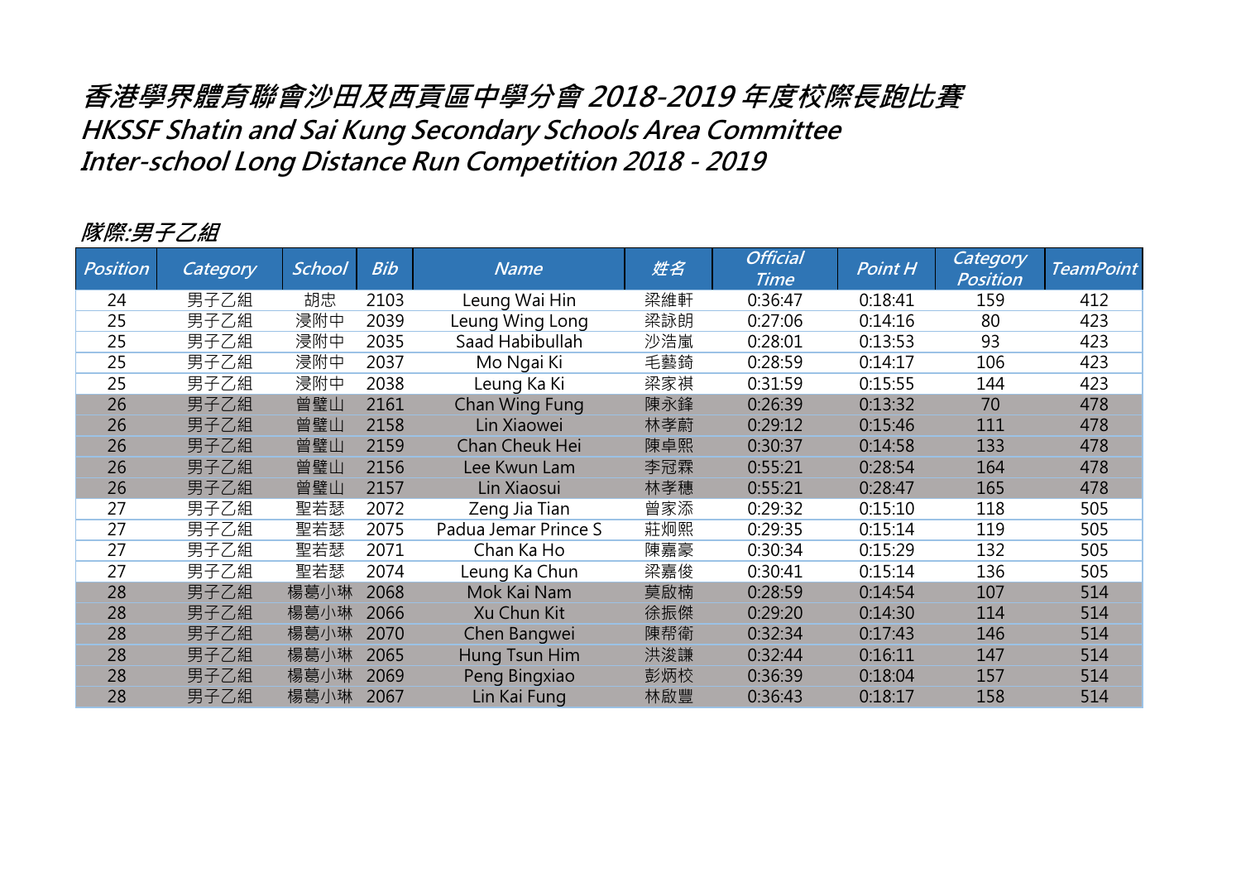| Position | Category | School | <b>Bib</b> | <b>Name</b>           | 姓名  | <b>Official</b><br><b>Time</b> | Point H | Category<br><b>Position</b> | <b>TeamPoint</b> |
|----------|----------|--------|------------|-----------------------|-----|--------------------------------|---------|-----------------------------|------------------|
| 24       | 男子乙組     | 胡忠     | 2103       | Leung Wai Hin         | 梁維軒 | 0:36:47                        | 0:18:41 | 159                         | 412              |
| 25       | 男子乙組     | 浸附中    | 2039       | Leung Wing Long       | 梁詠朗 | 0:27:06                        | 0:14:16 | 80                          | 423              |
| 25       | 男子乙組     | 浸附中    | 2035       | Saad Habibullah       | 沙浩嵐 | 0:28:01                        | 0:13:53 | 93                          | 423              |
| 25       | 男子乙組     | 浸附中    | 2037       | Mo Ngai Ki            | 毛藝錡 | 0:28:59                        | 0:14:17 | 106                         | 423              |
| 25       | 男子乙組     | 浸附中    | 2038       | Leung Ka Ki           | 梁家祺 | 0:31:59                        | 0:15:55 | 144                         | 423              |
| 26       | 男子乙組     | 曾璧山    | 2161       | <b>Chan Wing Fung</b> | 陳永鋒 | 0:26:39                        | 0:13:32 | 70                          | 478              |
| 26       | 男子乙組     | 曾璧山    | 2158       | Lin Xiaowei           | 林孝蔚 | 0:29:12                        | 0:15:46 | 111                         | 478              |
| 26       | 男子乙組     | 曾璧山    | 2159       | Chan Cheuk Hei        | 陳卓熙 | 0:30:37                        | 0:14:58 | 133                         | 478              |
| 26       | 男子乙組     | 曾璧山    | 2156       | Lee Kwun Lam          | 李冠霖 | 0:55:21                        | 0:28:54 | 164                         | 478              |
| 26       | 男子乙組     | 曾璧山    | 2157       | Lin Xiaosui           | 林孝穗 | 0:55:21                        | 0:28:47 | 165                         | 478              |
| 27       | 男子乙組     | 聖若瑟    | 2072       | Zeng Jia Tian         | 曾家添 | 0:29:32                        | 0:15:10 | 118                         | 505              |
| 27       | 男子乙組     | 聖若瑟    | 2075       | Padua Jemar Prince S  | 莊炯熙 | 0:29:35                        | 0:15:14 | 119                         | 505              |
| 27       | 男子乙組     | 聖若瑟    | 2071       | Chan Ka Ho            | 陳嘉豪 | 0:30:34                        | 0:15:29 | 132                         | 505              |
| 27       | 男子乙組     | 聖若瑟    | 2074       | Leung Ka Chun         | 梁嘉俊 | 0:30:41                        | 0:15:14 | 136                         | 505              |
| 28       | 男子乙組     | 楊葛小琳   | 2068       | Mok Kai Nam           | 莫啟楠 | 0:28:59                        | 0:14:54 | 107                         | 514              |
| 28       | 男子乙組     | 楊葛小琳   | 2066       | Xu Chun Kit           | 徐振傑 | 0:29:20                        | 0:14:30 | 114                         | 514              |
| 28       | 男子乙組     | 楊葛小琳   | 2070       | Chen Bangwei          | 陳帮衛 | 0:32:34                        | 0:17:43 | 146                         | 514              |
| 28       | 男子乙組     | 楊葛小琳   | 2065       | Hung Tsun Him         | 洪浚謙 | 0:32:44                        | 0:16:11 | 147                         | 514              |
| 28       | 男子乙組     | 楊葛小琳   | 2069       | Peng Bingxiao         | 彭炳校 | 0:36:39                        | 0:18:04 | 157                         | 514              |
| 28       | 男子乙組     | 楊葛小琳   | 2067       | Lin Kai Fung          | 林啟豐 | 0:36:43                        | 0:18:17 | 158                         | 514              |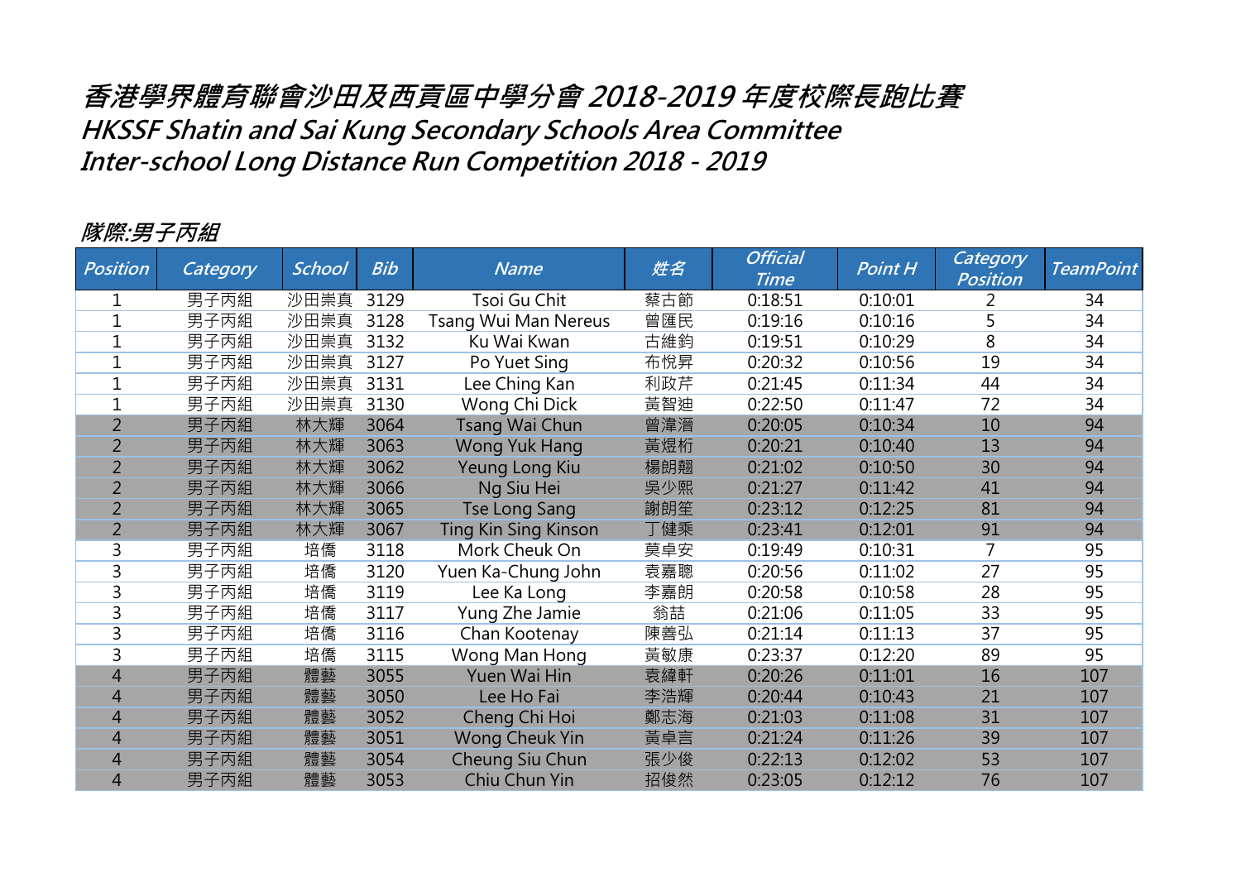| <b>Position</b> | Category | School | <b>Bib</b> | <b>Name</b>                 | 姓名  | <b>Official</b><br><b>Time</b> | Point H | Category<br><b>Position</b> | <b>TeamPoint</b> |
|-----------------|----------|--------|------------|-----------------------------|-----|--------------------------------|---------|-----------------------------|------------------|
| 1               | 男子丙組     | 沙田崇真   | 3129       | Tsoi Gu Chit                | 蔡古節 | 0:18:51                        | 0:10:01 | 2                           | 34               |
| 1               | 男子丙組     | 沙田崇真   | 3128       | Tsang Wui Man Nereus        | 曾匯民 | 0:19:16                        | 0:10:16 | 5                           | 34               |
|                 | 男子丙組     | 沙田崇真   | 3132       | Ku Wai Kwan                 | 古維鈞 | 0:19:51                        | 0:10:29 | 8                           | 34               |
| 1               | 男子丙組     | 沙田崇真   | 3127       | Po Yuet Sing                | 布悅昇 | 0:20:32                        | 0:10:56 | 19                          | 34               |
|                 | 男子丙組     | 沙田崇真   | 3131       | Lee Ching Kan               | 利政芹 | 0:21:45                        | 0:11:34 | 44                          | 34               |
|                 | 男子丙組     | 沙田崇真   | 3130       | Wong Chi Dick               | 黃智迪 | 0:22:50                        | 0:11:47 | 72                          | 34               |
| $\overline{2}$  | 男子丙組     | 林大輝    | 3064       | Tsang Wai Chun              | 曾湋溍 | 0:20:05                        | 0:10:34 | 10                          | 94               |
| $\overline{2}$  | 男子丙組     | 林大輝    | 3063       | Wong Yuk Hang               | 黃煜桁 | 0:20:21                        | 0:10:40 | 13                          | 94               |
| $\overline{2}$  | 男子丙組     | 林大輝    | 3062       | Yeung Long Kiu              | 楊朗翹 | 0:21:02                        | 0:10:50 | 30                          | 94               |
| $\overline{2}$  | 男子丙組     | 林大輝    | 3066       | Ng Siu Hei                  | 吳少熙 | 0:21:27                        | 0:11:42 | 41                          | 94               |
| $\overline{2}$  | 男子丙組     | 林大輝    | 3065       | Tse Long Sang               | 謝朗笙 | 0:23:12                        | 0:12:25 | 81                          | 94               |
| $\overline{2}$  | 男子丙組     | 林大輝    | 3067       | <b>Ting Kin Sing Kinson</b> | 丁健乘 | 0:23:41                        | 0:12:01 | 91                          | 94               |
| 3               | 男子丙組     | 培僑     | 3118       | Mork Cheuk On               | 莫卓安 | 0:19:49                        | 0:10:31 | 7                           | 95               |
| 3               | 男子丙組     | 培僑     | 3120       | Yuen Ka-Chung John          | 袁嘉聰 | 0:20:56                        | 0:11:02 | 27                          | 95               |
| 3               | 男子丙組     | 培僑     | 3119       | Lee Ka Long                 | 李嘉朗 | 0:20:58                        | 0:10:58 | 28                          | 95               |
| 3               | 男子丙組     | 培僑     | 3117       | Yung Zhe Jamie              | 翁喆  | 0:21:06                        | 0:11:05 | 33                          | 95               |
| 3               | 男子丙組     | 培僑     | 3116       | Chan Kootenay               | 陳善弘 | 0:21:14                        | 0:11:13 | 37                          | 95               |
| 3               | 男子丙組     | 培僑     | 3115       | Wong Man Hong               | 黃敏康 | 0:23:37                        | 0:12:20 | 89                          | 95               |
| $\overline{4}$  | 男子丙組     | 體藝     | 3055       | Yuen Wai Hin                | 袁緯軒 | 0:20:26                        | 0:11:01 | 16                          | 107              |
| 4               | 男子丙組     | 體藝     | 3050       | Lee Ho Fai                  | 李浩輝 | 0:20:44                        | 0:10:43 | 21                          | 107              |
| 4               | 男子丙組     | 體藝     | 3052       | Cheng Chi Hoi               | 鄭志海 | 0:21:03                        | 0:11:08 | 31                          | 107              |
| 4               | 男子丙組     | 體藝     | 3051       | Wong Cheuk Yin              | 黃卓言 | 0:21:24                        | 0:11:26 | 39                          | 107              |
| 4               | 男子丙組     | 體藝     | 3054       | Cheung Siu Chun             | 張少俊 | 0:22:13                        | 0:12:02 | 53                          | 107              |
| $\overline{4}$  | 男子丙組     | 體藝     | 3053       | Chiu Chun Yin               | 招俊然 | 0:23:05                        | 0:12:12 | 76                          | 107              |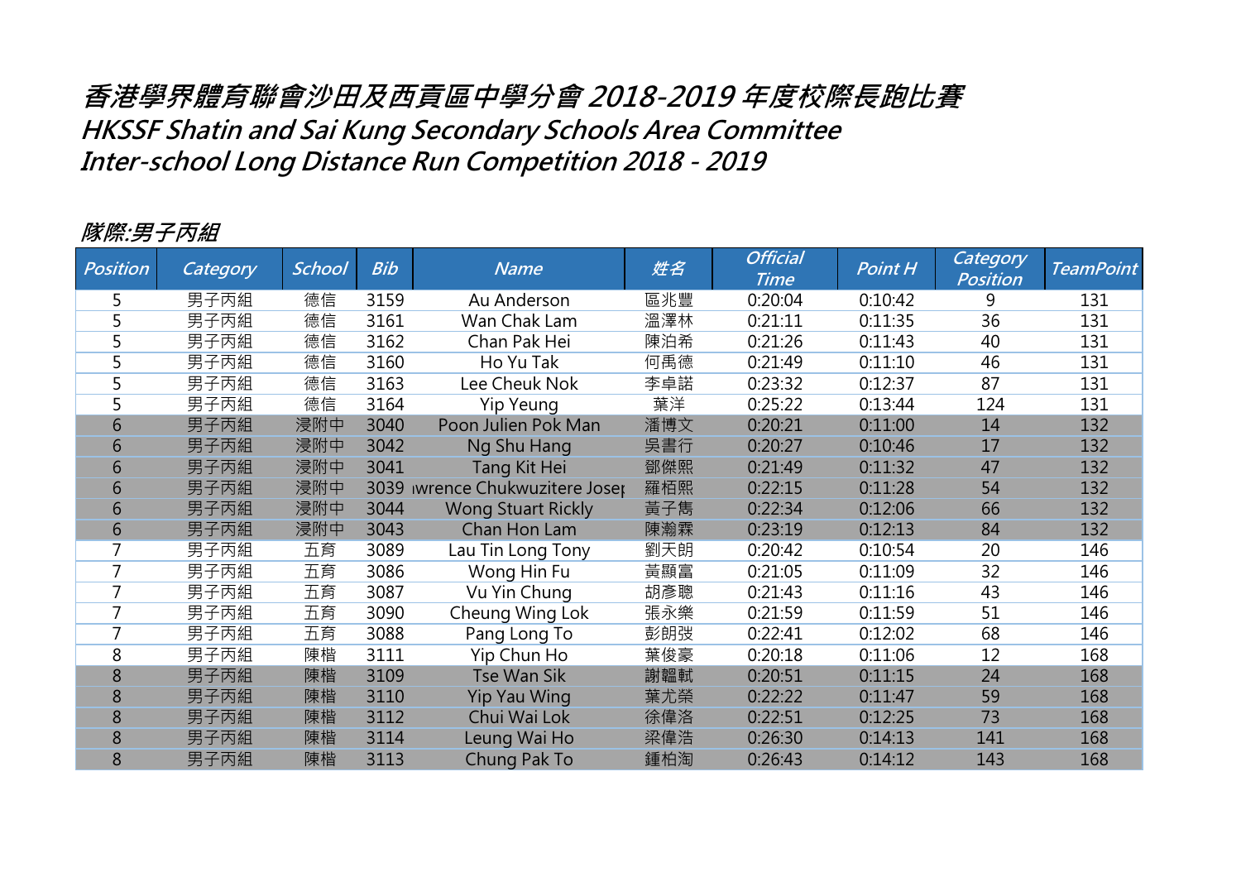| Position | Category | School | <b>Bib</b> | <b>Name</b>                     | 姓名  | <b>Official</b><br><b>Time</b> | Point H | Category<br><b>Position</b> | <b>TeamPoint</b> |
|----------|----------|--------|------------|---------------------------------|-----|--------------------------------|---------|-----------------------------|------------------|
| 5        | 男子丙組     | 德信     | 3159       | Au Anderson                     | 區兆豐 | 0:20:04                        | 0:10:42 | 9                           | 131              |
| 5        | 男子丙組     | 德信     | 3161       | Wan Chak Lam                    | 溫澤林 | 0:21:11                        | 0:11:35 | 36                          | 131              |
| 5        | 男子丙組     | 德信     | 3162       | Chan Pak Hei                    | 陳泊希 | 0:21:26                        | 0:11:43 | 40                          | 131              |
| 5        | 男子丙組     | 德信     | 3160       | Ho Yu Tak                       | 何禹德 | 0:21:49                        | 0:11:10 | 46                          | 131              |
| 5        | 男子丙組     | 德信     | 3163       | Lee Cheuk Nok                   | 李卓諾 | 0:23:32                        | 0:12:37 | 87                          | 131              |
| 5        | 男子丙組     | 德信     | 3164       | Yip Yeung                       | 葉洋  | 0:25:22                        | 0:13:44 | 124                         | 131              |
| 6        | 男子丙組     | 浸附中    | 3040       | Poon Julien Pok Man             | 潘博文 | 0:20:21                        | 0:11:00 | 14                          | 132              |
| 6        | 男子丙組     | 浸附中    | 3042       | Ng Shu Hang                     | 吳書行 | 0:20:27                        | 0:10:46 | 17                          | 132              |
| 6        | 男子丙組     | 浸附中    | 3041       | Tang Kit Hei                    | 鄧傑熙 | 0:21:49                        | 0:11:32 | 47                          | 132              |
| 6        | 男子丙組     | 浸附中    |            | 3039 iwrence Chukwuzitere Joser | 羅栢熙 | 0:22:15                        | 0:11:28 | 54                          | 132              |
| 6        | 男子丙組     | 浸附中    | 3044       | <b>Wong Stuart Rickly</b>       | 黃子雋 | 0:22:34                        | 0:12:06 | 66                          | 132              |
| 6        | 男子丙組     | 浸附中    | 3043       | Chan Hon Lam                    | 陳瀚霖 | 0:23:19                        | 0:12:13 | 84                          | 132              |
|          | 男子丙組     | 五育     | 3089       | Lau Tin Long Tony               | 劉天朗 | 0:20:42                        | 0:10:54 | 20                          | 146              |
|          | 男子丙組     | 五育     | 3086       | Wong Hin Fu                     | 黃顯富 | 0:21:05                        | 0:11:09 | 32                          | 146              |
|          | 男子丙組     | 五育     | 3087       | Vu Yin Chung                    | 胡彥聰 | 0:21:43                        | 0:11:16 | 43                          | 146              |
|          | 男子丙組     | 五育     | 3090       | Cheung Wing Lok                 | 張永樂 | 0:21:59                        | 0:11:59 | 51                          | 146              |
|          | 男子丙組     | 五育     | 3088       | Pang Long To                    | 彭朗弢 | 0:22:41                        | 0:12:02 | 68                          | 146              |
| 8        | 男子丙組     | 陳楷     | 3111       | Yip Chun Ho                     | 葉俊豪 | 0:20:18                        | 0:11:06 | 12                          | 168              |
| 8        | 男子丙組     | 陳楷     | 3109       | <b>Tse Wan Sik</b>              | 謝韞軾 | 0:20:51                        | 0:11:15 | 24                          | 168              |
| 8        | 男子丙組     | 陳楷     | 3110       | <b>Yip Yau Wing</b>             | 葉尤榮 | 0:22:22                        | 0:11:47 | 59                          | 168              |
| 8        | 男子丙組     | 陳楷     | 3112       | Chui Wai Lok                    | 徐偉洛 | 0:22:51                        | 0:12:25 | 73                          | 168              |
| 8        | 男子丙組     | 陳楷     | 3114       | Leung Wai Ho                    | 梁偉浩 | 0:26:30                        | 0:14:13 | 141                         | 168              |
| 8        | 男子丙組     | 陳楷     | 3113       | Chung Pak To                    | 鍾柏淘 | 0:26:43                        | 0:14:12 | 143                         | 168              |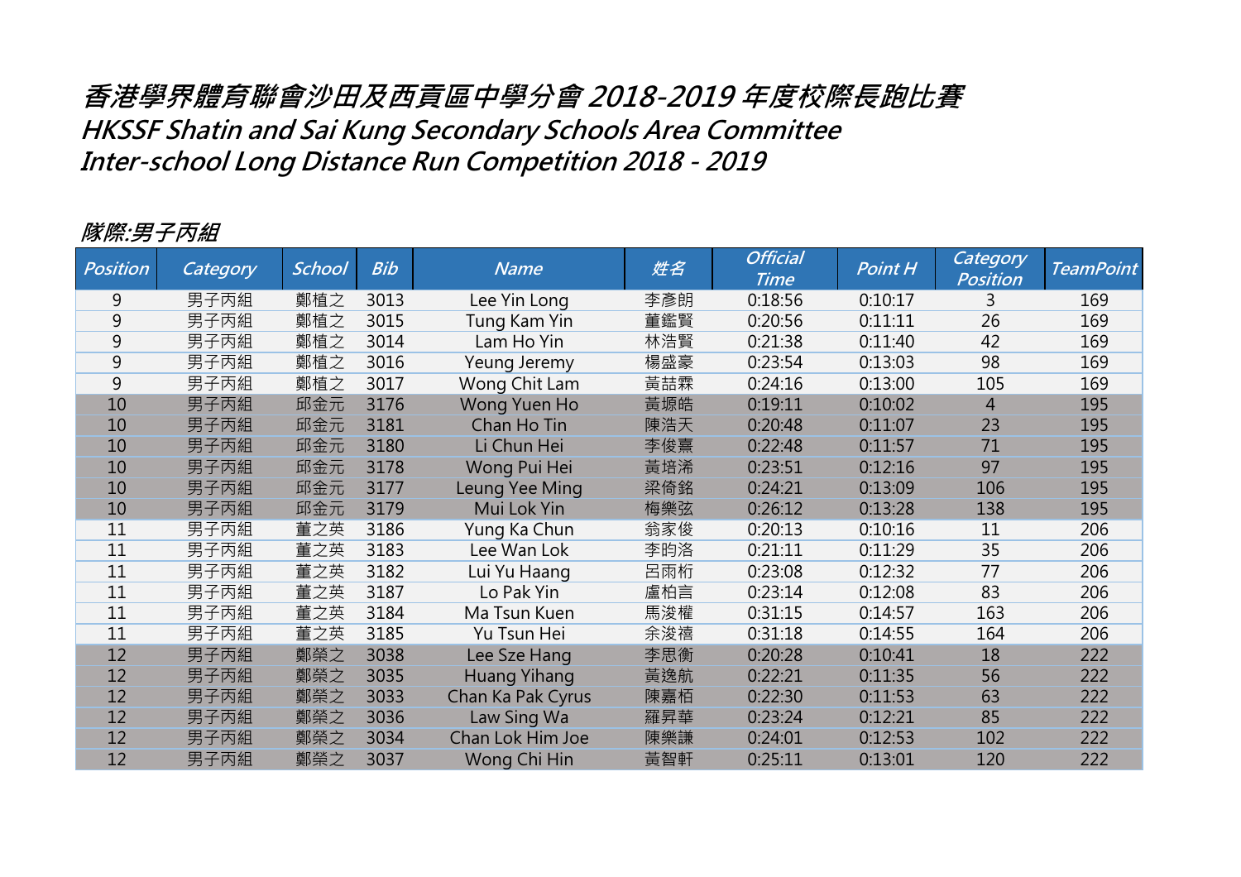| Position | Category | School | <b>Bib</b> | <b>Name</b>         | 姓名  | <b>Official</b><br><b>Time</b> | Point H | Category<br><b>Position</b> | <b>TeamPoint</b> |
|----------|----------|--------|------------|---------------------|-----|--------------------------------|---------|-----------------------------|------------------|
| 9        | 男子丙組     | 鄭植之    | 3013       | Lee Yin Long        | 李彥朗 | 0:18:56                        | 0:10:17 | 3.                          | 169              |
| 9        | 男子丙組     | 鄭植之    | 3015       | Tung Kam Yin        | 董鑑賢 | 0:20:56                        | 0:11:11 | 26                          | 169              |
| 9        | 男子丙組     | 鄭植之    | 3014       | Lam Ho Yin          | 林浩賢 | 0:21:38                        | 0:11:40 | 42                          | 169              |
| 9        | 男子丙組     | 鄭植之    | 3016       | Yeung Jeremy        | 楊盛豪 | 0:23:54                        | 0:13:03 | 98                          | 169              |
| 9        | 男子丙組     | 鄭植之    | 3017       | Wong Chit Lam       | 黃喆霖 | 0:24:16                        | 0:13:00 | 105                         | 169              |
| 10       | 男子丙組     | 邱金元    | 3176       | Wong Yuen Ho        | 黃塬皓 | 0:19:11                        | 0:10:02 | $\overline{4}$              | 195              |
| 10       | 男子丙組     | 邱金元    | 3181       | Chan Ho Tin         | 陳浩天 | 0:20:48                        | 0:11:07 | 23                          | 195              |
| 10       | 男子丙組     | 邱金元    | 3180       | Li Chun Hei         | 李俊熹 | 0:22:48                        | 0:11:57 | 71                          | 195              |
| 10       | 男子丙組     | 邱金元    | 3178       | Wong Pui Hei        | 黃培浠 | 0:23:51                        | 0:12:16 | 97                          | 195              |
| 10       | 男子丙組     | 邱金元    | 3177       | Leung Yee Ming      | 梁倚銘 | 0:24:21                        | 0:13:09 | 106                         | 195              |
| 10       | 男子丙組     | 邱金元    | 3179       | Mui Lok Yin         | 梅樂弦 | 0:26:12                        | 0:13:28 | 138                         | 195              |
| 11       | 男子丙組     | 董之英    | 3186       | Yung Ka Chun        | 翁家俊 | 0:20:13                        | 0:10:16 | 11                          | 206              |
| 11       | 男子丙組     | 董之英    | 3183       | Lee Wan Lok         | 李昀洛 | 0:21:11                        | 0:11:29 | 35                          | 206              |
| 11       | 男子丙組     | 董之英    | 3182       | Lui Yu Haang        | 呂雨桁 | 0:23:08                        | 0:12:32 | 77                          | 206              |
| 11       | 男子丙組     | 董之英    | 3187       | Lo Pak Yin          | 盧柏言 | 0:23:14                        | 0:12:08 | 83                          | 206              |
| 11       | 男子丙組     | 董之英    | 3184       | Ma Tsun Kuen        | 馬浚權 | 0:31:15                        | 0:14:57 | 163                         | 206              |
| 11       | 男子丙組     | 董之英    | 3185       | Yu Tsun Hei         | 余浚禧 | 0:31:18                        | 0:14:55 | 164                         | 206              |
| 12       | 男子丙組     | 鄭榮之    | 3038       | Lee Sze Hang        | 李思衡 | 0:20:28                        | 0:10:41 | 18                          | 222              |
| 12       | 男子丙組     | 鄭榮之    | 3035       | <b>Huang Yihang</b> | 黃逸航 | 0:22:21                        | 0:11:35 | 56                          | 222              |
| 12       | 男子丙組     | 鄭榮之    | 3033       | Chan Ka Pak Cyrus   | 陳嘉栢 | 0:22:30                        | 0:11:53 | 63                          | 222              |
| 12       | 男子丙組     | 鄭榮之    | 3036       | Law Sing Wa         | 羅昇華 | 0:23:24                        | 0:12:21 | 85                          | 222              |
| 12       | 男子丙組     | 鄭榮之    | 3034       | Chan Lok Him Joe    | 陳樂謙 | 0:24:01                        | 0:12:53 | 102                         | 222              |
| 12       | 男子丙組     | 鄭榮之    | 3037       | Wong Chi Hin        | 黃智軒 | 0:25:11                        | 0:13:01 | 120                         | 222              |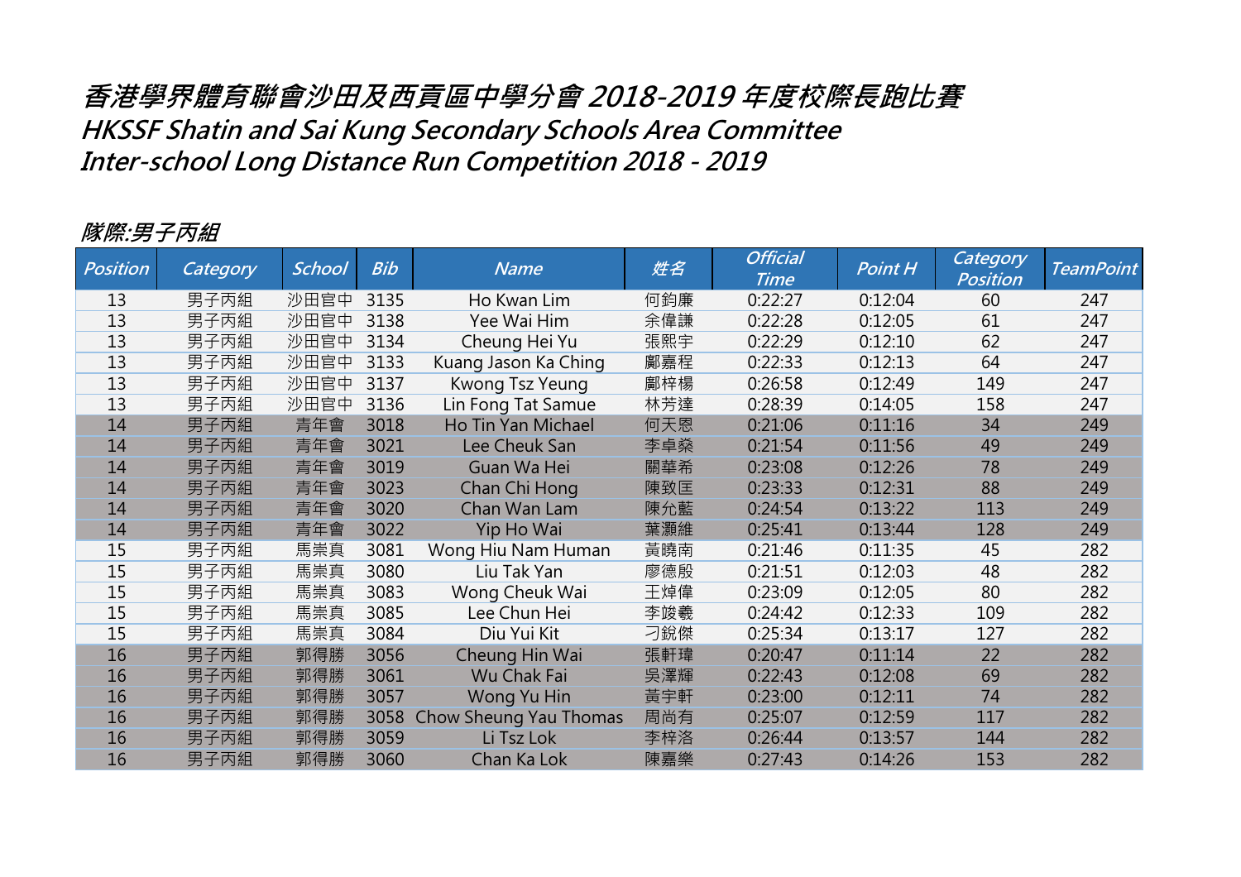| Position | Category | School | <b>Bib</b> | <b>Name</b>            | 姓名  | <b>Official</b><br><b>Time</b> | Point H | Category<br>Position | <b>TeamPoint</b> |
|----------|----------|--------|------------|------------------------|-----|--------------------------------|---------|----------------------|------------------|
| 13       | 男子丙組     | 沙田官中   | 3135       | Ho Kwan Lim            | 何鈞廉 | 0:22:27                        | 0:12:04 | 60                   | 247              |
| 13       | 男子丙組     | 沙田官中   | 3138       | Yee Wai Him            | 余偉謙 | 0:22:28                        | 0:12:05 | 61                   | 247              |
| 13       | 男子丙組     | 沙田官中   | 3134       | Cheung Hei Yu          | 張熙宇 | 0:22:29                        | 0:12:10 | 62                   | 247              |
| 13       | 男子丙組     | 沙田官中   | 3133       | Kuang Jason Ka Ching   | 鄺嘉程 | 0:22:33                        | 0:12:13 | 64                   | 247              |
| 13       | 男子丙組     | 沙田官中   | 3137       | Kwong Tsz Yeung        | 鄺梓楊 | 0:26:58                        | 0:12:49 | 149                  | 247              |
| 13       | 男子丙組     | 沙田官中   | 3136       | Lin Fong Tat Samue     | 林芳達 | 0:28:39                        | 0:14:05 | 158                  | 247              |
| 14       | 男子丙組     | 青年會    | 3018       | Ho Tin Yan Michael     | 何天恩 | 0:21:06                        | 0:11:16 | 34                   | 249              |
| 14       | 男子丙組     | 青年會    | 3021       | Lee Cheuk San          | 李卓燊 | 0:21:54                        | 0:11:56 | 49                   | 249              |
| 14       | 男子丙組     | 青年會    | 3019       | Guan Wa Hei            | 關華希 | 0:23:08                        | 0:12:26 | 78                   | 249              |
| 14       | 男子丙組     | 青年會    | 3023       | Chan Chi Hong          | 陳致匡 | 0:23:33                        | 0:12:31 | 88                   | 249              |
| 14       | 男子丙組     | 青年會    | 3020       | Chan Wan Lam           | 陳允藍 | 0:24:54                        | 0:13:22 | 113                  | 249              |
| 14       | 男子丙組     | 青年會    | 3022       | Yip Ho Wai             | 葉灝維 | 0:25:41                        | 0:13:44 | 128                  | 249              |
| 15       | 男子丙組     | 馬崇真    | 3081       | Wong Hiu Nam Human     | 黃曉南 | 0:21:46                        | 0:11:35 | 45                   | 282              |
| 15       | 男子丙組     | 馬崇真    | 3080       | Liu Tak Yan            | 廖德殷 | 0:21:51                        | 0:12:03 | 48                   | 282              |
| 15       | 男子丙組     | 馬崇真    | 3083       | Wong Cheuk Wai         | 王焯偉 | 0:23:09                        | 0:12:05 | 80                   | 282              |
| 15       | 男子丙組     | 馬崇真    | 3085       | Lee Chun Hei           | 李竣羲 | 0:24:42                        | 0:12:33 | 109                  | 282              |
| 15       | 男子丙組     | 馬崇真    | 3084       | Diu Yui Kit            | 刁銳傑 | 0:25:34                        | 0:13:17 | 127                  | 282              |
| 16       | 男子丙組     | 郭得勝    | 3056       | Cheung Hin Wai         | 張軒瑋 | 0:20:47                        | 0:11:14 | 22                   | 282              |
| 16       | 男子丙組     | 郭得勝    | 3061       | Wu Chak Fai            | 吳澤輝 | 0:22:43                        | 0:12:08 | 69                   | 282              |
| 16       | 男子丙組     | 郭得勝    | 3057       | Wong Yu Hin            | 黃宇軒 | 0:23:00                        | 0:12:11 | 74                   | 282              |
| 16       | 男子丙組     | 郭得勝    | 3058       | Chow Sheung Yau Thomas | 周尚有 | 0:25:07                        | 0:12:59 | 117                  | 282              |
| 16       | 男子丙組     | 郭得勝    | 3059       | Li Tsz Lok             | 李梓洛 | 0:26:44                        | 0:13:57 | 144                  | 282              |
| 16       | 男子丙組     | 郭得勝    | 3060       | Chan Ka Lok            | 陳嘉樂 | 0:27:43                        | 0:14:26 | 153                  | 282              |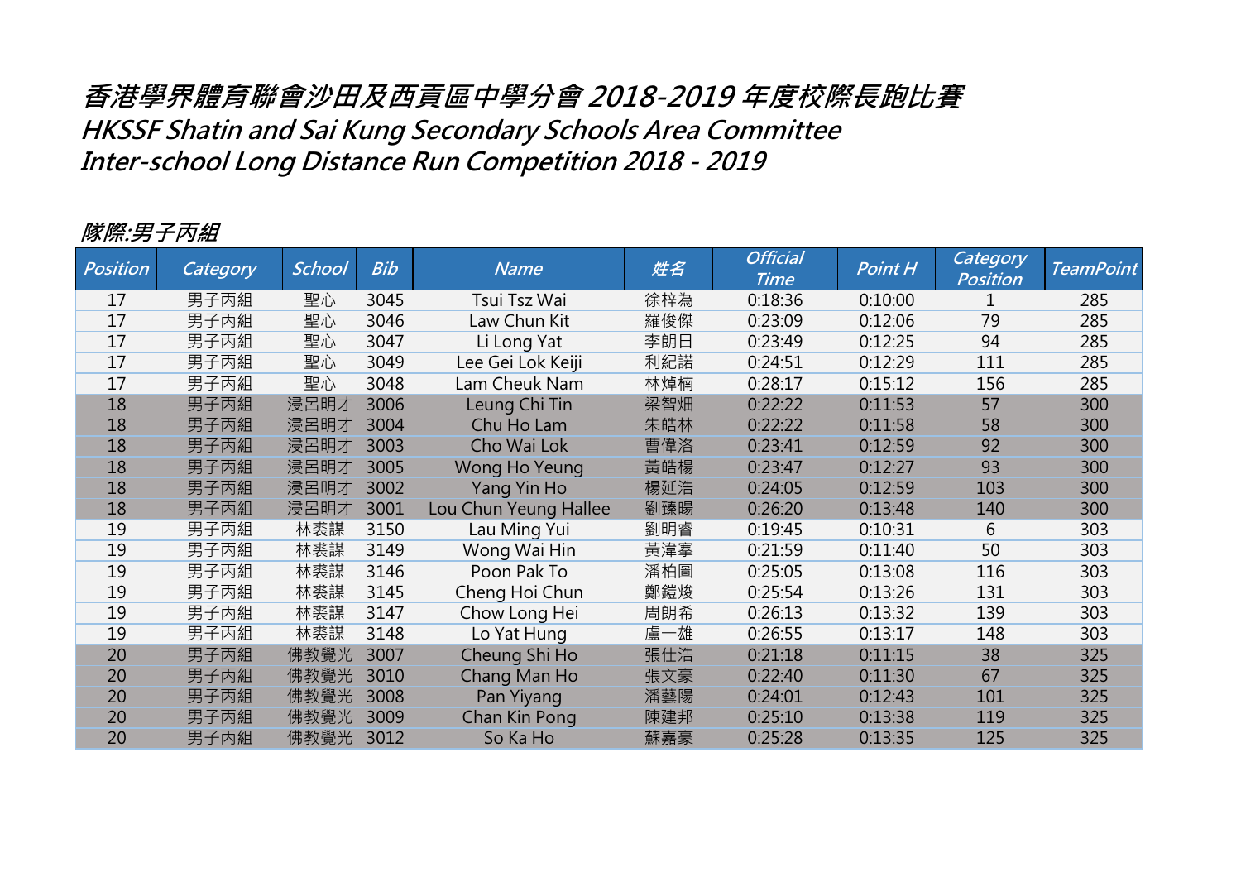| Position | Category | School | <b>Bib</b> | <b>Name</b>           | 姓名  | <b>Official</b><br><b>Time</b> | Point H | Category<br><b>Position</b> | <b>TeamPoint</b> |
|----------|----------|--------|------------|-----------------------|-----|--------------------------------|---------|-----------------------------|------------------|
| 17       | 男子丙組     | 聖心     | 3045       | Tsui Tsz Wai          | 徐梓為 | 0:18:36                        | 0:10:00 |                             | 285              |
| 17       | 男子丙組     | 聖心     | 3046       | Law Chun Kit          | 羅俊傑 | 0:23:09                        | 0:12:06 | 79                          | 285              |
| 17       | 男子丙組     | 聖心     | 3047       | Li Long Yat           | 李朗日 | 0:23:49                        | 0:12:25 | 94                          | 285              |
| 17       | 男子丙組     | 聖心     | 3049       | Lee Gei Lok Keiji     | 利紀諾 | 0:24:51                        | 0:12:29 | 111                         | 285              |
| 17       | 男子丙組     | 聖心     | 3048       | Lam Cheuk Nam         | 林焯楠 | 0:28:17                        | 0:15:12 | 156                         | 285              |
| 18       | 男子丙組     | 浸呂明才   | 3006       | Leung Chi Tin         | 梁智畑 | 0:22:22                        | 0:11:53 | 57                          | 300              |
| 18       | 男子丙組     | 浸呂明才   | 3004       | Chu Ho Lam            | 朱皓林 | 0:22:22                        | 0:11:58 | 58                          | 300              |
| 18       | 男子丙組     | 浸呂明才   | 3003       | Cho Wai Lok           | 曹偉洛 | 0:23:41                        | 0:12:59 | 92                          | 300              |
| 18       | 男子丙組     | 浸呂明才   | 3005       | Wong Ho Yeung         | 黃皓楊 | 0:23:47                        | 0:12:27 | 93                          | 300              |
| 18       | 男子丙組     | 浸呂明才   | 3002       | Yang Yin Ho           | 楊延浩 | 0:24:05                        | 0:12:59 | 103                         | 300              |
| 18       | 男子丙組     | 浸呂明才   | 3001       | Lou Chun Yeung Hallee | 劉臻暘 | 0:26:20                        | 0:13:48 | 140                         | 300              |
| 19       | 男子丙組     | 林裘謀    | 3150       | Lau Ming Yui          | 劉明睿 | 0:19:45                        | 0:10:31 | 6                           | 303              |
| 19       | 男子丙組     | 林裘謀    | 3149       | Wong Wai Hin          | 黃湋搴 | 0:21:59                        | 0:11:40 | 50                          | 303              |
| 19       | 男子丙組     | 林裘謀    | 3146       | Poon Pak To           | 潘柏圖 | 0:25:05                        | 0:13:08 | 116                         | 303              |
| 19       | 男子丙組     | 林裘謀    | 3145       | Cheng Hoi Chun        | 鄭鎧焌 | 0:25:54                        | 0:13:26 | 131                         | 303              |
| 19       | 男子丙組     | 林裘謀    | 3147       | Chow Long Hei         | 周朗希 | 0:26:13                        | 0:13:32 | 139                         | 303              |
| 19       | 男子丙組     | 林裘謀    | 3148       | Lo Yat Hung           | 盧一雄 | 0:26:55                        | 0:13:17 | 148                         | 303              |
| 20       | 男子丙組     | 佛教覺光   | 3007       | Cheung Shi Ho         | 張仕浩 | 0:21:18                        | 0:11:15 | 38                          | 325              |
| 20       | 男子丙組     | 佛教覺光   | 3010       | Chang Man Ho          | 張文豪 | 0:22:40                        | 0:11:30 | 67                          | 325              |
| 20       | 男子丙組     | 佛教覺光   | 3008       | Pan Yiyang            | 潘藝陽 | 0:24:01                        | 0:12:43 | 101                         | 325              |
| 20       | 男子丙組     | 佛教覺光   | 3009       | Chan Kin Pong         | 陳建邦 | 0:25:10                        | 0:13:38 | 119                         | 325              |
| 20       | 男子丙組     | 佛教覺光   | 3012       | So Ka Ho              | 蘇嘉豪 | 0:25:28                        | 0:13:35 | 125                         | 325              |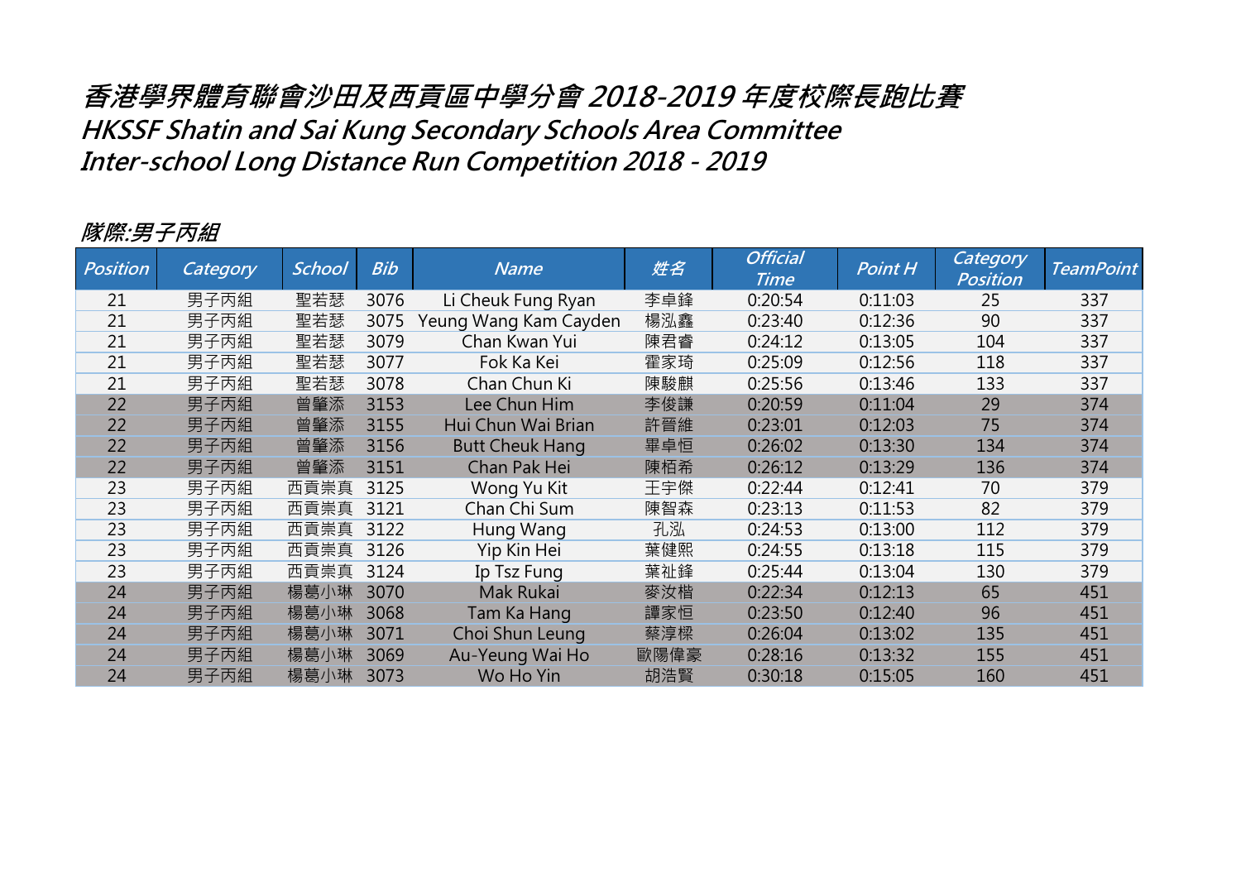| Position | Category | School | <b>Bib</b> | <b>Name</b>            | 姓名   | <b>Official</b><br><b>Time</b> | Point H | Category<br><b>Position</b> | <b>TeamPoint</b> |
|----------|----------|--------|------------|------------------------|------|--------------------------------|---------|-----------------------------|------------------|
| 21       | 男子丙組     | 聖若瑟    | 3076       | Li Cheuk Fung Ryan     | 李卓鋒  | 0:20:54                        | 0:11:03 | 25                          | 337              |
| 21       | 男子丙組     | 聖若瑟    | 3075       | Yeung Wang Kam Cayden  | 楊泓鑫  | 0:23:40                        | 0:12:36 | 90                          | 337              |
| 21       | 男子丙組     | 聖若瑟    | 3079       | Chan Kwan Yui          | 陳君睿  | 0:24:12                        | 0:13:05 | 104                         | 337              |
| 21       | 男子丙組     | 聖若瑟    | 3077       | Fok Ka Kei             | 霍家琦  | 0:25:09                        | 0:12:56 | 118                         | 337              |
| 21       | 男子丙組     | 聖若瑟    | 3078       | Chan Chun Ki           | 陳駿麒  | 0:25:56                        | 0:13:46 | 133                         | 337              |
| 22       | 男子丙組     | 曾肇添    | 3153       | Lee Chun Him           | 李俊謙  | 0:20:59                        | 0:11:04 | 29                          | 374              |
| 22       | 男子丙組     | 曾肇添    | 3155       | Hui Chun Wai Brian     | 許晉維  | 0:23:01                        | 0:12:03 | 75                          | 374              |
| 22       | 男子丙組     | 曾肇添    | 3156       | <b>Butt Cheuk Hang</b> | 畢卓恒  | 0:26:02                        | 0:13:30 | 134                         | 374              |
| 22       | 男子丙組     | 曾肇添    | 3151       | Chan Pak Hei           | 陳栢希  | 0:26:12                        | 0:13:29 | 136                         | 374              |
| 23       | 男子丙組     | 西貢崇真   | 3125       | Wong Yu Kit            | 王宇傑  | 0:22:44                        | 0:12:41 | 70                          | 379              |
| 23       | 男子丙組     | 西貢崇真   | 3121       | Chan Chi Sum           | 陳智森  | 0:23:13                        | 0:11:53 | 82                          | 379              |
| 23       | 男子丙組     | 西貢崇真   | 3122       | Hung Wang              | 孔泓   | 0:24:53                        | 0:13:00 | 112                         | 379              |
| 23       | 男子丙組     | 西貢崇真   | 3126       | Yip Kin Hei            | 葉健熙  | 0:24:55                        | 0:13:18 | 115                         | 379              |
| 23       | 男子丙組     | 西貢崇真   | 3124       | Ip Tsz Fung            | 葉祉鋒  | 0:25:44                        | 0:13:04 | 130                         | 379              |
| 24       | 男子丙組     | 楊葛小琳   | 3070       | Mak Rukai              | 麥汝楷  | 0:22:34                        | 0:12:13 | 65                          | 451              |
| 24       | 男子丙組     | 楊葛小琳   | 3068       | Tam Ka Hang            | 譚家恒  | 0:23:50                        | 0:12:40 | 96                          | 451              |
| 24       | 男子丙組     | 楊葛小琳   | 3071       | Choi Shun Leung        | 蔡淳樑  | 0:26:04                        | 0:13:02 | 135                         | 451              |
| 24       | 男子丙組     | 楊葛小琳   | 3069       | Au-Yeung Wai Ho        | 歐陽偉豪 | 0:28:16                        | 0:13:32 | 155                         | 451              |
| 24       | 男子丙組     | 楊葛小琳   | 3073       | Wo Ho Yin              | 胡浩賢  | 0:30:18                        | 0:15:05 | 160                         | 451              |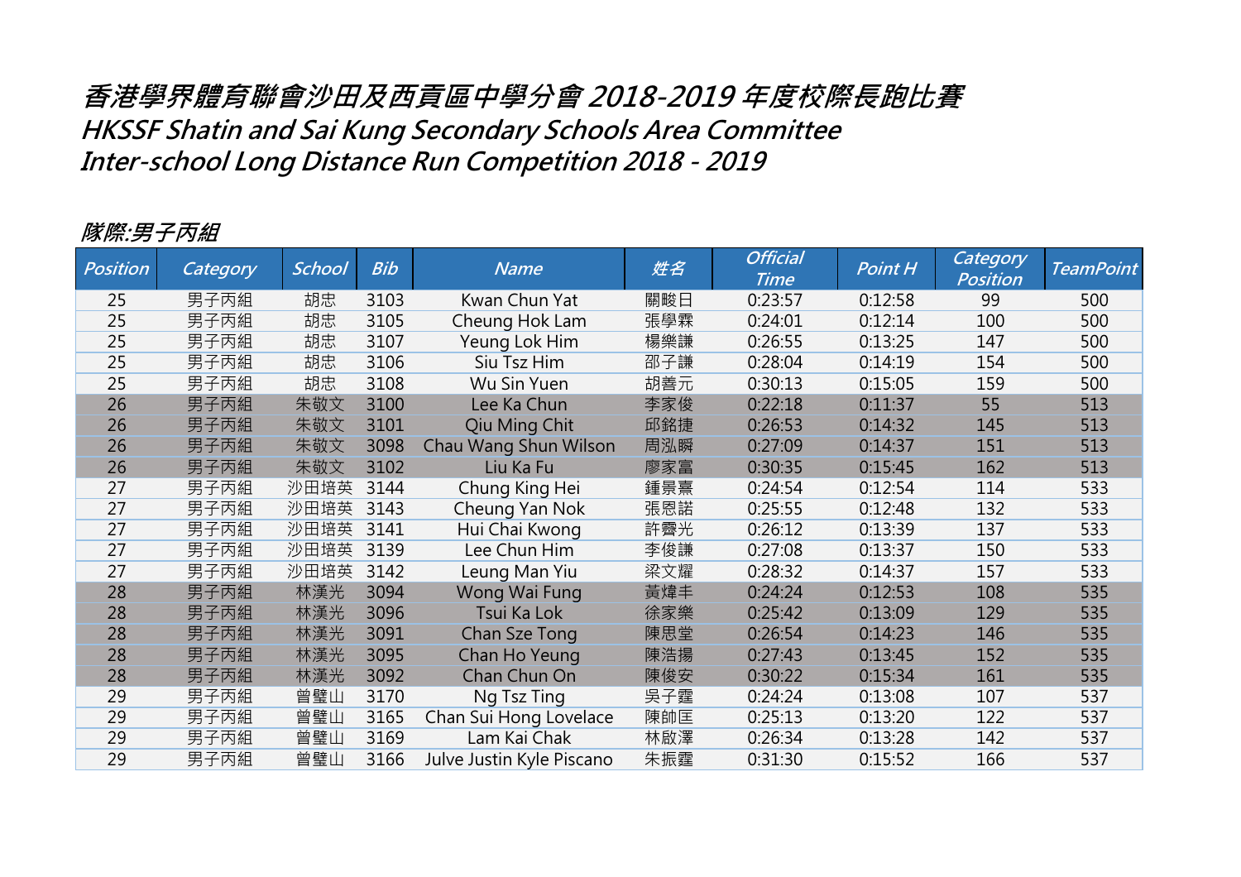| Position | Category | School | <b>Bib</b> | <b>Name</b>               | 姓名  | <b>Official</b><br><b>Time</b> | Point H | Category<br><b>Position</b> | <b>TeamPoint</b> |
|----------|----------|--------|------------|---------------------------|-----|--------------------------------|---------|-----------------------------|------------------|
| 25       | 男子丙組     | 胡忠     | 3103       | Kwan Chun Yat             | 關畯日 | 0:23:57                        | 0:12:58 | 99                          | 500              |
| 25       | 男子丙組     | 胡忠     | 3105       | Cheung Hok Lam            | 張學霖 | 0:24:01                        | 0:12:14 | 100                         | 500              |
| 25       | 男子丙組     | 胡忠     | 3107       | Yeung Lok Him             | 楊樂謙 | 0:26:55                        | 0:13:25 | 147                         | 500              |
| 25       | 男子丙組     | 胡忠     | 3106       | Siu Tsz Him               | 邵子謙 | 0:28:04                        | 0:14:19 | 154                         | 500              |
| 25       | 男子丙組     | 胡忠     | 3108       | Wu Sin Yuen               | 胡善元 | 0:30:13                        | 0:15:05 | 159                         | 500              |
| 26       | 男子丙組     | 朱敬文    | 3100       | Lee Ka Chun               | 李家俊 | 0:22:18                        | 0:11:37 | 55                          | 513              |
| 26       | 男子丙組     | 朱敬文    | 3101       | Qiu Ming Chit             | 邱銘捷 | 0:26:53                        | 0:14:32 | 145                         | 513              |
| 26       | 男子丙組     | 朱敬文    | 3098       | Chau Wang Shun Wilson     | 周泓瞬 | 0:27:09                        | 0:14:37 | 151                         | 513              |
| 26       | 男子丙組     | 朱敬文    | 3102       | Liu Ka Fu                 | 廖家富 | 0:30:35                        | 0:15:45 | 162                         | 513              |
| 27       | 男子丙組     | 沙田培英   | 3144       | Chung King Hei            | 鍾景熹 | 0:24:54                        | 0:12:54 | 114                         | 533              |
| 27       | 男子丙組     | 沙田培英   | 3143       | Cheung Yan Nok            | 張恩諾 | 0:25:55                        | 0:12:48 | 132                         | 533              |
| 27       | 男子丙組     | 沙田培英   | 3141       | Hui Chai Kwong            | 許霽光 | 0:26:12                        | 0:13:39 | 137                         | 533              |
| 27       | 男子丙組     | 沙田培英   | 3139       | Lee Chun Him              | 李俊謙 | 0:27:08                        | 0:13:37 | 150                         | 533              |
| 27       | 男子丙組     | 沙田培英   | 3142       | Leung Man Yiu             | 梁文耀 | 0:28:32                        | 0:14:37 | 157                         | 533              |
| 28       | 男子丙組     | 林漢光    | 3094       | Wong Wai Fung             | 黃煒丰 | 0:24:24                        | 0:12:53 | 108                         | 535              |
| 28       | 男子丙組     | 林漢光    | 3096       | Tsui Ka Lok               | 徐家樂 | 0:25:42                        | 0:13:09 | 129                         | 535              |
| 28       | 男子丙組     | 林漢光    | 3091       | Chan Sze Tong             | 陳思堂 | 0:26:54                        | 0:14:23 | 146                         | 535              |
| 28       | 男子丙組     | 林漢光    | 3095       | Chan Ho Yeung             | 陳浩揚 | 0:27:43                        | 0:13:45 | 152                         | 535              |
| 28       | 男子丙組     | 林漢光    | 3092       | Chan Chun On              | 陳俊安 | 0:30:22                        | 0:15:34 | 161                         | 535              |
| 29       | 男子丙組     | 曾璧山    | 3170       | Ng Tsz Ting               | 吳子霆 | 0:24:24                        | 0:13:08 | 107                         | 537              |
| 29       | 男子丙組     | 曾璧山    | 3165       | Chan Sui Hong Lovelace    | 陳帥匡 | 0:25:13                        | 0:13:20 | 122                         | 537              |
| 29       | 男子丙組     | 曾璧山    | 3169       | Lam Kai Chak              | 林啟澤 | 0:26:34                        | 0:13:28 | 142                         | 537              |
| 29       | 男子丙組     | 曾璧山    | 3166       | Julve Justin Kyle Piscano | 朱振霆 | 0:31:30                        | 0:15:52 | 166                         | 537              |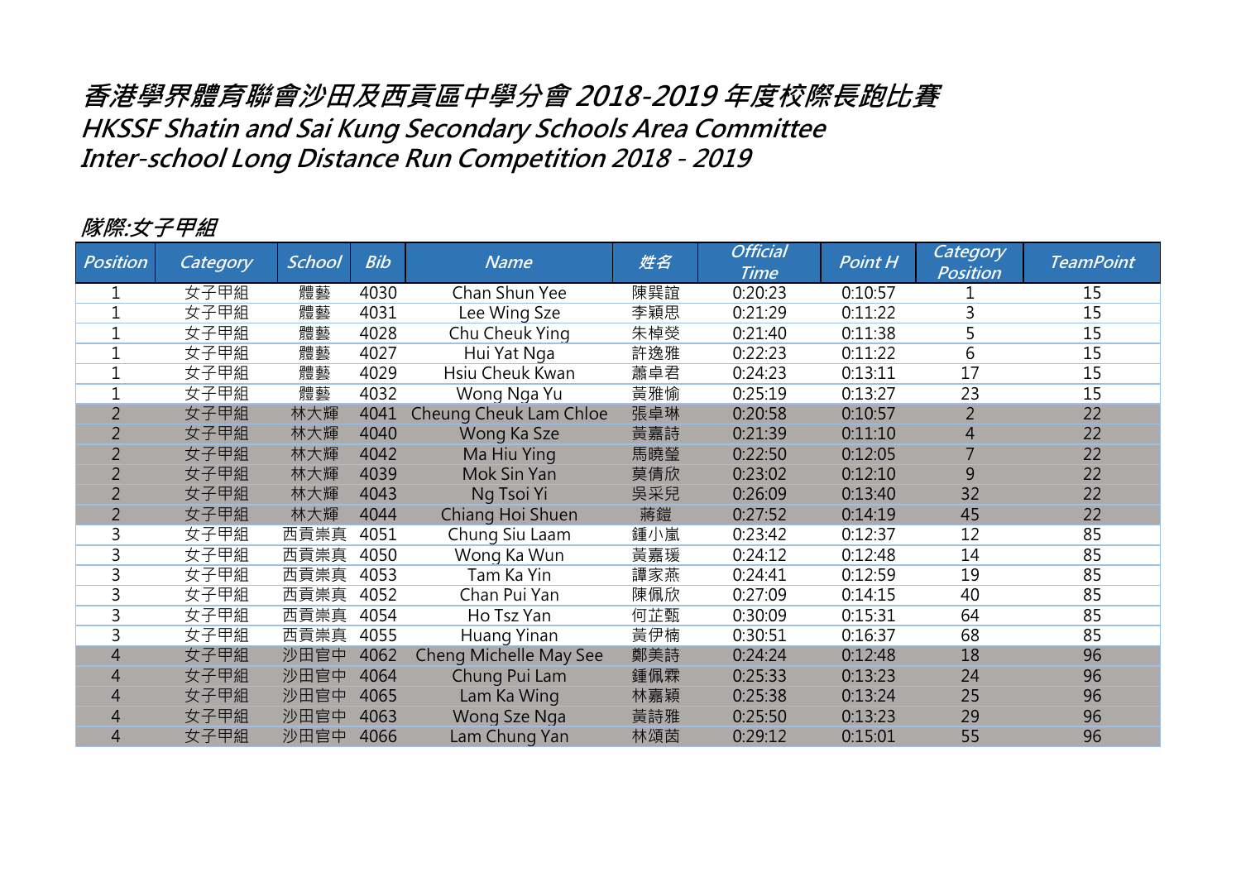#### 隊際:女子甲組

| Position       | Category | School | <b>Bib</b> | <b>Name</b>            | 姓名  | <b>Official</b><br><b>Time</b> | Point H | Category<br><b>Position</b> | <b>TeamPoint</b> |
|----------------|----------|--------|------------|------------------------|-----|--------------------------------|---------|-----------------------------|------------------|
|                | 女子甲組     | 體藝     | 4030       | Chan Shun Yee          | 陳巽誼 | 0:20:23                        | 0:10:57 |                             | 15               |
|                | 女子甲組     | 體藝     | 4031       | Lee Wing Sze           | 李穎思 | 0:21:29                        | 0:11:22 | 3                           | 15               |
|                | 女子甲組     | 體藝     | 4028       | Chu Cheuk Ying         | 朱棹熒 | 0:21:40                        | 0:11:38 | 5                           | 15               |
| 1              | 女子甲組     | 體藝     | 4027       | Hui Yat Nga            | 許逸雅 | 0:22:23                        | 0:11:22 | $\overline{6}$              | $\overline{15}$  |
|                | 女子甲組     | 體藝     | 4029       | Hsiu Cheuk Kwan        | 蕭卓君 | 0:24:23                        | 0:13:11 | 17                          | 15               |
|                | 女子甲組     | 體藝     | 4032       | Wong Nga Yu            | 黃雅愉 | 0:25:19                        | 0:13:27 | $\overline{23}$             | 15               |
| $\overline{2}$ | 女子甲組     | 林大輝    | 4041       | Cheung Cheuk Lam Chloe | 張卓琳 | 0:20:58                        | 0:10:57 | $\overline{2}$              | 22               |
| $\overline{2}$ | 女子甲組     | 林大輝    | 4040       | Wong Ka Sze            | 黃嘉詩 | 0:21:39                        | 0:11:10 | $\overline{4}$              | 22               |
| $\overline{2}$ | 女子甲組     | 林大輝    | 4042       | Ma Hiu Ying            | 馬曉瑩 | 0:22:50                        | 0:12:05 | $\overline{7}$              | 22               |
| $\overline{2}$ | 女子甲組     | 林大輝    | 4039       | Mok Sin Yan            | 莫倩欣 | 0:23:02                        | 0:12:10 | 9                           | 22               |
| $\overline{2}$ | 女子甲組     | 林大輝    | 4043       | Ng Tsoi Yi             | 吳采兒 | 0:26:09                        | 0:13:40 | 32                          | 22               |
| $\overline{2}$ | 女子甲組     | 林大輝    | 4044       | Chiang Hoi Shuen       | 蔣鎧  | 0:27:52                        | 0:14:19 | 45                          | 22               |
| 3              | 女子甲組     | 西貢崇真   | 4051       | Chung Siu Laam         | 鍾小嵐 | 0:23:42                        | 0:12:37 | 12                          | 85               |
| 3              | 女子甲組     | 西貢崇真   | 4050       | Wong Ka Wun            | 黃嘉瑗 | 0:24:12                        | 0:12:48 | 14                          | 85               |
| 3              | 女子甲組     | 西貢崇真   | 4053       | Tam Ka Yin             | 譚家燕 | 0:24:41                        | 0:12:59 | 19                          | 85               |
| 3              | 女子甲組     | 西貢崇真   | 4052       | Chan Pui Yan           | 陳佩欣 | 0:27:09                        | 0:14:15 | 40                          | 85               |
| 3              | 女子甲組     | 西貢崇真   | 4054       | Ho Tsz Yan             | 何芷甄 | 0:30:09                        | 0:15:31 | 64                          | 85               |
| 3              | 女子甲組     | 西貢崇真   | 4055       | Huang Yinan            | 黃伊楠 | 0:30:51                        | 0:16:37 | 68                          | 85               |
| $\overline{4}$ | 女子甲組     | 沙田官中   | 4062       | Cheng Michelle May See | 鄭美詩 | 0:24:24                        | 0:12:48 | 18                          | 96               |
| $\overline{4}$ | 女子甲組     | 沙田官中   | 4064       | Chung Pui Lam          | 鍾佩霖 | 0:25:33                        | 0:13:23 | 24                          | 96               |
| $\overline{4}$ | 女子甲組     | 沙田官中   | 4065       | Lam Ka Wing            | 林嘉穎 | 0:25:38                        | 0:13:24 | 25                          | 96               |
| 4              | 女子甲組     | 沙田官中   | 4063       | Wong Sze Nga           | 黃詩雅 | 0:25:50                        | 0:13:23 | 29                          | 96               |
| 4              | 女子甲組     | 沙田官中   | 4066       | Lam Chung Yan          | 林頌茵 | 0:29:12                        | 0:15:01 | 55                          | 96               |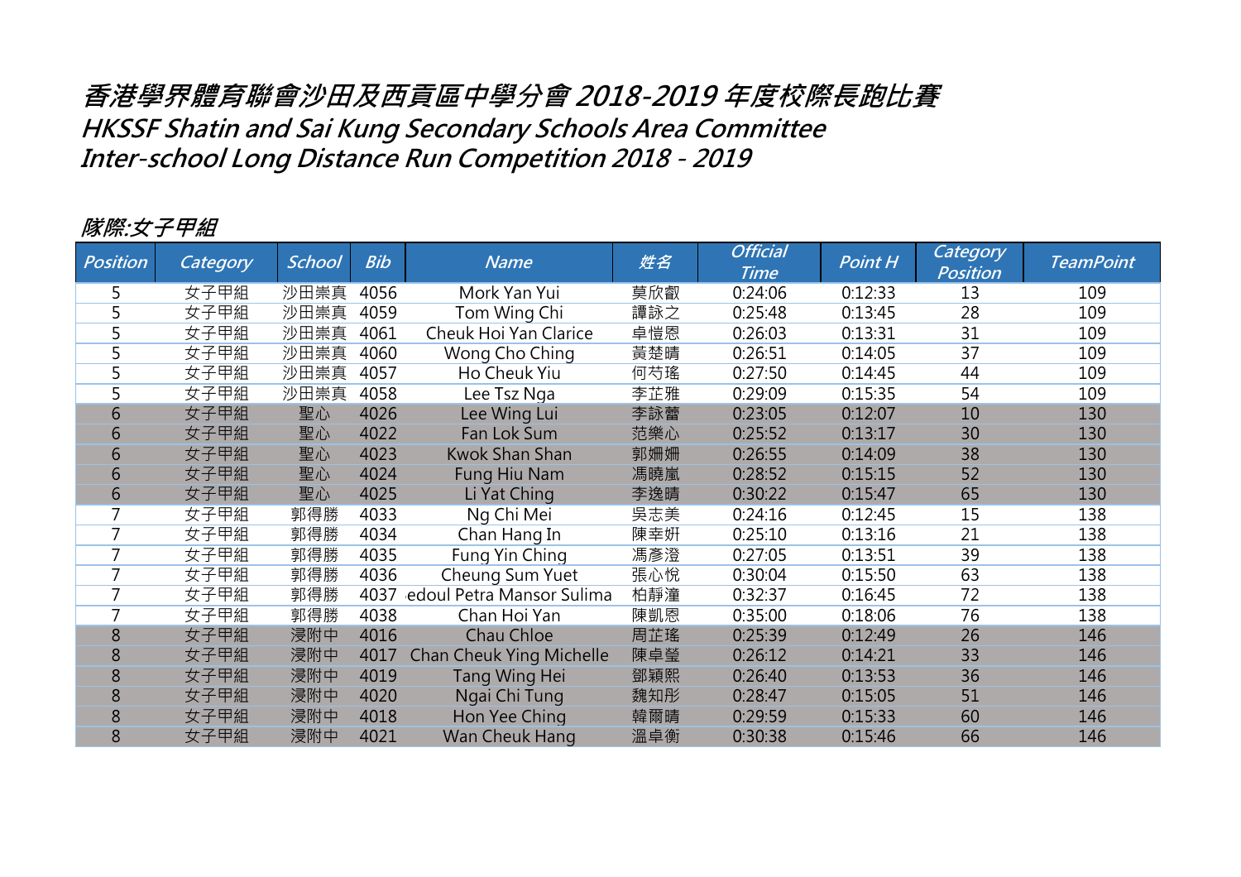#### 隊際:女子甲組

| Position       | Category | School | <b>Bib</b> | <b>Name</b>               | 姓名  | <b>Official</b><br><b>Time</b> | Point H | Category<br><b>Position</b> | <b>TeamPoint</b> |
|----------------|----------|--------|------------|---------------------------|-----|--------------------------------|---------|-----------------------------|------------------|
| 5              | 女子甲組     | 沙田崇真   | 4056       | Mork Yan Yui              | 莫欣叡 | 0:24:06                        | 0:12:33 | 13                          | 109              |
| $\overline{5}$ | 女子甲組     | 沙田崇真   | 4059       | Tom Wing Chi              | 譚詠之 | 0:25:48                        | 0:13:45 | 28                          | 109              |
| 5              | 女子甲組     | 沙田崇真   | 4061       | Cheuk Hoi Yan Clarice     | 卓愷恩 | 0:26:03                        | 0:13:31 | 31                          | 109              |
| $\overline{5}$ | 女子甲組     | 沙田崇真   | 4060       | Wong Cho Ching            | 黃楚晴 | 0:26:51                        | 0:14:05 | $\overline{37}$             | 109              |
| 5              | 女子甲組     | 沙田崇真   | 4057       | Ho Cheuk Yiu              | 何芍瑤 | 0:27:50                        | 0:14:45 | 44                          | 109              |
| $\overline{5}$ | 女子甲組     | 沙田崇真   | 4058       | Lee Tsz Nga               | 李芷雅 | 0:29:09                        | 0:15:35 | 54                          | 109              |
| 6              | 女子甲組     | 聖心     | 4026       | Lee Wing Lui              | 李詠蕾 | 0:23:05                        | 0:12:07 | 10                          | 130              |
| 6              | 女子甲組     | 聖心     | 4022       | Fan Lok Sum               | 范樂心 | 0:25:52                        | 0:13:17 | 30                          | 130              |
| 6              | 女子甲組     | 聖心     | 4023       | Kwok Shan Shan            | 郭姍姍 | 0:26:55                        | 0:14:09 | 38                          | 130              |
| 6              | 女子甲組     | 聖心     | 4024       | Fung Hiu Nam              | 馮曉嵐 | 0:28:52                        | 0:15:15 | 52                          | 130              |
| 6              | 女子甲組     | 聖心     | 4025       | Li Yat Ching              | 李逸晴 | 0:30:22                        | 0:15:47 | 65                          | 130              |
| 7              | 女子甲組     | 郭得勝    | 4033       | Ng Chi Mei                | 吳志美 | 0:24:16                        | 0:12:45 | 15                          | 138              |
| 7              | 女子甲組     | 郭得勝    | 4034       | Chan Hang In              | 陳幸姸 | 0:25:10                        | 0:13:16 | 21                          | 138              |
| $\overline{7}$ | 女子甲組     | 郭得勝    | 4035       | Fung Yin Ching            | 馮彥澄 | 0:27:05                        | 0:13:51 | 39                          | 138              |
| $\overline{7}$ | 女子甲組     | 郭得勝    | 4036       | Cheung Sum Yuet           | 張心悅 | 0:30:04                        | 0:15:50 | 63                          | 138              |
| 7              | 女子甲組     | 郭得勝    | 4037       | edoul Petra Mansor Sulima | 柏靜潼 | 0:32:37                        | 0:16:45 | 72                          | 138              |
| $\overline{7}$ | 女子甲組     | 郭得勝    | 4038       | Chan Hoi Yan              | 陳凱恩 | 0:35:00                        | 0:18:06 | 76                          | 138              |
| 8              | 女子甲組     | 浸附中    | 4016       | <b>Chau Chloe</b>         | 周芷瑤 | 0:25:39                        | 0:12:49 | 26                          | 146              |
| 8              | 女子甲組     | 浸附中    | 4017       | Chan Cheuk Ying Michelle  | 陳卓瑩 | 0:26:12                        | 0:14:21 | 33                          | 146              |
| 8              | 女子甲組     | 浸附中    | 4019       | Tang Wing Hei             | 鄧穎熙 | 0:26:40                        | 0:13:53 | 36                          | 146              |
| 8              | 女子甲組     | 浸附中    | 4020       | Ngai Chi Tung             | 魏知彤 | 0:28:47                        | 0:15:05 | 51                          | 146              |
| 8              | 女子甲組     | 浸附中    | 4018       | Hon Yee Ching             | 韓爾晴 | 0:29:59                        | 0:15:33 | 60                          | 146              |
| 8              | 女子甲組     | 浸附中    | 4021       | Wan Cheuk Hang            | 溫卓衡 | 0:30:38                        | 0:15:46 | 66                          | 146              |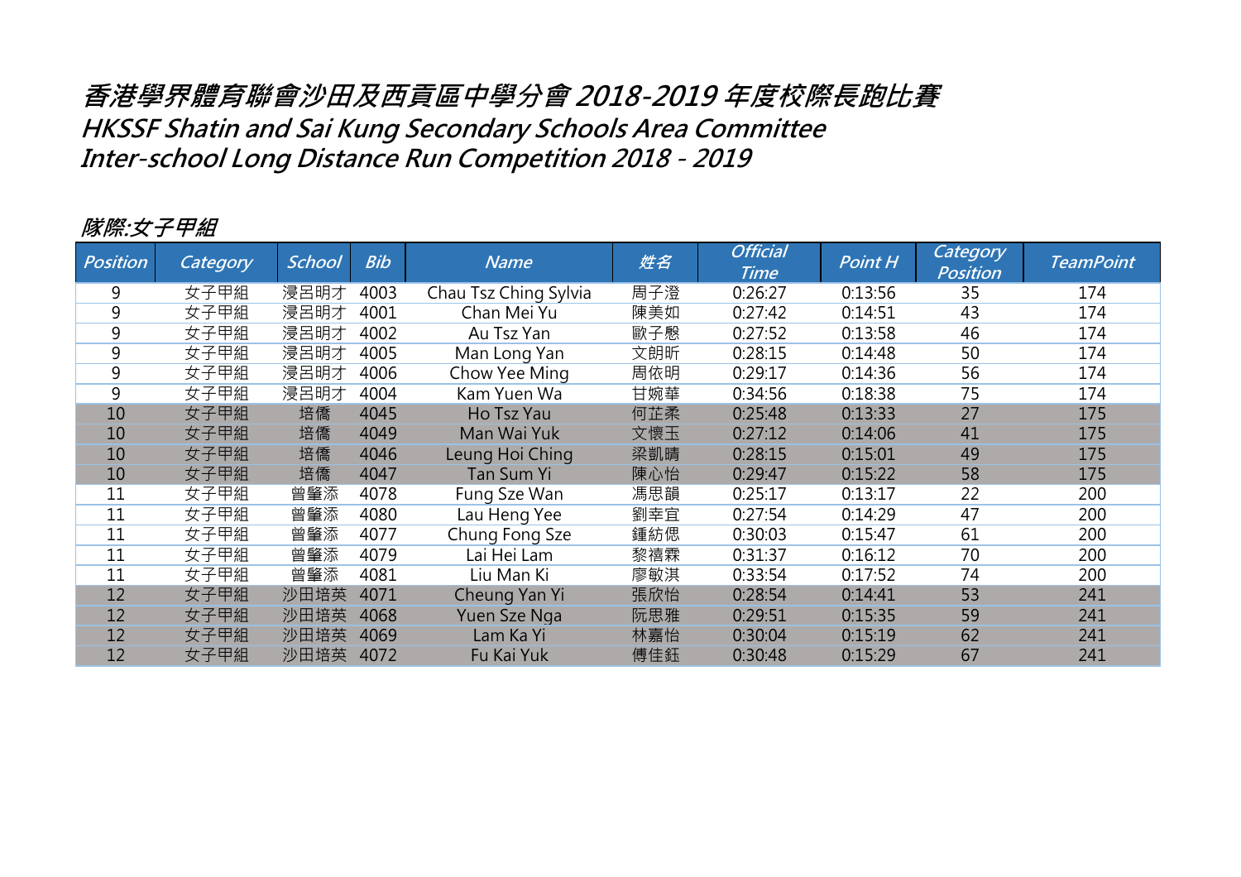#### 隊際:女子甲組

| Position | Category | School | <b>Bib</b> | <b>Name</b>           | 姓名  | <b>Official</b><br><b>Time</b> | Point H | Category<br><b>Position</b> | <b>TeamPoint</b> |
|----------|----------|--------|------------|-----------------------|-----|--------------------------------|---------|-----------------------------|------------------|
| 9        | 女子甲組     | 浸呂明才   | 4003       | Chau Tsz Ching Sylvia | 周子澄 | 0:26:27                        | 0:13:56 | 35                          | 174              |
| 9        | 女子甲組     | 浸呂明才   | 4001       | Chan Mei Yu           | 陳美如 | 0:27:42                        | 0:14:51 | 43                          | 174              |
| 9        | 女子甲組     | 浸呂明才   | 4002       | Au Tsz Yan            | 歐子慇 | 0:27:52                        | 0:13:58 | 46                          | 174              |
| 9        | 女子甲組     | 浸呂明才   | 4005       | Man Long Yan          | 文朗昕 | 0:28:15                        | 0:14:48 | 50                          | 174              |
| 9        | 女子甲組     | 浸呂明才   | 4006       | Chow Yee Ming         | 周依明 | 0:29:17                        | 0:14:36 | 56                          | 174              |
| 9        | 女子甲組     | 浸呂明才   | 4004       | Kam Yuen Wa           | 甘婉華 | 0:34:56                        | 0:18:38 | 75                          | 174              |
| 10       | 女子甲組     | 培僑     | 4045       | Ho Tsz Yau            | 何芷柔 | 0:25:48                        | 0:13:33 | 27                          | 175              |
| 10       | 女子甲組     | 培僑     | 4049       | Man Wai Yuk           | 文懷玉 | 0:27:12                        | 0:14:06 | 41                          | 175              |
| 10       | 女子甲組     | 培僑     | 4046       | Leung Hoi Ching       | 梁凱晴 | 0:28:15                        | 0:15:01 | 49                          | 175              |
| 10       | 女子甲組     | 培僑     | 4047       | Tan Sum Yi            | 陳心怡 | 0:29:47                        | 0:15:22 | 58                          | 175              |
| 11       | 女子甲組     | 曾肇添    | 4078       | Fung Sze Wan          | 馮思韻 | 0:25:17                        | 0:13:17 | 22                          | 200              |
| 11       | 女子甲組     | 曾肇添    | 4080       | Lau Heng Yee          | 劉幸宜 | 0:27:54                        | 0:14:29 | 47                          | 200              |
| 11       | 女子甲組     | 曾肇添    | 4077       | Chung Fong Sze        | 鍾紡偲 | 0:30:03                        | 0:15:47 | 61                          | 200              |
| 11       | 女子甲組     | 曾肇添    | 4079       | Lai Hei Lam           | 黎禧霖 | 0:31:37                        | 0:16:12 | 70                          | 200              |
| 11       | 女子甲組     | 曾肇添    | 4081       | Liu Man Ki            | 廖敏淇 | 0:33:54                        | 0:17:52 | 74                          | 200              |
| 12       | 女子甲組     | 沙田培英   | 4071       | Cheung Yan Yi         | 張欣怡 | 0:28:54                        | 0:14:41 | 53                          | 241              |
| 12       | 女子甲組     | 沙田培英   | 4068       | Yuen Sze Nga          | 阮思雅 | 0:29:51                        | 0:15:35 | 59                          | 241              |
| 12       | 女子甲組     | 沙田培英   | 4069       | Lam Ka Yi             | 林嘉怡 | 0:30:04                        | 0:15:19 | 62                          | 241              |
| 12       | 女子甲組     | 沙田培英   | 4072       | Fu Kai Yuk            | 傅佳鈺 | 0:30:48                        | 0:15:29 | 67                          | 241              |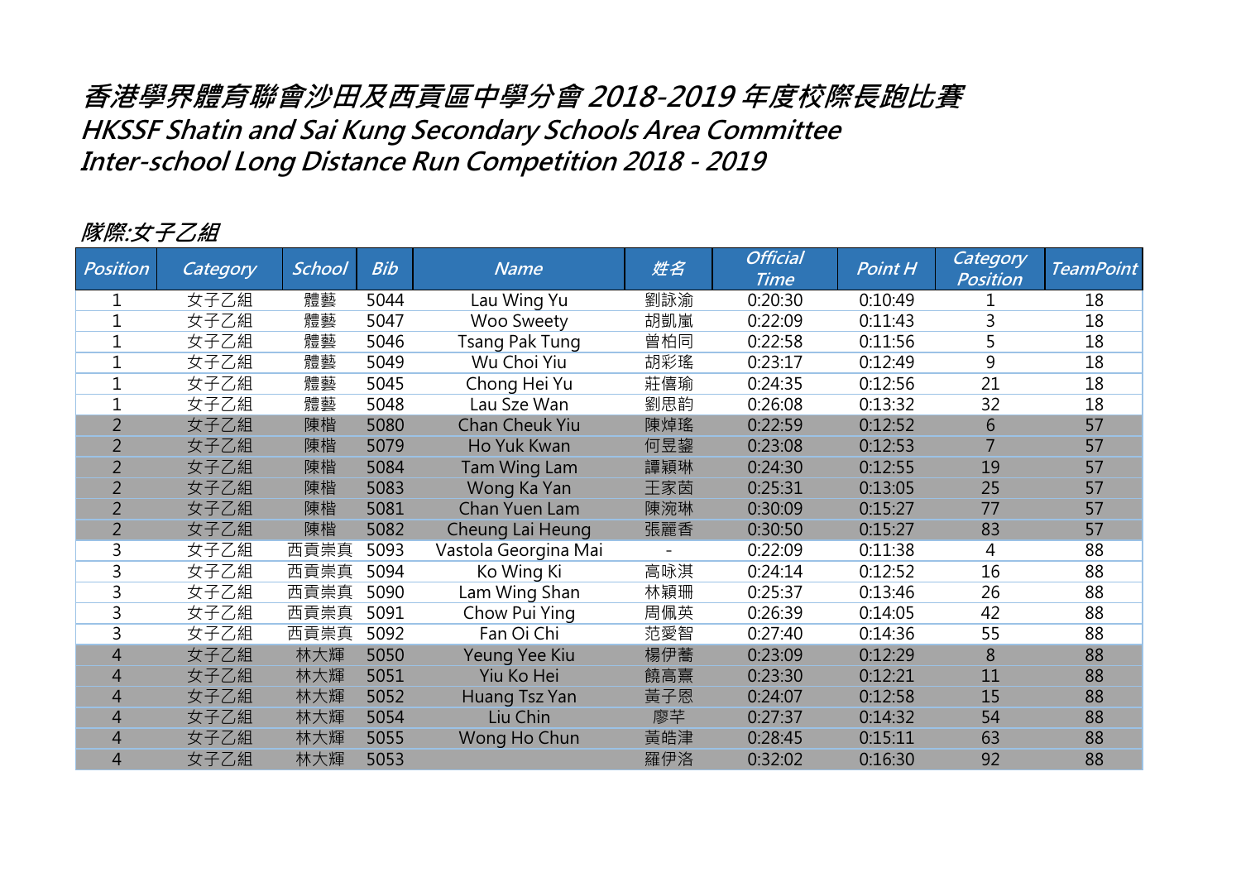| Position       | Category | School | <b>Bib</b> | <b>Name</b>           | 姓名  | <b>Official</b> | Point H | Category        | <b>TeamPoint</b> |
|----------------|----------|--------|------------|-----------------------|-----|-----------------|---------|-----------------|------------------|
|                |          |        |            |                       |     | <b>Time</b>     |         | <b>Position</b> |                  |
| 1              | 女子乙組     | 體藝     | 5044       | Lau Wing Yu           | 劉詠渝 | 0:20:30         | 0:10:49 |                 | 18               |
|                | 女子乙組     | 體藝     | 5047       | Woo Sweety            | 胡凱嵐 | 0:22:09         | 0:11:43 | 3               | 18               |
|                | 女子乙組     | 體藝     | 5046       | <b>Tsang Pak Tung</b> | 曾柏同 | 0:22:58         | 0:11:56 | 5               | 18               |
|                | 女子乙組     | 體藝     | 5049       | Wu Choi Yiu           | 胡彩瑤 | 0:23:17         | 0:12:49 | 9               | 18               |
|                | 女子乙組     | 體藝     | 5045       | Chong Hei Yu          | 莊僖瑜 | 0:24:35         | 0:12:56 | 21              | 18               |
|                | 女子乙組     | 體藝     | 5048       | Lau Sze Wan           | 劉思韵 | 0:26:08         | 0:13:32 | 32              | 18               |
| $\overline{2}$ | 女子乙組     | 陳楷     | 5080       | Chan Cheuk Yiu        | 陳焯瑤 | 0:22:59         | 0:12:52 | 6               | 57               |
| $\overline{2}$ | 女子乙組     | 陳楷     | 5079       | Ho Yuk Kwan           | 何昱鋆 | 0:23:08         | 0:12:53 |                 | 57               |
| $\overline{2}$ | 女子乙組     | 陳楷     | 5084       | Tam Wing Lam          | 譚穎琳 | 0:24:30         | 0:12:55 | 19              | 57               |
| $\overline{2}$ | 女子乙組     | 陳楷     | 5083       | Wong Ka Yan           | 王家茵 | 0:25:31         | 0:13:05 | 25              | 57               |
| $\overline{2}$ | 女子乙組     | 陳楷     | 5081       | Chan Yuen Lam         | 陳涴琳 | 0:30:09         | 0:15:27 | 77              | 57               |
| $\overline{2}$ | 女子乙組     | 陳楷     | 5082       | Cheung Lai Heung      | 張麗香 | 0:30:50         | 0:15:27 | 83              | 57               |
| 3              | 女子乙組     | 西貢崇真   | 5093       | Vastola Georgina Mai  |     | 0:22:09         | 0:11:38 | 4               | 88               |
| 3              | 女子乙組     | 西貢崇真   | 5094       | Ko Wing Ki            | 高咏淇 | 0:24:14         | 0:12:52 | 16              | 88               |
| 3              | 女子乙組     | 西貢崇真   | 5090       | Lam Wing Shan         | 林穎珊 | 0:25:37         | 0:13:46 | 26              | 88               |
| 3              | 女子乙組     | 西貢崇真   | 5091       | Chow Pui Ying         | 周佩英 | 0:26:39         | 0:14:05 | 42              | 88               |
| 3              | 女子乙組     | 西貢崇真   | 5092       | Fan Oi Chi            | 范愛智 | 0:27:40         | 0:14:36 | 55              | 88               |
| $\overline{4}$ | 女子乙組     | 林大輝    | 5050       | Yeung Yee Kiu         | 楊伊蕎 | 0:23:09         | 0:12:29 | 8               | 88               |
| 4              | 女子乙組     | 林大輝    | 5051       | Yiu Ko Hei            | 饒高熹 | 0:23:30         | 0:12:21 | 11              | 88               |
| $\overline{4}$ | 女子乙組     | 林大輝    | 5052       | Huang Tsz Yan         | 黃子恩 | 0:24:07         | 0:12:58 | 15              | 88               |
| $\overline{4}$ | 女子乙組     | 林大輝    | 5054       | Liu Chin              | 廖芊  | 0:27:37         | 0:14:32 | 54              | 88               |
| 4              | 女子乙組     | 林大輝    | 5055       | Wong Ho Chun          | 黃皓津 | 0:28:45         | 0:15:11 | 63              | 88               |
| 4              | 女子乙組     | 林大輝    | 5053       |                       | 羅伊洛 | 0:32:02         | 0:16:30 | 92              | 88               |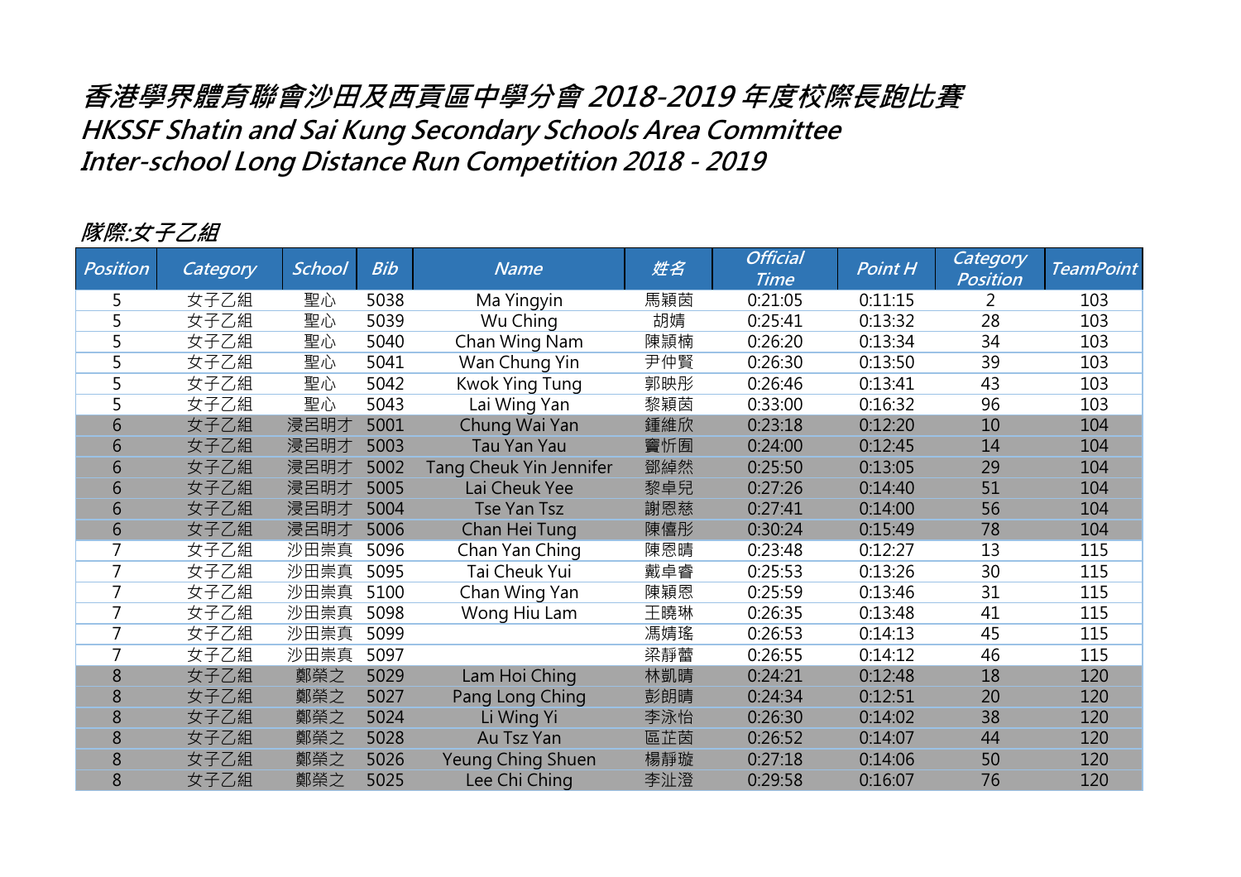| Position       | Category | School | <b>Bib</b> | <b>Name</b>             | 姓名  | <b>Official</b><br><b>Time</b> | Point H | Category<br><b>Position</b> | <b>TeamPoint</b> |
|----------------|----------|--------|------------|-------------------------|-----|--------------------------------|---------|-----------------------------|------------------|
| 5              | 女子乙組     | 聖心     | 5038       | Ma Yingyin              | 馬穎茵 | 0:21:05                        | 0:11:15 |                             | 103              |
| 5              | 女子乙組     | 聖心     | 5039       | Wu Ching                | 胡婧  | 0:25:41                        | 0:13:32 | 28                          | 103              |
| 5              | 女子乙組     | 聖心     | 5040       | Chan Wing Nam           | 陳頴楠 | 0:26:20                        | 0:13:34 | 34                          | 103              |
| 5              | 女子乙組     | 聖心     | 5041       | Wan Chung Yin           | 尹仲賢 | 0:26:30                        | 0:13:50 | 39                          | 103              |
| 5              | 女子乙組     | 聖心     | 5042       | <b>Kwok Ying Tung</b>   | 郭映彤 | 0:26:46                        | 0:13:41 | 43                          | 103              |
| 5              | 女子乙組     | 聖心     | 5043       | Lai Wing Yan            | 黎穎茵 | 0:33:00                        | 0:16:32 | 96                          | 103              |
| 6              | 女子乙組     | 浸呂明才   | 5001       | Chung Wai Yan           | 鍾維欣 | 0:23:18                        | 0:12:20 | 10                          | 104              |
| 6              | 女子乙組     | 浸呂明才   | 5003       | <b>Tau Yan Yau</b>      | 竇忻囿 | 0:24:00                        | 0:12:45 | 14                          | 104              |
| 6              | 女子乙組     | 浸呂明才   | 5002       | Tang Cheuk Yin Jennifer | 鄧綽然 | 0:25:50                        | 0:13:05 | 29                          | 104              |
| 6              | 女子乙組     | 浸呂明才   | 5005       | Lai Cheuk Yee           | 黎卓兒 | 0:27:26                        | 0:14:40 | 51                          | 104              |
| 6              | 女子乙組     | 浸呂明才   | 5004       | <b>Tse Yan Tsz</b>      | 謝恩慈 | 0:27:41                        | 0:14:00 | 56                          | 104              |
| 6              | 女子乙組     | 浸呂明才   | 5006       | Chan Hei Tung           | 陳僖彤 | 0:30:24                        | 0:15:49 | 78                          | 104              |
|                | 女子乙組     | 沙田崇真   | 5096       | Chan Yan Ching          | 陳恩晴 | 0:23:48                        | 0:12:27 | 13                          | 115              |
| 7              | 女子乙組     | 沙田崇真   | 5095       | Tai Cheuk Yui           | 戴卓睿 | 0:25:53                        | 0:13:26 | 30                          | 115              |
| 7              | 女子乙組     | 沙田崇真   | 5100       | Chan Wing Yan           | 陳穎恩 | 0:25:59                        | 0:13:46 | 31                          | 115              |
|                | 女子乙組     | 沙田崇真   | 5098       | Wong Hiu Lam            | 王曉琳 | 0:26:35                        | 0:13:48 | 41                          | 115              |
|                | 女子乙組     | 沙田崇真   | 5099       |                         | 馮婧瑤 | 0:26:53                        | 0:14:13 | 45                          | 115              |
| $\overline{7}$ | 女子乙組     | 沙田崇真   | 5097       |                         | 梁靜蕾 | 0:26:55                        | 0:14:12 | 46                          | 115              |
| 8              | 女子乙組     | 鄭榮之    | 5029       | Lam Hoi Ching           | 林凱晴 | 0:24:21                        | 0:12:48 | 18                          | 120              |
| 8              | 女子乙組     | 鄭榮之    | 5027       | Pang Long Ching         | 彭朗晴 | 0:24:34                        | 0:12:51 | 20                          | 120              |
| 8              | 女子乙組     | 鄭榮之    | 5024       | Li Wing Yi              | 李泳怡 | 0:26:30                        | 0:14:02 | 38                          | 120              |
| 8              | 女子乙組     | 鄭榮之    | 5028       | Au Tsz Yan              | 區芷茵 | 0:26:52                        | 0:14:07 | 44                          | 120              |
| 8              | 女子乙組     | 鄭榮之    | 5026       | Yeung Ching Shuen       | 楊靜璇 | 0:27:18                        | 0:14:06 | 50                          | 120              |
| 8              | 女子乙組     | 鄭榮之    | 5025       | Lee Chi Ching           | 李沚澄 | 0:29:58                        | 0:16:07 | 76                          | 120              |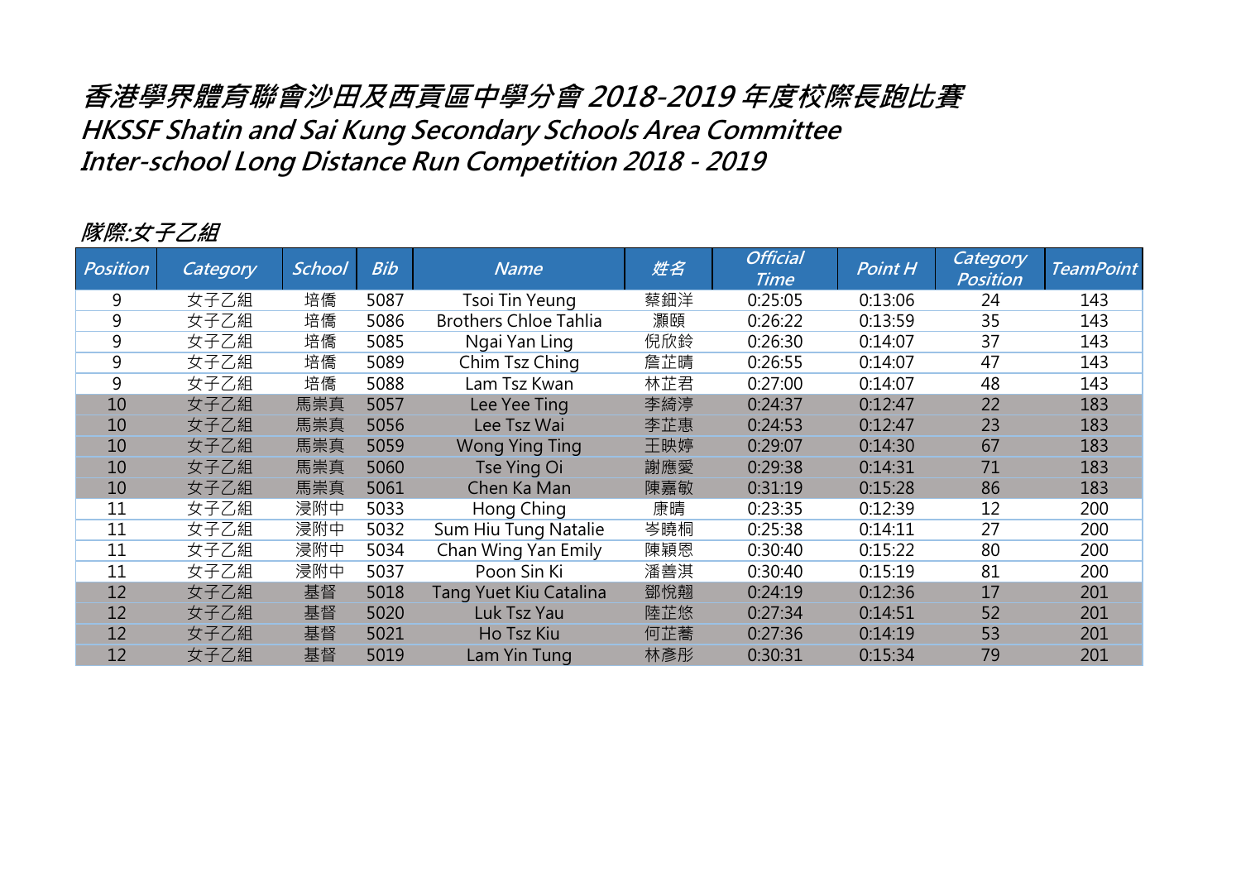| 培僑<br>蔡鈿洋<br>女子乙組<br>9<br>Tsoi Tin Yeung<br>0:25:05<br>0:13:06<br>5087              | 24<br>35 | 143<br>143 |
|-------------------------------------------------------------------------------------|----------|------------|
|                                                                                     |          |            |
| 培僑<br><b>Brothers Chloe Tahlia</b><br>灝頤<br>9<br>女子乙組<br>5086<br>0:26:22<br>0:13:59 |          |            |
| 培僑<br>Ngai Yan Ling<br>倪欣鈴<br>9<br>女子乙組<br>5085<br>0:26:30<br>0:14:07               | 37       | 143        |
| Chim Tsz Ching<br>女子乙組<br>培僑<br>詹芷晴<br>9<br>5089<br>0:14:07<br>0:26:55              | 47       | 143        |
| 9<br>女子乙組<br>培僑<br>Lam Tsz Kwan<br>林芷君<br>5088<br>0:27:00<br>0:14:07                | 48       | 143        |
| 馬崇真<br>Lee Yee Ting<br>女子乙組<br>李綺渟<br>10<br>5057<br>0:24:37<br>0:12:47              | 22       | 183        |
| 女子乙組<br>馬崇真<br>李芷惠<br>10<br>5056<br>Lee Tsz Wai<br>0:24:53<br>0:12:47               | 23       | 183        |
| <b>Wong Ying Ting</b><br>馬崇真<br>10<br>女子乙組<br>5059<br>王映婷<br>0:29:07<br>0:14:30     | 67       | 183        |
| Tse Ying Oi<br>馬崇真<br>謝應愛<br>10<br>女子乙組<br>5060<br>0:29:38<br>0:14:31               | 71       | 183        |
| Chen Ka Man<br>女子乙組<br>馬崇真<br>10<br>陳嘉敏<br>0:31:19<br>0:15:28<br>5061               | 86       | 183        |
| 浸附中<br>女子乙組<br>5033<br>Hong Ching<br>11<br>康晴<br>0:23:35<br>0:12:39                 | 12       | 200        |
| 浸附中<br>Sum Hiu Tung Natalie<br>岑曉桐<br>女子乙組<br>11<br>5032<br>0:25:38<br>0:14:11      | 27       | 200        |
| 浸附中<br>Chan Wing Yan Emily<br>女子乙組<br>陳穎恩<br>11<br>5034<br>0:30:40<br>0:15:22       | 80       | 200        |
| 浸附中<br>潘善淇<br>女子乙組<br>11<br>5037<br>Poon Sin Ki<br>0:30:40<br>0:15:19               | 81       | 200        |
| 女子乙組<br>基督<br>Tang Yuet Kiu Catalina<br>鄧悅翹<br>12<br>5018<br>0:24:19<br>0:12:36     | 17       | 201        |
| 基督<br>Luk Tsz Yau<br>12<br>女子乙組<br>陸芷悠<br>5020<br>0:27:34<br>0:14:51                | 52       | 201        |
| 基督<br>12<br>女子乙組<br>何芷蕎<br>5021<br>Ho Tsz Kiu<br>0:27:36<br>0:14:19                 | 53       | 201        |
| 基督<br>12<br>女子乙組<br>5019<br>Lam Yin Tung<br>林彥彤<br>0:30:31<br>0:15:34               | 79       | 201        |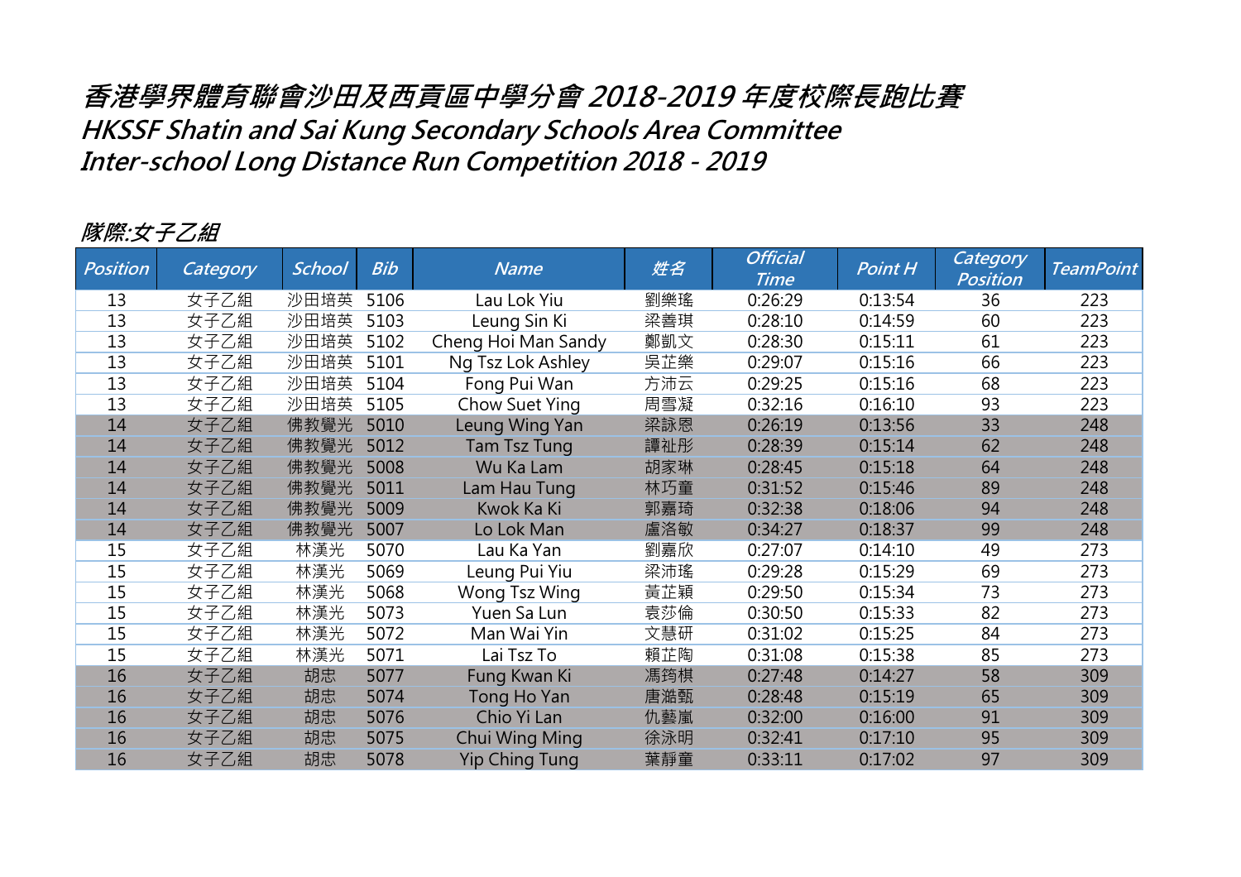| Position | Category | School | <b>Bib</b> | <b>Name</b>           | 姓名  | <b>Official</b><br><b>Time</b> | Point H | Category<br>Position | <b>TeamPoint</b> |
|----------|----------|--------|------------|-----------------------|-----|--------------------------------|---------|----------------------|------------------|
| 13       | 女子乙組     | 沙田培英   | 5106       | Lau Lok Yiu           | 劉樂瑤 | 0:26:29                        | 0:13:54 | 36                   | 223              |
| 13       | 女子乙組     | 沙田培英   | 5103       | Leung Sin Ki          | 梁善琪 | 0:28:10                        | 0:14:59 | 60                   | 223              |
| 13       | 女子乙組     | 沙田培英   | 5102       | Cheng Hoi Man Sandy   | 鄭凱文 | 0:28:30                        | 0:15:11 | 61                   | 223              |
| 13       | 女子乙組     | 沙田培英   | 5101       | Ng Tsz Lok Ashley     | 吳芷樂 | 0:29:07                        | 0:15:16 | 66                   | 223              |
| 13       | 女子乙組     | 沙田培英   | 5104       | Fong Pui Wan          | 方沛云 | 0:29:25                        | 0:15:16 | 68                   | 223              |
| 13       | 女子乙組     | 沙田培英   | 5105       | Chow Suet Ying        | 周雪凝 | 0:32:16                        | 0:16:10 | 93                   | 223              |
| 14       | 女子乙組     | 佛教覺光   | 5010       | Leung Wing Yan        | 梁詠恩 | 0:26:19                        | 0:13:56 | 33                   | 248              |
| 14       | 女子乙組     | 佛教覺光   | 5012       | <b>Tam Tsz Tung</b>   | 譚祉彤 | 0:28:39                        | 0:15:14 | 62                   | 248              |
| 14       | 女子乙組     | 佛教覺光   | 5008       | Wu Ka Lam             | 胡家琳 | 0:28:45                        | 0:15:18 | 64                   | 248              |
| 14       | 女子乙組     | 佛教覺光   | 5011       | Lam Hau Tung          | 林巧童 | 0:31:52                        | 0:15:46 | 89                   | 248              |
| 14       | 女子乙組     | 佛教覺光   | 5009       | Kwok Ka Ki            | 郭嘉琦 | 0:32:38                        | 0:18:06 | 94                   | 248              |
| 14       | 女子乙組     | 佛教覺光   | 5007       | Lo Lok Man            | 盧洛敏 | 0:34:27                        | 0:18:37 | 99                   | 248              |
| 15       | 女子乙組     | 林漢光    | 5070       | Lau Ka Yan            | 劉嘉欣 | 0:27:07                        | 0:14:10 | 49                   | 273              |
| 15       | 女子乙組     | 林漢光    | 5069       | Leung Pui Yiu         | 梁沛瑤 | 0:29:28                        | 0:15:29 | 69                   | 273              |
| 15       | 女子乙組     | 林漢光    | 5068       | Wong Tsz Wing         | 黃芷穎 | 0:29:50                        | 0:15:34 | 73                   | 273              |
| 15       | 女子乙組     | 林漢光    | 5073       | Yuen Sa Lun           | 袁莎倫 | 0:30:50                        | 0:15:33 | 82                   | 273              |
| 15       | 女子乙組     | 林漢光    | 5072       | Man Wai Yin           | 文慧研 | 0:31:02                        | 0:15:25 | 84                   | 273              |
| 15       | 女子乙組     | 林漢光    | 5071       | Lai Tsz To            | 賴芷陶 | 0:31:08                        | 0:15:38 | 85                   | 273              |
| 16       | 女子乙組     | 胡忠     | 5077       | Fung Kwan Ki          | 馮筠棋 | 0:27:48                        | 0:14:27 | 58                   | 309              |
| 16       | 女子乙組     | 胡忠     | 5074       | Tong Ho Yan           | 唐澔甄 | 0:28:48                        | 0:15:19 | 65                   | 309              |
| 16       | 女子乙組     | 胡忠     | 5076       | Chio Yi Lan           | 仇藝嵐 | 0:32:00                        | 0:16:00 | 91                   | 309              |
| 16       | 女子乙組     | 胡忠     | 5075       | Chui Wing Ming        | 徐泳明 | 0:32:41                        | 0:17:10 | 95                   | 309              |
| 16       | 女子乙組     | 胡忠     | 5078       | <b>Yip Ching Tung</b> | 葉靜童 | 0:33:11                        | 0:17:02 | 97                   | 309              |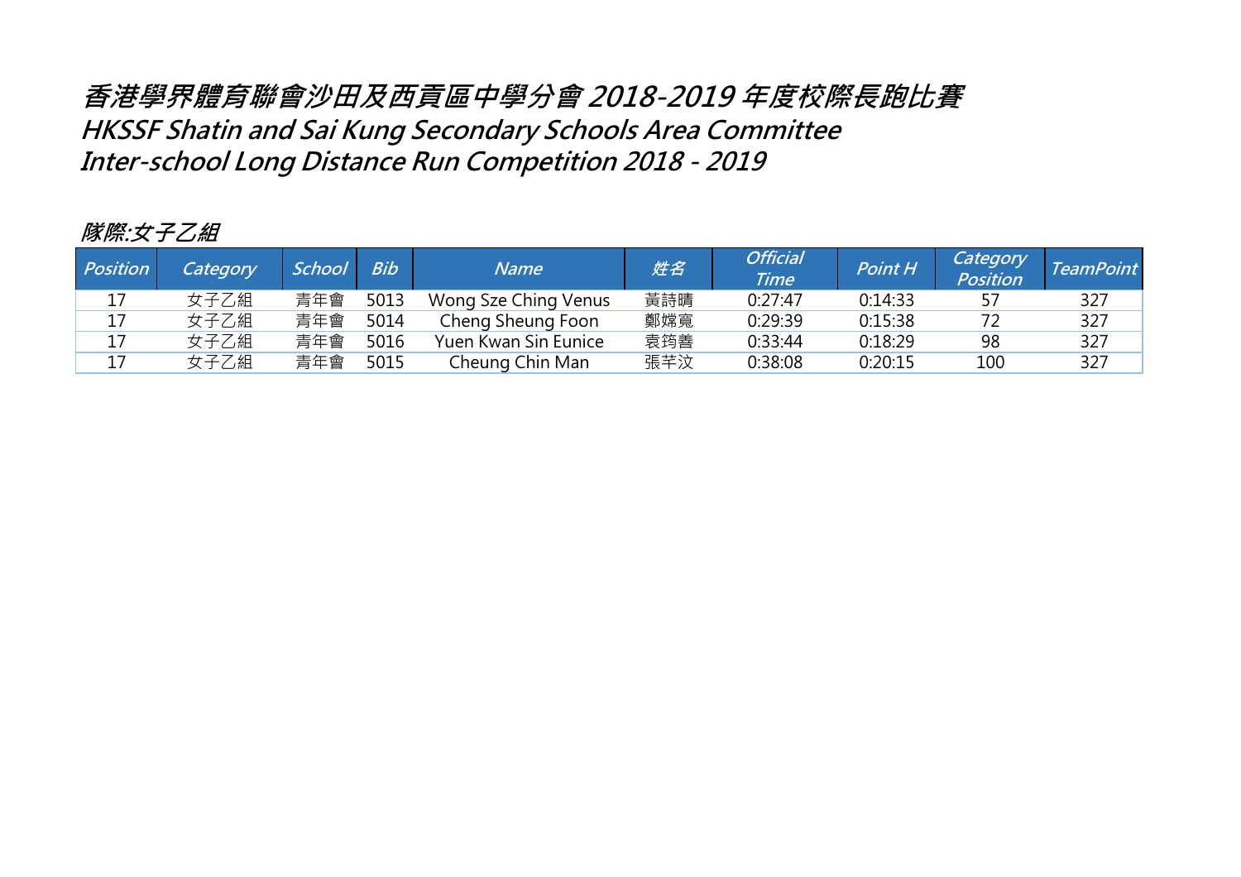| Position | Category | School | <b>Bib</b> | <b>Name</b>          | 姓名  | <b>Official</b><br><b>Time</b> | Point H | <b>Category</b><br><b>Position</b> | <b>TeamPoint</b> |
|----------|----------|--------|------------|----------------------|-----|--------------------------------|---------|------------------------------------|------------------|
|          | 女子乙組     | 青年會    | 5013       | Wong Sze Ching Venus | 黃詩晴 | 0:27:47                        | 0:14:33 | 57                                 | 327              |
|          | 女子乙組     | 青年會    | 5014       | Cheng Sheung Foon    | 鄭嫦寬 | 0:29:39                        | 0:15:38 | 72                                 | 327              |
| 17       | 女子乙組     | 青年會    | 5016       | Yuen Kwan Sin Eunice | 袁筠善 | 0:33:44                        | 0:18:29 | 98                                 | 327              |
|          | 女子乙組     | 青年會    | 5015       | Cheung Chin Man      | 張芊汶 | 0:38:08                        | 0:20:15 | 100                                | 327              |
|          |          |        |            |                      |     |                                |         |                                    |                  |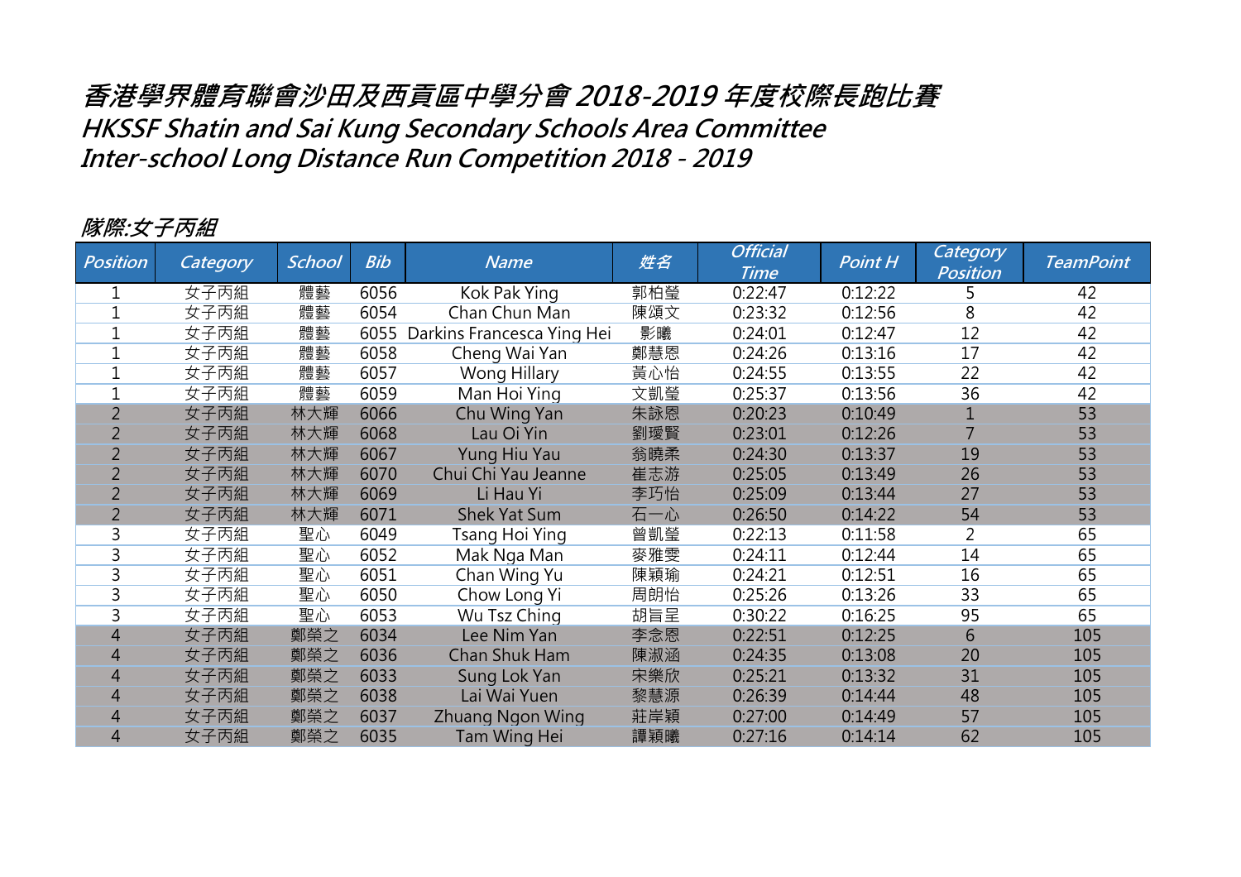| Position       | Category | School | <b>Bib</b> | <b>Name</b>                     | 姓名  | <b>Official</b><br><b>Time</b> | Point H | Category<br><b>Position</b> | <b>TeamPoint</b> |
|----------------|----------|--------|------------|---------------------------------|-----|--------------------------------|---------|-----------------------------|------------------|
| 1              | 女子丙組     | 體藝     | 6056       | Kok Pak Ying                    | 郭柏瑩 | 0:22:47                        | 0:12:22 |                             | 42               |
|                | 女子丙組     | 體藝     | 6054       | Chan Chun Man                   | 陳頌文 | 0:23:32                        | 0:12:56 | 8                           | 42               |
|                | 女子丙組     | 體藝     |            | 6055 Darkins Francesca Ying Hei | 影曦  | 0:24:01                        | 0:12:47 | 12                          | 42               |
| $\mathbf{1}$   | 女子丙組     | 體藝     | 6058       | Cheng Wai Yan                   | 鄭慧恩 | 0:24:26                        | 0:13:16 | $\overline{17}$             | 42               |
| 1              | 女子丙組     | 體藝     | 6057       | <b>Wong Hillary</b>             | 黃心怡 | 0:24:55                        | 0:13:55 | 22                          | 42               |
|                | 女子丙組     | 體藝     | 6059       | Man Hoi Ying                    | 文凱瑩 | 0:25:37                        | 0:13:56 | 36                          | 42               |
| $\overline{2}$ | 女子丙組     | 林大輝    | 6066       | Chu Wing Yan                    | 朱詠恩 | 0:20:23                        | 0:10:49 |                             | 53               |
| $\overline{2}$ | 女子丙組     | 林大輝    | 6068       | Lau Oi Yin                      | 劉璦賢 | 0:23:01                        | 0:12:26 |                             | 53               |
| $\overline{2}$ | 女子丙組     | 林大輝    | 6067       | Yung Hiu Yau                    | 翁曉柔 | 0:24:30                        | 0:13:37 | 19                          | 53               |
| 2              | 女子丙組     | 林大輝    | 6070       | Chui Chi Yau Jeanne             | 崔志游 | 0:25:05                        | 0:13:49 | 26                          | 53               |
| $\overline{2}$ | 女子丙組     | 林大輝    | 6069       | Li Hau Yi                       | 李巧怡 | 0:25:09                        | 0:13:44 | 27                          | 53               |
| $\overline{2}$ | 女子丙組     | 林大輝    | 6071       | Shek Yat Sum                    | 石一心 | 0:26:50                        | 0:14:22 | 54                          | 53               |
| 3              | 女子丙組     | 聖心     | 6049       | Tsang Hoi Ying                  | 曾凱瑩 | 0:22:13                        | 0:11:58 | 2                           | 65               |
| 3              | 女子丙組     | 聖心     | 6052       | Mak Nga Man                     | 麥雅雯 | 0:24:11                        | 0:12:44 | 14                          | 65               |
| 3              | 女子丙組     | 聖心     | 6051       | Chan Wing Yu                    | 陳穎瑜 | 0:24:21                        | 0:12:51 | 16                          | 65               |
| $\mathsf{3}$   | 女子丙組     | 聖心     | 6050       | Chow Long Yi                    | 周朗怡 | 0:25:26                        | 0:13:26 | 33                          | 65               |
| 3              | 女子丙組     | 聖心     | 6053       | Wu Tsz Ching                    | 胡旨呈 | 0:30:22                        | 0:16:25 | 95                          | 65               |
| $\overline{4}$ | 女子丙組     | 鄭榮之    | 6034       | Lee Nim Yan                     | 李念恩 | 0:22:51                        | 0:12:25 | 6                           | 105              |
| 4              | 女子丙組     | 鄭榮之    | 6036       | Chan Shuk Ham                   | 陳淑涵 | 0:24:35                        | 0:13:08 | 20                          | 105              |
| $\overline{4}$ | 女子丙組     | 鄭榮之    | 6033       | Sung Lok Yan                    | 宋樂欣 | 0:25:21                        | 0:13:32 | 31                          | 105              |
| $\overline{4}$ | 女子丙組     | 鄭榮之    | 6038       | Lai Wai Yuen                    | 黎慧源 | 0:26:39                        | 0:14:44 | 48                          | 105              |
| $\overline{4}$ | 女子丙組     | 鄭榮之    | 6037       | Zhuang Ngon Wing                | 莊岸穎 | 0:27:00                        | 0:14:49 | 57                          | 105              |
| $\overline{4}$ | 女子丙組     | 鄭榮之    | 6035       | Tam Wing Hei                    | 譚穎曦 | 0:27:16                        | 0:14:14 | 62                          | 105              |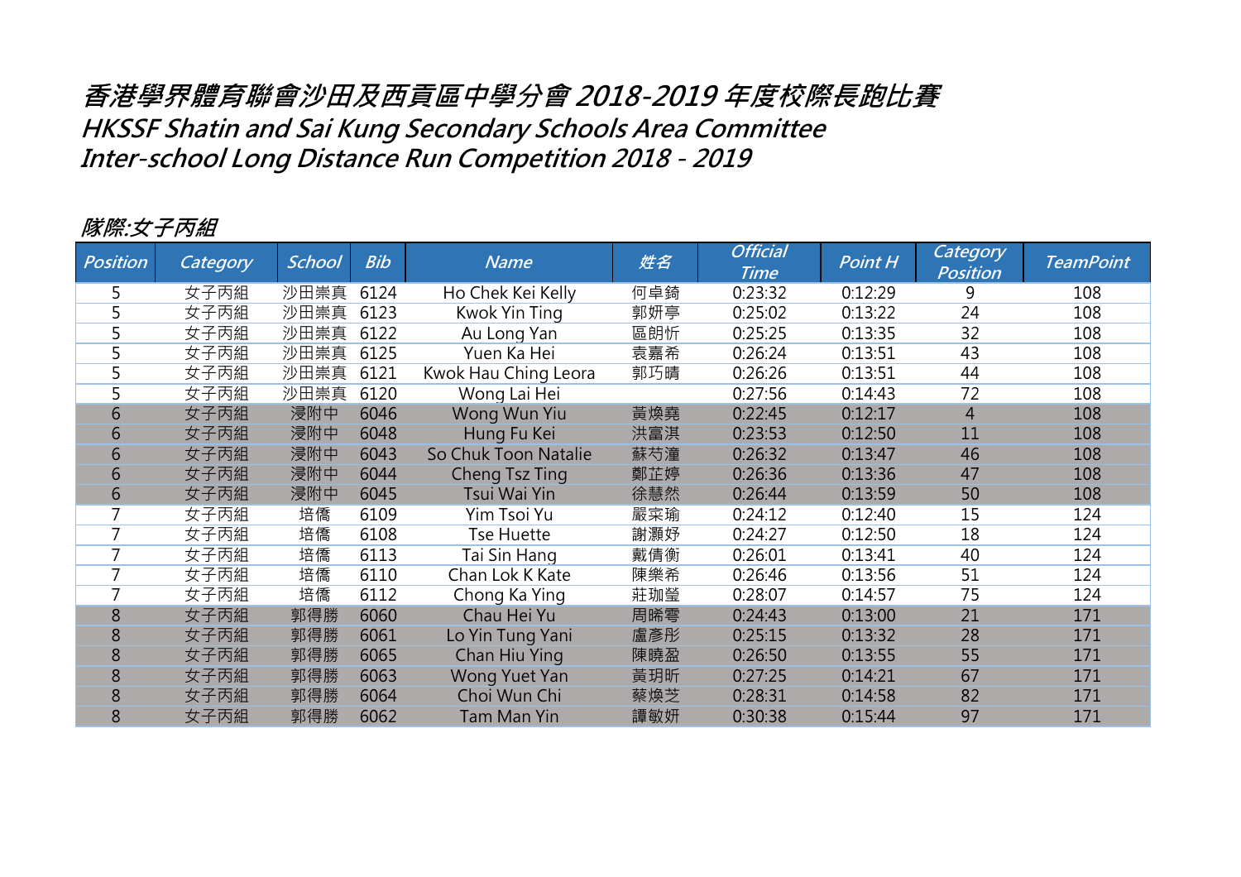|                |          |        | <b>Bib</b> |                      |     | <b>Official</b> | Point H | Category        | <b>TeamPoint</b> |
|----------------|----------|--------|------------|----------------------|-----|-----------------|---------|-----------------|------------------|
| Position       | Category | School |            | <b>Name</b>          | 姓名  | <b>Time</b>     |         | <b>Position</b> |                  |
| 5              | 女子丙組     | 沙田崇真   | 6124       | Ho Chek Kei Kelly    | 何卓錡 | 0:23:32         | 0:12:29 | 9               | 108              |
| 5              | 女子丙組     | 沙田崇真   | 6123       | Kwok Yin Ting        | 郭妍亭 | 0:25:02         | 0:13:22 | 24              | 108              |
| 5              | 女子丙組     | 沙田崇真   | 6122       | Au Long Yan          | 區朗忻 | 0:25:25         | 0:13:35 | 32              | 108              |
| 5              | 女子丙組     | 沙田崇真   | 6125       | Yuen Ka Hei          | 袁嘉希 | 0:26:24         | 0:13:51 | 43              | 108              |
| 5              | 女子丙組     | 沙田崇真   | 6121       | Kwok Hau Ching Leora | 郭巧晴 | 0:26:26         | 0:13:51 | 44              | 108              |
| $\overline{5}$ | 女子丙組     | 沙田崇真   | 6120       | Wong Lai Hei         |     | 0:27:56         | 0:14:43 | $\overline{72}$ | 108              |
| 6              | 女子丙組     | 浸附中    | 6046       | Wong Wun Yiu         | 黃煥堯 | 0:22:45         | 0:12:17 | $\overline{4}$  | 108              |
| 6              | 女子丙組     | 浸附中    | 6048       | Hung Fu Kei          | 洪富淇 | 0:23:53         | 0:12:50 | 11              | 108              |
| 6              | 女子丙組     | 浸附中    | 6043       | So Chuk Toon Natalie | 蘇芍潼 | 0:26:32         | 0:13:47 | 46              | 108              |
| 6              | 女子丙組     | 浸附中    | 6044       | Cheng Tsz Ting       | 鄭芷婷 | 0:26:36         | 0:13:36 | 47              | 108              |
| 6              | 女子丙組     | 浸附中    | 6045       | Tsui Wai Yin         | 徐慧然 | 0:26:44         | 0:13:59 | 50              | 108              |
|                | 女子丙組     | 培僑     | 6109       | Yim Tsoi Yu          | 嚴寀瑜 | 0:24:12         | 0:12:40 | 15              | 124              |
| $\overline{7}$ | 女子丙組     | 培僑     | 6108       | <b>Tse Huette</b>    | 謝灝妤 | 0:24:27         | 0:12:50 | 18              | 124              |
| $\overline{7}$ | 女子丙組     | 培僑     | 6113       | Tai Sin Hang         | 戴倩衡 | 0:26:01         | 0:13:41 | 40              | 124              |
| $\overline{7}$ | 女子丙組     | 培僑     | 6110       | Chan Lok K Kate      | 陳樂希 | 0:26:46         | 0:13:56 | 51              | 124              |
| 7              | 女子丙組     | 培僑     | 6112       | Chong Ka Ying        | 莊珈瑩 | 0:28:07         | 0:14:57 | 75              | 124              |
| 8              | 女子丙組     | 郭得勝    | 6060       | Chau Hei Yu          | 周晞雩 | 0:24:43         | 0:13:00 | 21              | 171              |
| 8              | 女子丙組     | 郭得勝    | 6061       | Lo Yin Tung Yani     | 盧彥彤 | 0:25:15         | 0:13:32 | 28              | 171              |
| 8              | 女子丙組     | 郭得勝    | 6065       | Chan Hiu Ying        | 陳曉盈 | 0:26:50         | 0:13:55 | 55              | 171              |
| 8              | 女子丙組     | 郭得勝    | 6063       | Wong Yuet Yan        | 黃玥昕 | 0:27:25         | 0:14:21 | 67              | 171              |
| 8              | 女子丙組     | 郭得勝    | 6064       | Choi Wun Chi         | 蔡煥芝 | 0:28:31         | 0:14:58 | 82              | 171              |
| 8              | 女子丙組     | 郭得勝    | 6062       | <b>Tam Man Yin</b>   | 譚敏妍 | 0:30:38         | 0:15:44 | 97              | 171              |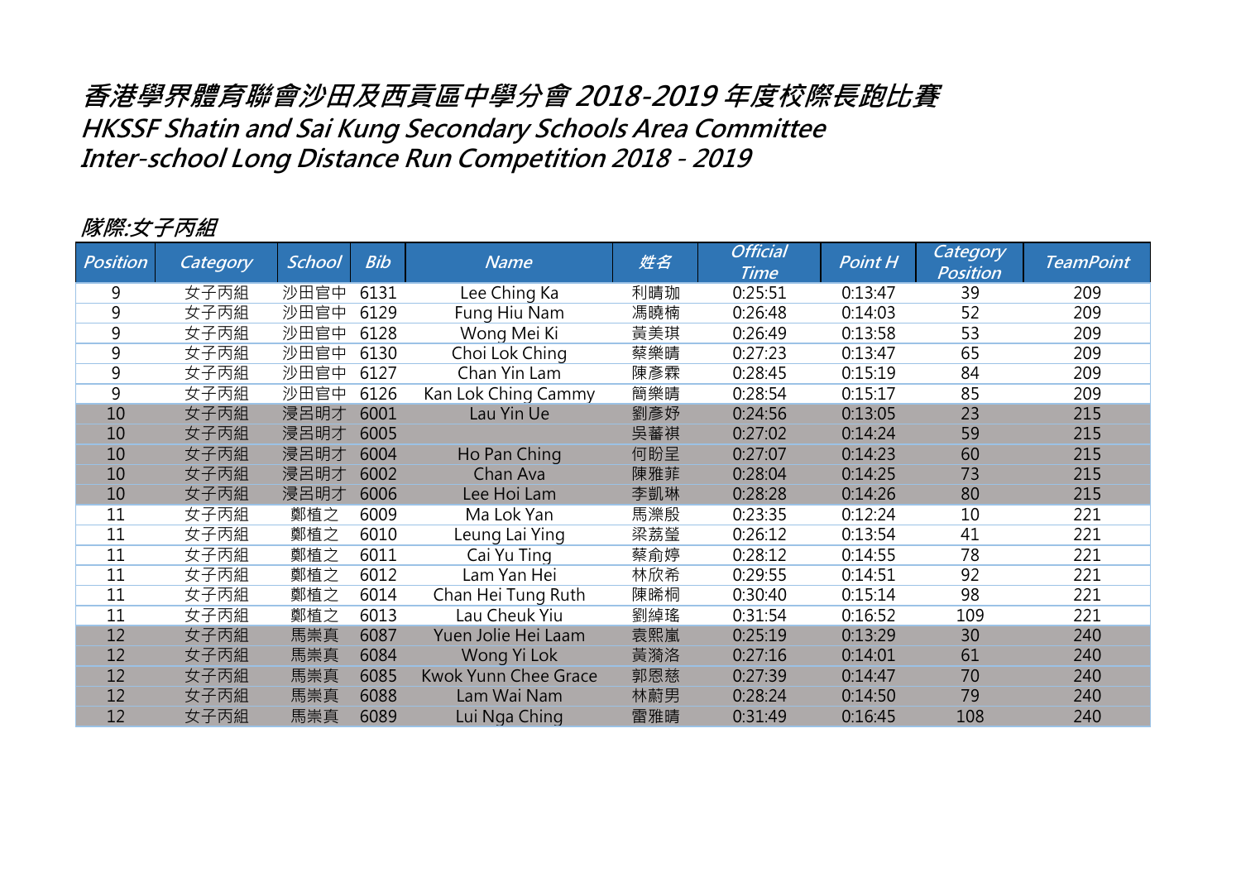| Position | Category | School | <b>Bib</b> | <b>Name</b>                 | 姓名  | <b>Official</b> | Point H | Category | <b>TeamPoint</b> |
|----------|----------|--------|------------|-----------------------------|-----|-----------------|---------|----------|------------------|
|          |          |        |            |                             |     | <b>Time</b>     |         | Position |                  |
| 9        | 女子丙組     | 沙田官中   | 6131       | Lee Ching Ka                | 利晴珈 | 0:25:51         | 0:13:47 | 39       | 209              |
| 9        | 女子丙組     | 沙田官中   | 6129       | Fung Hiu Nam                | 馮曉楠 | 0:26:48         | 0:14:03 | 52       | 209              |
| 9        | 女子丙組     | 沙田官中   | 6128       | Wong Mei Ki                 | 黃美琪 | 0:26:49         | 0:13:58 | 53       | 209              |
| 9        | 女子丙組     | 沙田官中   | 6130       | Choi Lok Ching              | 蔡樂晴 | 0:27:23         | 0:13:47 | 65       | 209              |
| 9        | 女子丙組     | 沙田官中   | 6127       | Chan Yin Lam                | 陳彥霖 | 0:28:45         | 0:15:19 | 84       | 209              |
| 9        | 女子丙組     | 沙田官中   | 6126       | Kan Lok Ching Cammy         | 簡樂晴 | 0:28:54         | 0:15:17 | 85       | 209              |
| 10       | 女子丙組     | 浸呂明才   | 6001       | Lau Yin Ue                  | 劉彥妤 | 0:24:56         | 0:13:05 | 23       | 215              |
| 10       | 女子丙組     | 浸呂明才   | 6005       |                             | 吳蕃祺 | 0:27:02         | 0:14:24 | 59       | 215              |
| 10       | 女子丙組     | 浸呂明才   | 6004       | Ho Pan Ching                | 何盼呈 | 0:27:07         | 0:14:23 | 60       | 215              |
| 10       | 女子丙組     | 浸呂明才   | 6002       | Chan Ava                    | 陳雅菲 | 0:28:04         | 0:14:25 | 73       | 215              |
| 10       | 女子丙組     | 浸呂明才   | 6006       | Lee Hoi Lam                 | 李凱琳 | 0:28:28         | 0:14:26 | 80       | 215              |
| 11       | 女子丙組     | 鄭植之    | 6009       | Ma Lok Yan                  | 馬濼殷 | 0:23:35         | 0:12:24 | 10       | 221              |
| 11       | 女子丙組     | 鄭植之    | 6010       | Leung Lai Ying              | 梁荔瑩 | 0:26:12         | 0:13:54 | 41       | 221              |
| 11       | 女子丙組     | 鄭植之    | 6011       | Cai Yu Ting                 | 蔡俞婷 | 0:28:12         | 0:14:55 | 78       | 221              |
| 11       | 女子丙組     | 鄭植之    | 6012       | Lam Yan Hei                 | 林欣希 | 0:29:55         | 0:14:51 | 92       | 221              |
| 11       | 女子丙組     | 鄭植之    | 6014       | Chan Hei Tung Ruth          | 陳晞桐 | 0:30:40         | 0:15:14 | 98       | 221              |
| 11       | 女子丙組     | 鄭植之    | 6013       | Lau Cheuk Yiu               | 劉綽瑤 | 0:31:54         | 0:16:52 | 109      | 221              |
| 12       | 女子丙組     | 馬崇真    | 6087       | Yuen Jolie Hei Laam         | 袁熙嵐 | 0:25:19         | 0:13:29 | 30       | 240              |
| 12       | 女子丙組     | 馬崇真    | 6084       | Wong Yi Lok                 | 黃漪洛 | 0:27:16         | 0:14:01 | 61       | 240              |
| 12       | 女子丙組     | 馬崇真    | 6085       | <b>Kwok Yunn Chee Grace</b> | 郭恩慈 | 0:27:39         | 0:14:47 | 70       | 240              |
| 12       | 女子丙組     | 馬崇真    | 6088       | Lam Wai Nam                 | 林蔚男 | 0:28:24         | 0:14:50 | 79       | 240              |
| 12       | 女子丙組     | 馬崇真    | 6089       | Lui Nga Ching               | 雷雅晴 | 0:31:49         | 0:16:45 | 108      | 240              |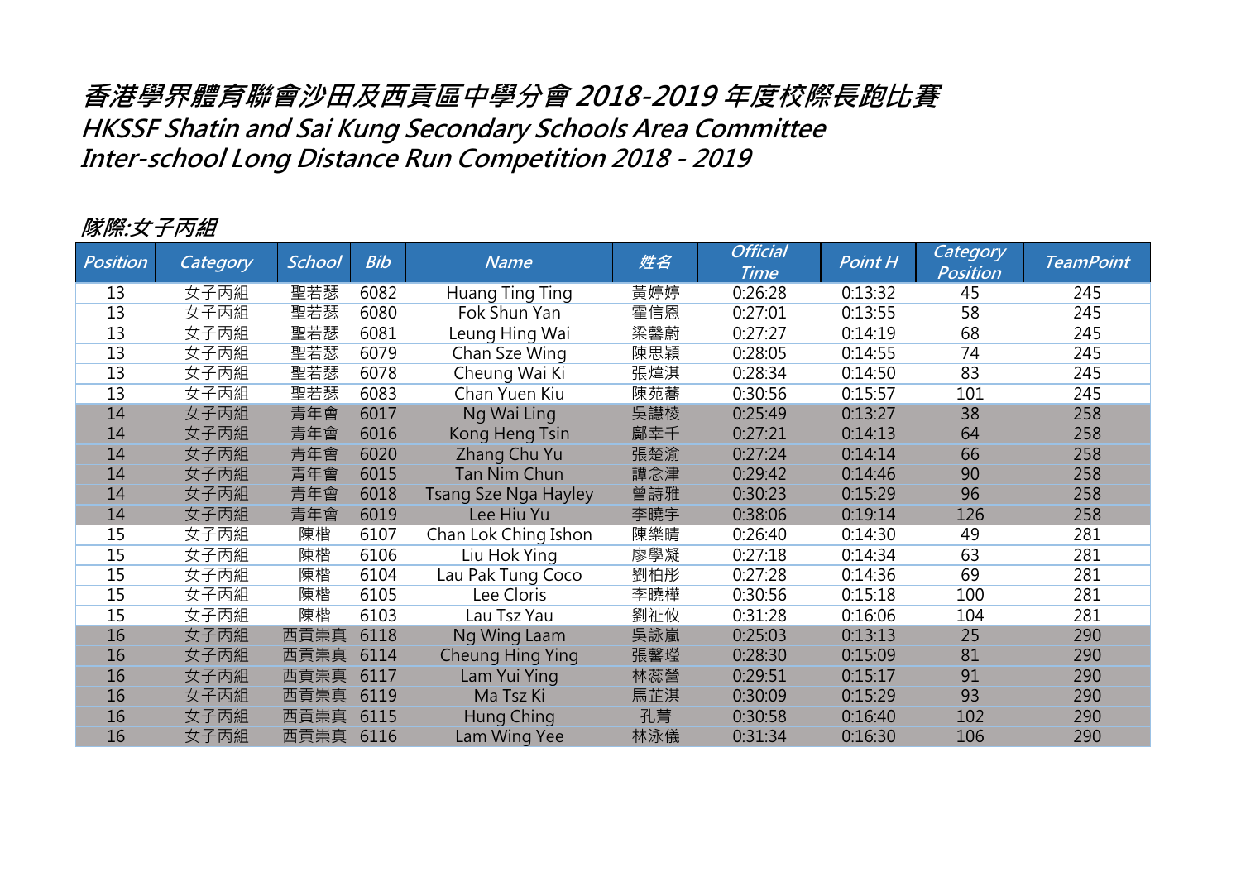| Position | Category | School | <b>Bib</b> | <b>Name</b>                 | 姓名  | <b>Official</b> | Point H | Category        | <b>TeamPoint</b> |
|----------|----------|--------|------------|-----------------------------|-----|-----------------|---------|-----------------|------------------|
|          |          |        |            |                             |     | <b>Time</b>     |         | <b>Position</b> |                  |
| 13       | 女子丙組     | 聖若瑟    | 6082       | Huang Ting Ting             | 黃婷婷 | 0:26:28         | 0:13:32 | 45              | 245              |
| 13       | 女子丙組     | 聖若瑟    | 6080       | Fok Shun Yan                | 霍信恩 | 0:27:01         | 0:13:55 | 58              | 245              |
| 13       | 女子丙組     | 聖若瑟    | 6081       | Leung Hing Wai              | 梁馨蔚 | 0:27:27         | 0:14:19 | 68              | 245              |
| 13       | 女子丙組     | 聖若瑟    | 6079       | Chan Sze Wing               | 陳思穎 | 0:28:05         | 0:14:55 | 74              | 245              |
| 13       | 女子丙組     | 聖若瑟    | 6078       | Cheung Wai Ki               | 張煒淇 | 0:28:34         | 0:14:50 | 83              | 245              |
| 13       | 女子丙組     | 聖若瑟    | 6083       | Chan Yuen Kiu               | 陳苑蕎 | 0:30:56         | 0:15:57 | 101             | 245              |
| 14       | 女子丙組     | 青年會    | 6017       | Ng Wai Ling                 | 吳譿棱 | 0:25:49         | 0:13:27 | 38              | 258              |
| 14       | 女子丙組     | 青年會    | 6016       | Kong Heng Tsin              | 鄺幸千 | 0:27:21         | 0:14:13 | 64              | 258              |
| 14       | 女子丙組     | 青年會    | 6020       | Zhang Chu Yu                | 張楚渝 | 0:27:24         | 0:14:14 | 66              | 258              |
| 14       | 女子丙組     | 青年會    | 6015       | <b>Tan Nim Chun</b>         | 譚念津 | 0:29:42         | 0:14:46 | 90              | 258              |
| 14       | 女子丙組     | 青年會    | 6018       | <b>Tsang Sze Nga Hayley</b> | 曾詩雅 | 0:30:23         | 0:15:29 | 96              | 258              |
| 14       | 女子丙組     | 青年會    | 6019       | Lee Hiu Yu                  | 李曉宇 | 0:38:06         | 0:19:14 | 126             | 258              |
| 15       | 女子丙組     | 陳楷     | 6107       | Chan Lok Ching Ishon        | 陳樂晴 | 0:26:40         | 0:14:30 | 49              | 281              |
| 15       | 女子丙組     | 陳楷     | 6106       | Liu Hok Ying                | 廖學凝 | 0:27:18         | 0:14:34 | 63              | 281              |
| 15       | 女子丙組     | 陳楷     | 6104       | Lau Pak Tung Coco           | 劉柏彤 | 0:27:28         | 0:14:36 | 69              | 281              |
| 15       | 女子丙組     | 陳楷     | 6105       | Lee Cloris                  | 李曉樺 | 0:30:56         | 0:15:18 | 100             | 281              |
| 15       | 女子丙組     | 陳楷     | 6103       | Lau Tsz Yau                 | 劉祉攸 | 0:31:28         | 0:16:06 | 104             | 281              |
| 16       | 女子丙組     | 西貢崇真   | 6118       | Ng Wing Laam                | 吳詠嵐 | 0:25:03         | 0:13:13 | 25              | 290              |
| 16       | 女子丙組     | 西貢崇真   | 6114       | <b>Cheung Hing Ying</b>     | 張馨璒 | 0:28:30         | 0:15:09 | 81              | 290              |
| 16       | 女子丙組     | 西貢崇真   | 6117       | Lam Yui Ying                | 林蕊營 | 0:29:51         | 0:15:17 | 91              | 290              |
| 16       | 女子丙組     | 西貢崇真   | 6119       | Ma Tsz Ki                   | 馬芷淇 | 0:30:09         | 0:15:29 | 93              | 290              |
| 16       | 女子丙組     | 西貢崇真   | 6115       | Hung Ching                  | 孔菁  | 0:30:58         | 0:16:40 | 102             | 290              |
| 16       | 女子丙組     | 西貢崇真   | 6116       | Lam Wing Yee                | 林泳儀 | 0:31:34         | 0:16:30 | 106             | 290              |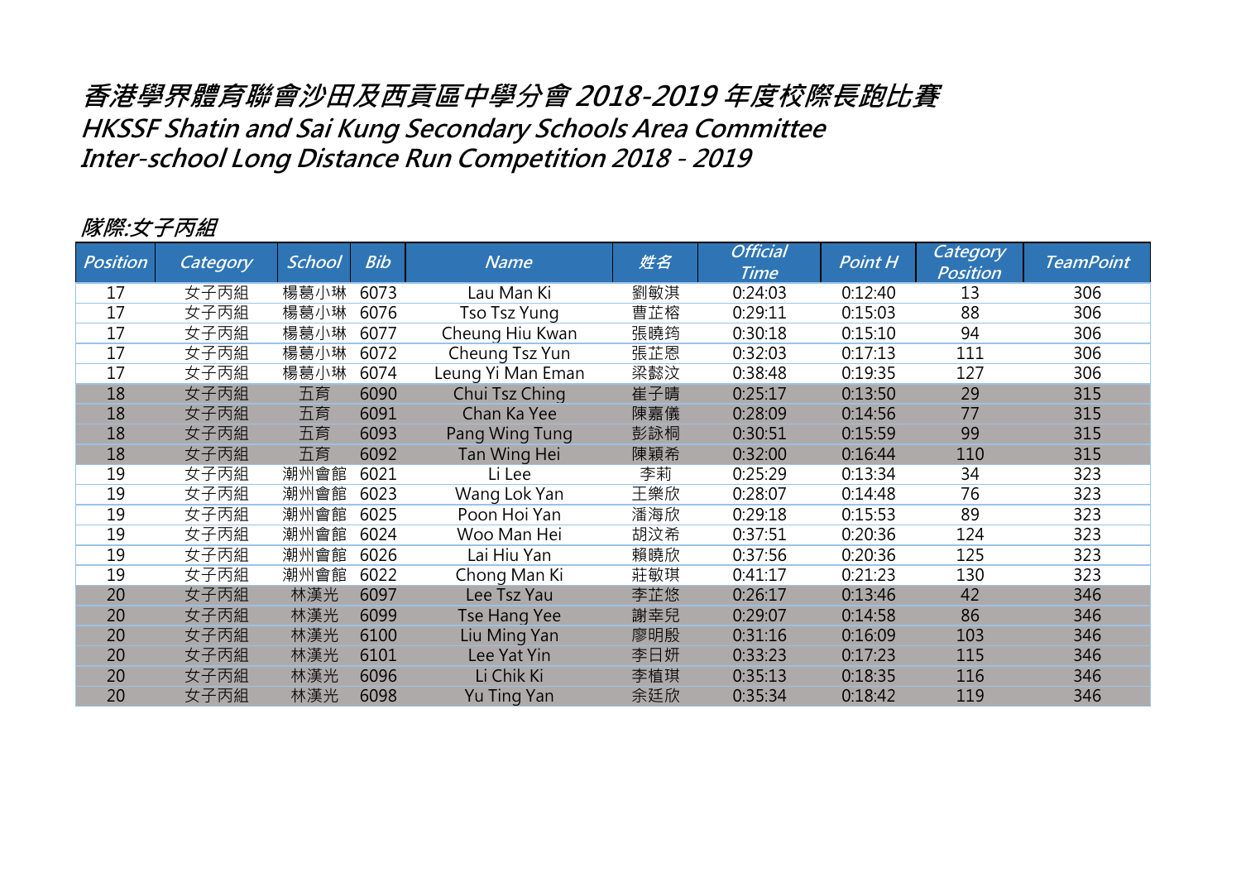| Position |          | School | <b>Bib</b> | <b>Name</b>         | 姓名  | <b>Official</b> | Point H | Category        | <b>TeamPoint</b> |
|----------|----------|--------|------------|---------------------|-----|-----------------|---------|-----------------|------------------|
|          | Category |        |            |                     |     | <b>Time</b>     |         | <b>Position</b> |                  |
| 17       | 女子丙組     | 楊葛小琳   | 6073       | Lau Man Ki          | 劉敏淇 | 0:24:03         | 0:12:40 | 13              | 306              |
| 17       | 女子丙組     | 楊葛小琳   | 6076       | Tso Tsz Yung        | 曹芷榕 | 0:29:11         | 0:15:03 | 88              | 306              |
| 17       | 女子丙組     | 楊葛小琳   | 6077       | Cheung Hiu Kwan     | 張曉筠 | 0:30:18         | 0:15:10 | 94              | 306              |
| 17       | 女子丙組     | 楊葛小琳   | 6072       | Cheung Tsz Yun      | 張芷恩 | 0:32:03         | 0:17:13 | 111             | 306              |
| 17       | 女子丙組     | 楊葛小琳   | 6074       | Leung Yi Man Eman   | 梁懿汶 | 0:38:48         | 0:19:35 | 127             | 306              |
| 18       | 女子丙組     | 五育     | 6090       | Chui Tsz Ching      | 崔子晴 | 0:25:17         | 0:13:50 | 29              | 315              |
| 18       | 女子丙組     | 五育     | 6091       | Chan Ka Yee         | 陳嘉儀 | 0:28:09         | 0:14:56 | 77              | 315              |
| 18       | 女子丙組     | 五育     | 6093       | Pang Wing Tung      | 彭詠桐 | 0:30:51         | 0:15:59 | 99              | 315              |
| 18       | 女子丙組     | 五育     | 6092       | Tan Wing Hei        | 陳穎希 | 0:32:00         | 0:16:44 | 110             | 315              |
| 19       | 女子丙組     | 潮州會館   | 6021       | Li Lee              | 李莉  | 0:25:29         | 0:13:34 | 34              | 323              |
| 19       | 女子丙組     | 潮州會館   | 6023       | Wang Lok Yan        | 王樂欣 | 0:28:07         | 0:14:48 | 76              | 323              |
| 19       | 女子丙組     | 潮州會館   | 6025       | Poon Hoi Yan        | 潘海欣 | 0:29:18         | 0:15:53 | 89              | 323              |
| 19       | 女子丙組     | 潮州會館   | 6024       | Woo Man Hei         | 胡汶希 | 0:37:51         | 0:20:36 | 124             | 323              |
| 19       | 女子丙組     | 潮州會館   | 6026       | Lai Hiu Yan         | 賴曉欣 | 0:37:56         | 0:20:36 | 125             | 323              |
| 19       | 女子丙組     | 潮州會館   | 6022       | Chong Man Ki        | 莊敏琪 | 0:41:17         | 0:21:23 | 130             | 323              |
| 20       | 女子丙組     | 林漢光    | 6097       | Lee Tsz Yau         | 李芷悠 | 0:26:17         | 0:13:46 | 42              | 346              |
| 20       | 女子丙組     | 林漢光    | 6099       | <b>Tse Hang Yee</b> | 謝幸兒 | 0:29:07         | 0:14:58 | 86              | 346              |
| 20       | 女子丙組     | 林漢光    | 6100       | Liu Ming Yan        | 廖明殷 | 0:31:16         | 0:16:09 | 103             | 346              |
| 20       | 女子丙組     | 林漢光    | 6101       | Lee Yat Yin         | 李日妍 | 0:33:23         | 0:17:23 | 115             | 346              |
| 20       | 女子丙組     | 林漢光    | 6096       | Li Chik Ki          | 李植琪 | 0:35:13         | 0:18:35 | 116             | 346              |
| 20       | 女子丙組     | 林漢光    | 6098       | Yu Ting Yan         | 余廷欣 | 0:35:34         | 0:18:42 | 119             | 346              |